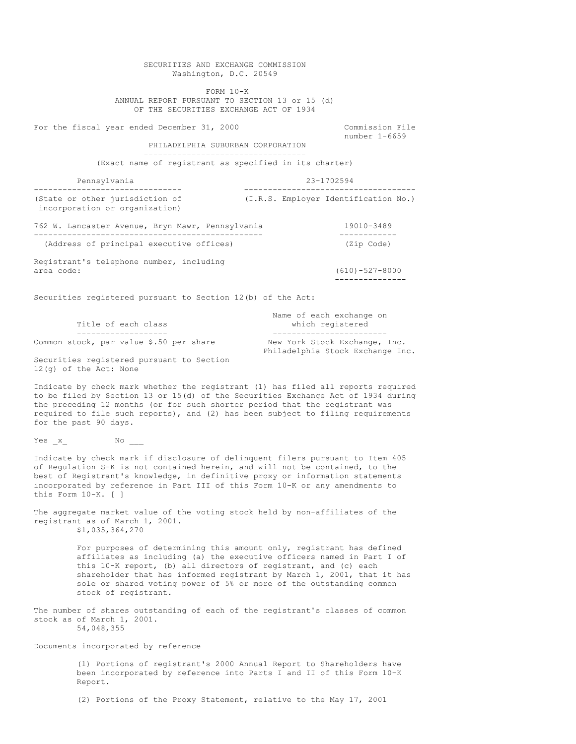SECURITIES AND EXCHANGE COMMISSION Washington, D.C. 20549 FORM 10-K ANNUAL REPORT PURSUANT TO SECTION 13 or 15 (d) OF THE SECURITIES EXCHANGE ACT OF 1934 For the fiscal year ended December 31, 2000 Commission File number 1-6659 PHILADELPHIA SUBURBAN CORPORATION ---------------------------------- (Exact name of registrant as specified in its charter) Pennsylvania 23-1702594 ------------------------------- ------------------------------------ (I.R.S. Employer Identification No.) incorporation or organization) 762 W. Lancaster Avenue, Bryn Mawr, Pennsylvania 19010-3489 ------------------------------------------------ ------------ (Address of principal executive offices) Registrant's telephone number, including area code: (610)-527-8000 --------------- Securities registered pursuant to Section 12(b) of the Act: Name of each exchange on Title of each class which registered ------------------- ------------------------ Common stock, par value \$.50 per share Philadelphia Stock Exchange Inc. Securities registered pursuant to Section 12(g) of the Act: None Indicate by check mark whether the registrant (1) has filed all reports required to be filed by Section 13 or 15(d) of the Securities Exchange Act of 1934 during the preceding 12 months (or for such shorter period that the registrant was required to file such reports), and (2) has been subject to filing requirements for the past 90 days. Yes x No Indicate by check mark if disclosure of delinquent filers pursuant to Item 405 of Regulation S-K is not contained herein, and will not be contained, to the best of Registrant's knowledge, in definitive proxy or information statements incorporated by reference in Part III of this Form 10-K or any amendments to this Form 10-K. [ ] The aggregate market value of the voting stock held by non-affiliates of the registrant as of March 1, 2001. \$1,035,364,270 For purposes of determining this amount only, registrant has defined affiliates as including (a) the executive officers named in Part I of this 10-K report, (b) all directors of registrant, and (c) each shareholder that has informed registrant by March 1, 2001, that it has sole or shared voting power of 5% or more of the outstanding common stock of registrant. The number of shares outstanding of each of the registrant's classes of common stock as of March 1, 2001. 54,048,355 Documents incorporated by reference (1) Portions of registrant's 2000 Annual Report to Shareholders have been incorporated by reference into Parts I and II of this Form 10-K Report. (2) Portions of the Proxy Statement, relative to the May 17, 2001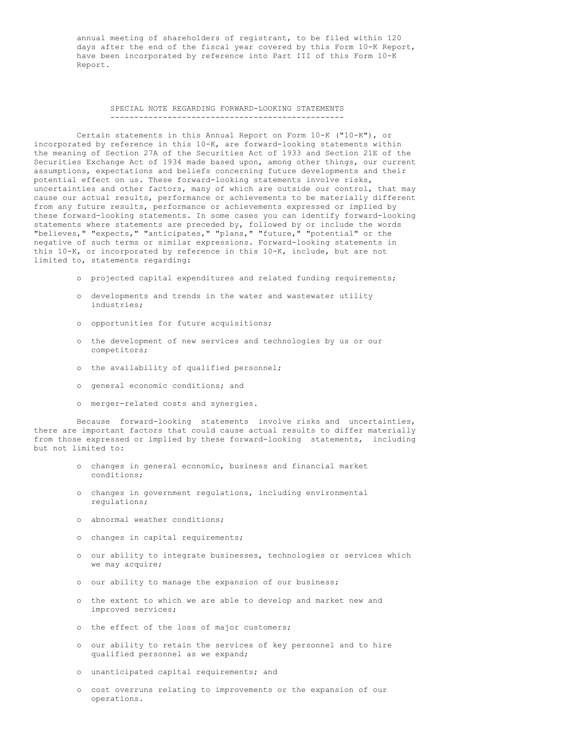annual meeting of shareholders of registrant, to be filed within 120 days after the end of the fiscal year covered by this Form 10-K Report, have been incorporated by reference into Part III of this Form 10-K Report.

#### SPECIAL NOTE REGARDING FORWARD-LOOKING STATEMENTS -------------------------------------------------

Certain statements in this Annual Report on Form 10-K ("10-K"), or incorporated by reference in this 10-K, are forward-looking statements within the meaning of Section 27A of the Securities Act of 1933 and Section 21E of the Securities Exchange Act of 1934 made based upon, among other things, our current assumptions, expectations and beliefs concerning future developments and their potential effect on us. These forward-looking statements involve risks, uncertainties and other factors, many of which are outside our control, that may cause our actual results, performance or achievements to be materially different from any future results, performance or achievements expressed or implied by these forward-looking statements. In some cases you can identify forward-looking statements where statements are preceded by, followed by or include the words "believes," "expects," "anticipates," "plans," "future," "potential" or the negative of such terms or similar expressions. Forward-looking statements in this 10-K, or incorporated by reference in this 10-K, include, but are not limited to, statements regarding:

- o projected capital expenditures and related funding requirements;
- o developments and trends in the water and wastewater utility industries;
- o opportunities for future acquisitions;
- o the development of new services and technologies by us or our competitors;
- o the availability of qualified personnel;
- o general economic conditions; and
- o merger-related costs and synergies.

Because forward-looking statements involve risks and uncertainties, there are important factors that could cause actual results to differ materially from those expressed or implied by these forward-looking statements, including but not limited to:

- o changes in general economic, business and financial market conditions;
- o changes in government regulations, including environmental regulations;
- o abnormal weather conditions;
- o changes in capital requirements;
- o our ability to integrate businesses, technologies or services which we may acquire;
- o our ability to manage the expansion of our business;
- o the extent to which we are able to develop and market new and improved services;
- o the effect of the loss of major customers;
- o our ability to retain the services of key personnel and to hire qualified personnel as we expand;
- o unanticipated capital requirements; and
- o cost overruns relating to improvements or the expansion of our operations.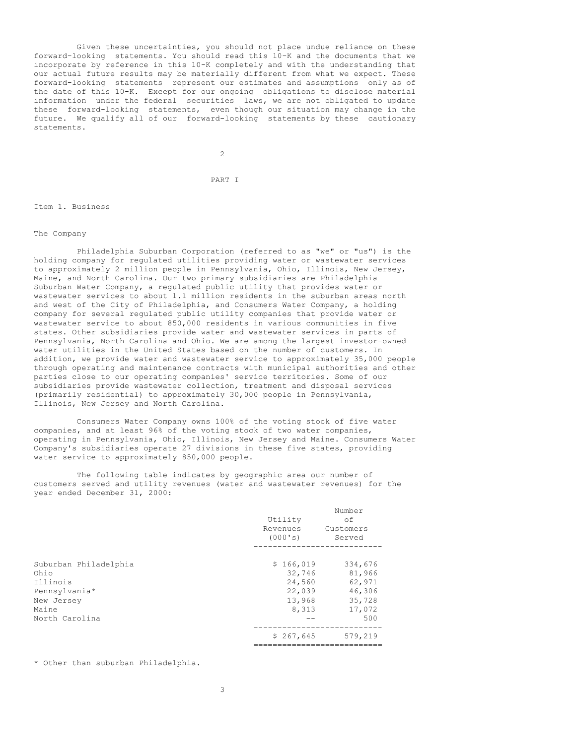Given these uncertainties, you should not place undue reliance on these forward-looking statements. You should read this 10-K and the documents that we incorporate by reference in this 10-K completely and with the understanding that our actual future results may be materially different from what we expect. These forward-looking statements represent our estimates and assumptions only as of the date of this 10-K. Except for our ongoing obligations to disclose material information under the federal securities laws, we are not obligated to update these forward-looking statements, even though our situation may change in the future. We qualify all of our forward-looking statements by these cautionary statements.

 $\overline{2}$ 

PART I

Item 1. Business

The Company

Philadelphia Suburban Corporation (referred to as "we" or "us") is the holding company for regulated utilities providing water or wastewater services to approximately 2 million people in Pennsylvania, Ohio, Illinois, New Jersey, Maine, and North Carolina. Our two primary subsidiaries are Philadelphia Suburban Water Company, a regulated public utility that provides water or wastewater services to about 1.1 million residents in the suburban areas north and west of the City of Philadelphia, and Consumers Water Company, a holding company for several regulated public utility companies that provide water or wastewater service to about 850,000 residents in various communities in five states. Other subsidiaries provide water and wastewater services in parts of Pennsylvania, North Carolina and Ohio. We are among the largest investor-owned water utilities in the United States based on the number of customers. In addition, we provide water and wastewater service to approximately 35,000 people through operating and maintenance contracts with municipal authorities and other parties close to our operating companies' service territories. Some of our subsidiaries provide wastewater collection, treatment and disposal services (primarily residential) to approximately 30,000 people in Pennsylvania, Illinois, New Jersey and North Carolina.

Consumers Water Company owns 100% of the voting stock of five water companies, and at least 96% of the voting stock of two water companies, operating in Pennsylvania, Ohio, Illinois, New Jersey and Maine. Consumers Water Company's subsidiaries operate 27 divisions in these five states, providing water service to approximately 850,000 people.

The following table indicates by geographic area our number of customers served and utility revenues (water and wastewater revenues) for the year ended December 31, 2000:

|                                                                                                     | Utility<br>Revenues<br>(000's)                             | Number<br>of<br>Customers<br>Served                              |
|-----------------------------------------------------------------------------------------------------|------------------------------------------------------------|------------------------------------------------------------------|
| Suburban Philadelphia<br>Ohio<br>Illinois<br>Pennsylvania*<br>New Jersey<br>Maine<br>North Carolina | \$166,019<br>32,746<br>24,560<br>22,039<br>13,968<br>8,313 | 334,676<br>81,966<br>62,971<br>46,306<br>35,728<br>17,072<br>500 |
|                                                                                                     | \$267,645                                                  | 579,219                                                          |

\* Other than suburban Philadelphia.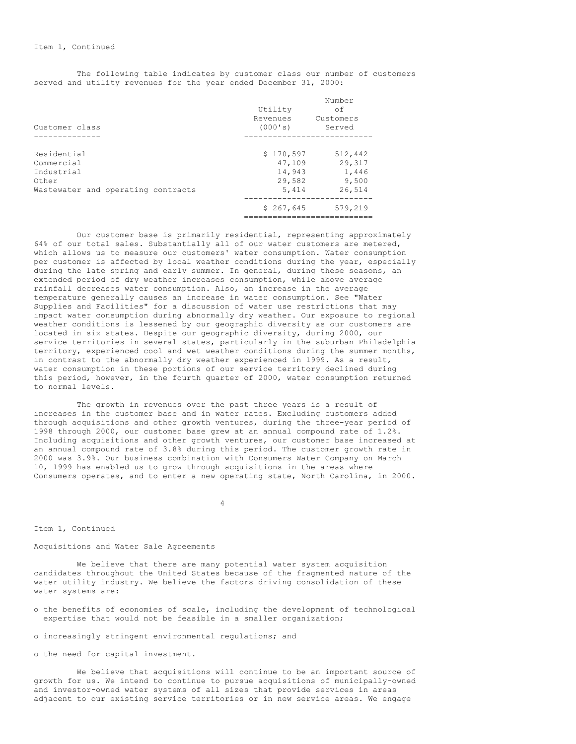The following table indicates by customer class our number of customers served and utility revenues for the year ended December 31, 2000:

| Customer class                                                                         | Utility<br>Revenues<br>(000's)                   | Number<br>of<br>Customers<br>Served           |
|----------------------------------------------------------------------------------------|--------------------------------------------------|-----------------------------------------------|
|                                                                                        |                                                  |                                               |
| Residential<br>Commercial<br>Industrial<br>Other<br>Wastewater and operating contracts | \$170,597<br>47,109<br>14,943<br>29,582<br>5,414 | 512,442<br>29,317<br>1,446<br>9,500<br>26,514 |
|                                                                                        | \$267,645                                        | 579,219                                       |

Our customer base is primarily residential, representing approximately 64% of our total sales. Substantially all of our water customers are metered, which allows us to measure our customers' water consumption. Water consumption per customer is affected by local weather conditions during the year, especially during the late spring and early summer. In general, during these seasons, an extended period of dry weather increases consumption, while above average rainfall decreases water consumption. Also, an increase in the average temperature generally causes an increase in water consumption. See "Water Supplies and Facilities" for a discussion of water use restrictions that may impact water consumption during abnormally dry weather. Our exposure to regional weather conditions is lessened by our geographic diversity as our customers are located in six states. Despite our geographic diversity, during 2000, our service territories in several states, particularly in the suburban Philadelphia territory, experienced cool and wet weather conditions during the summer months, in contrast to the abnormally dry weather experienced in 1999. As a result, water consumption in these portions of our service territory declined during this period, however, in the fourth quarter of 2000, water consumption returned to normal levels.

The growth in revenues over the past three years is a result of increases in the customer base and in water rates. Excluding customers added through acquisitions and other growth ventures, during the three-year period of 1998 through 2000, our customer base grew at an annual compound rate of 1.2%. Including acquisitions and other growth ventures, our customer base increased at an annual compound rate of 3.8% during this period. The customer growth rate in 2000 was 3.9%. Our business combination with Consumers Water Company on March 10, 1999 has enabled us to grow through acquisitions in the areas where Consumers operates, and to enter a new operating state, North Carolina, in 2000.

4

### Item 1, Continued

# Acquisitions and Water Sale Agreements

We believe that there are many potential water system acquisition candidates throughout the United States because of the fragmented nature of the water utility industry. We believe the factors driving consolidation of these water systems are:

- o the benefits of economies of scale, including the development of technological expertise that would not be feasible in a smaller organization;
- o increasingly stringent environmental regulations; and
- o the need for capital investment.

We believe that acquisitions will continue to be an important source of growth for us. We intend to continue to pursue acquisitions of municipally-owned and investor-owned water systems of all sizes that provide services in areas adjacent to our existing service territories or in new service areas. We engage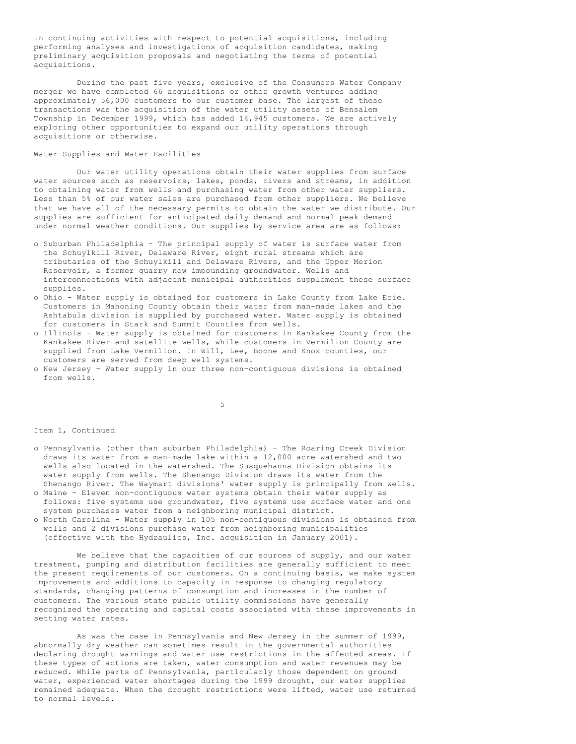in continuing activities with respect to potential acquisitions, including performing analyses and investigations of acquisition candidates, making preliminary acquisition proposals and negotiating the terms of potential acquisitions.

During the past five years, exclusive of the Consumers Water Company merger we have completed 66 acquisitions or other growth ventures adding approximately 56,000 customers to our customer base. The largest of these transactions was the acquisition of the water utility assets of Bensalem Township in December 1999, which has added 14,945 customers. We are actively exploring other opportunities to expand our utility operations through acquisitions or otherwise.

# Water Supplies and Water Facilities

Our water utility operations obtain their water supplies from surface water sources such as reservoirs, lakes, ponds, rivers and streams, in addition to obtaining water from wells and purchasing water from other water suppliers. Less than 5% of our water sales are purchased from other suppliers. We believe that we have all of the necessary permits to obtain the water we distribute. Our supplies are sufficient for anticipated daily demand and normal peak demand under normal weather conditions. Our supplies by service area are as follows:

- o Suburban Philadelphia The principal supply of water is surface water from the Schuylkill River, Delaware River, eight rural streams which are tributaries of the Schuylkill and Delaware Rivers, and the Upper Merion Reservoir, a former quarry now impounding groundwater. Wells and interconnections with adjacent municipal authorities supplement these surface supplies.
- o Ohio Water supply is obtained for customers in Lake County from Lake Erie. Customers in Mahoning County obtain their water from man-made lakes and the Ashtabula division is supplied by purchased water. Water supply is obtained for customers in Stark and Summit Counties from wells.
- o Illinois Water supply is obtained for customers in Kankakee County from the Kankakee River and satellite wells, while customers in Vermilion County are supplied from Lake Vermilion. In Will, Lee, Boone and Knox counties, our customers are served from deep well systems.
- o New Jersey Water supply in our three non-contiguous divisions is obtained from wells.

5

## Item 1, Continued

- o Pennsylvania (other than suburban Philadelphia) The Roaring Creek Division draws its water from a man-made lake within a 12,000 acre watershed and two wells also located in the watershed. The Susquehanna Division obtains its water supply from wells. The Shenango Division draws its water from the Shenango River. The Waymart divisions' water supply is principally from wells.
- o Maine Eleven non-contiguous water systems obtain their water supply as follows: five systems use groundwater, five systems use surface water and one system purchases water from a neighboring municipal district.
- o North Carolina Water supply in 105 non-contiguous divisions is obtained from wells and 2 divisions purchase water from neighboring municipalities (effective with the Hydraulics, Inc. acquisition in January 2001).

We believe that the capacities of our sources of supply, and our water treatment, pumping and distribution facilities are generally sufficient to meet the present requirements of our customers. On a continuing basis, we make system improvements and additions to capacity in response to changing regulatory standards, changing patterns of consumption and increases in the number of customers. The various state public utility commissions have generally recognized the operating and capital costs associated with these improvements in setting water rates.

As was the case in Pennsylvania and New Jersey in the summer of 1999, abnormally dry weather can sometimes result in the governmental authorities declaring drought warnings and water use restrictions in the affected areas. If these types of actions are taken, water consumption and water revenues may be reduced. While parts of Pennsylvania, particularly those dependent on ground water, experienced water shortages during the 1999 drought, our water supplies remained adequate. When the drought restrictions were lifted, water use returned to normal levels.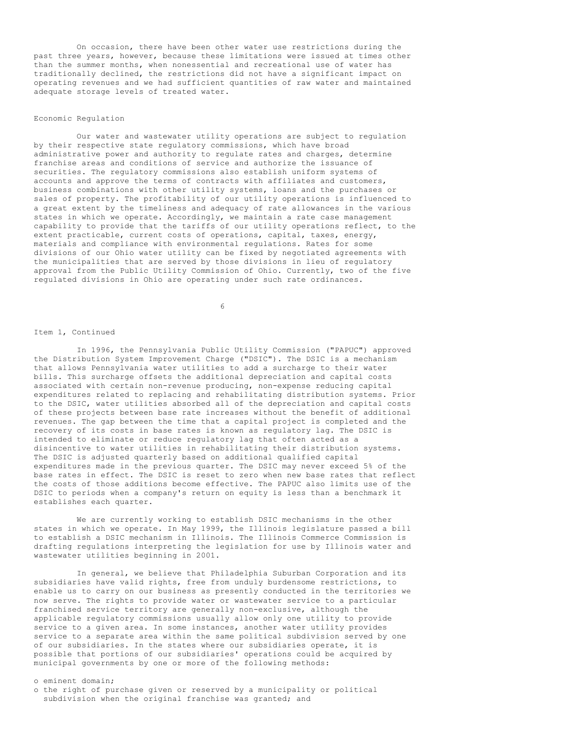On occasion, there have been other water use restrictions during the past three years, however, because these limitations were issued at times other than the summer months, when nonessential and recreational use of water has traditionally declined, the restrictions did not have a significant impact on operating revenues and we had sufficient quantities of raw water and maintained adequate storage levels of treated water.

### Economic Regulation

Our water and wastewater utility operations are subject to regulation by their respective state regulatory commissions, which have broad administrative power and authority to regulate rates and charges, determine franchise areas and conditions of service and authorize the issuance of securities. The regulatory commissions also establish uniform systems of accounts and approve the terms of contracts with affiliates and customers, business combinations with other utility systems, loans and the purchases or sales of property. The profitability of our utility operations is influenced to a great extent by the timeliness and adequacy of rate allowances in the various states in which we operate. Accordingly, we maintain a rate case management capability to provide that the tariffs of our utility operations reflect, to the extent practicable, current costs of operations, capital, taxes, energy, materials and compliance with environmental regulations. Rates for some divisions of our Ohio water utility can be fixed by negotiated agreements with the municipalities that are served by those divisions in lieu of regulatory approval from the Public Utility Commission of Ohio. Currently, two of the five regulated divisions in Ohio are operating under such rate ordinances.

6

# Item 1, Continued

In 1996, the Pennsylvania Public Utility Commission ("PAPUC") approved the Distribution System Improvement Charge ("DSIC"). The DSIC is a mechanism that allows Pennsylvania water utilities to add a surcharge to their water bills. This surcharge offsets the additional depreciation and capital costs associated with certain non-revenue producing, non-expense reducing capital expenditures related to replacing and rehabilitating distribution systems. Prior to the DSIC, water utilities absorbed all of the depreciation and capital costs of these projects between base rate increases without the benefit of additional revenues. The gap between the time that a capital project is completed and the recovery of its costs in base rates is known as regulatory lag. The DSIC is intended to eliminate or reduce regulatory lag that often acted as a disincentive to water utilities in rehabilitating their distribution systems. The DSIC is adjusted quarterly based on additional qualified capital expenditures made in the previous quarter. The DSIC may never exceed 5% of the base rates in effect. The DSIC is reset to zero when new base rates that reflect the costs of those additions become effective. The PAPUC also limits use of the DSIC to periods when a company's return on equity is less than a benchmark it establishes each quarter.

We are currently working to establish DSIC mechanisms in the other states in which we operate. In May 1999, the Illinois legislature passed a bill to establish a DSIC mechanism in Illinois. The Illinois Commerce Commission is drafting regulations interpreting the legislation for use by Illinois water and wastewater utilities beginning in 2001.

In general, we believe that Philadelphia Suburban Corporation and its subsidiaries have valid rights, free from unduly burdensome restrictions, to enable us to carry on our business as presently conducted in the territories we now serve. The rights to provide water or wastewater service to a particular franchised service territory are generally non-exclusive, although the applicable regulatory commissions usually allow only one utility to provide service to a given area. In some instances, another water utility provides service to a separate area within the same political subdivision served by one of our subsidiaries. In the states where our subsidiaries operate, it is possible that portions of our subsidiaries' operations could be acquired by municipal governments by one or more of the following methods:

### o eminent domain;

o the right of purchase given or reserved by a municipality or political subdivision when the original franchise was granted; and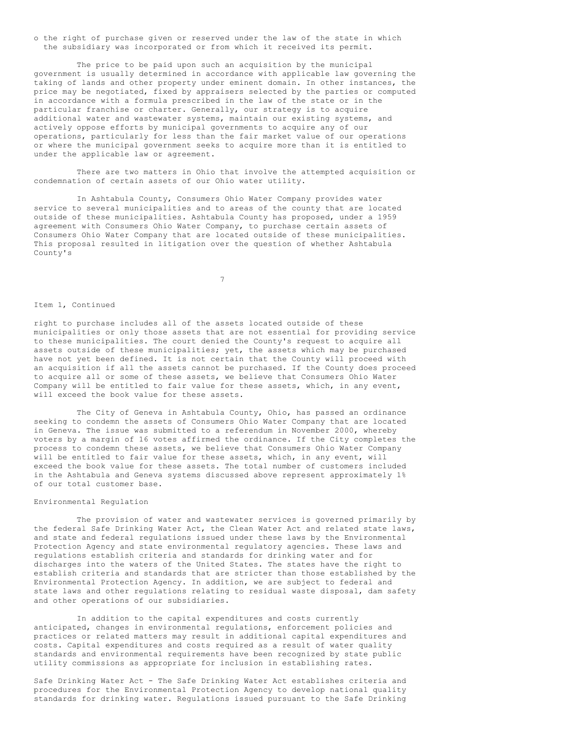o the right of purchase given or reserved under the law of the state in which the subsidiary was incorporated or from which it received its permit.

The price to be paid upon such an acquisition by the municipal government is usually determined in accordance with applicable law governing the taking of lands and other property under eminent domain. In other instances, the price may be negotiated, fixed by appraisers selected by the parties or computed in accordance with a formula prescribed in the law of the state or in the particular franchise or charter. Generally, our strategy is to acquire additional water and wastewater systems, maintain our existing systems, and actively oppose efforts by municipal governments to acquire any of our operations, particularly for less than the fair market value of our operations or where the municipal government seeks to acquire more than it is entitled to under the applicable law or agreement.

There are two matters in Ohio that involve the attempted acquisition or condemnation of certain assets of our Ohio water utility.

In Ashtabula County, Consumers Ohio Water Company provides water service to several municipalities and to areas of the county that are located outside of these municipalities. Ashtabula County has proposed, under a 1959 agreement with Consumers Ohio Water Company, to purchase certain assets of Consumers Ohio Water Company that are located outside of these municipalities. This proposal resulted in litigation over the question of whether Ashtabula County's

7

#### Item 1, Continued

right to purchase includes all of the assets located outside of these municipalities or only those assets that are not essential for providing service to these municipalities. The court denied the County's request to acquire all assets outside of these municipalities; yet, the assets which may be purchased have not yet been defined. It is not certain that the County will proceed with an acquisition if all the assets cannot be purchased. If the County does proceed to acquire all or some of these assets, we believe that Consumers Ohio Water Company will be entitled to fair value for these assets, which, in any event, will exceed the book value for these assets.

The City of Geneva in Ashtabula County, Ohio, has passed an ordinance seeking to condemn the assets of Consumers Ohio Water Company that are located in Geneva. The issue was submitted to a referendum in November 2000, whereby voters by a margin of 16 votes affirmed the ordinance. If the City completes the process to condemn these assets, we believe that Consumers Ohio Water Company will be entitled to fair value for these assets, which, in any event, will exceed the book value for these assets. The total number of customers included in the Ashtabula and Geneva systems discussed above represent approximately 1% of our total customer base.

## Environmental Regulation

The provision of water and wastewater services is governed primarily by the federal Safe Drinking Water Act, the Clean Water Act and related state laws, and state and federal regulations issued under these laws by the Environmental Protection Agency and state environmental regulatory agencies. These laws and regulations establish criteria and standards for drinking water and for discharges into the waters of the United States. The states have the right to establish criteria and standards that are stricter than those established by the Environmental Protection Agency. In addition, we are subject to federal and state laws and other regulations relating to residual waste disposal, dam safety and other operations of our subsidiaries.

In addition to the capital expenditures and costs currently anticipated, changes in environmental regulations, enforcement policies and practices or related matters may result in additional capital expenditures and costs. Capital expenditures and costs required as a result of water quality standards and environmental requirements have been recognized by state public utility commissions as appropriate for inclusion in establishing rates.

Safe Drinking Water Act - The Safe Drinking Water Act establishes criteria and procedures for the Environmental Protection Agency to develop national quality standards for drinking water. Regulations issued pursuant to the Safe Drinking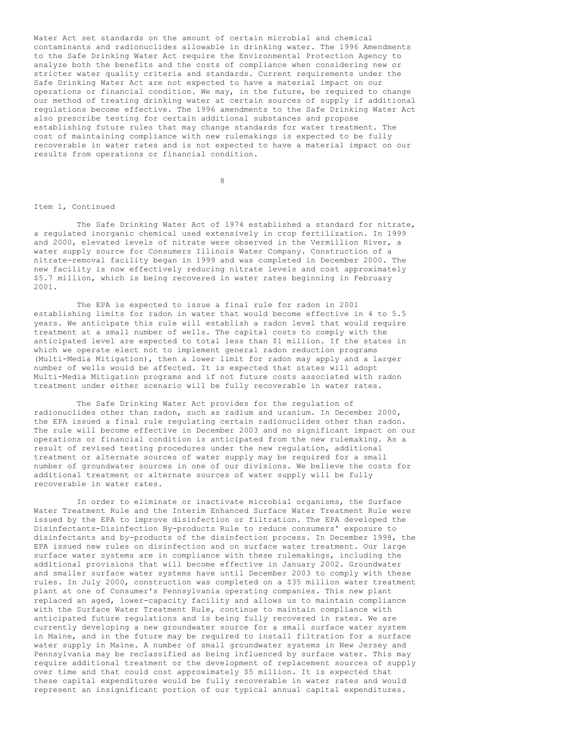Water Act set standards on the amount of certain microbial and chemical contaminants and radionuclides allowable in drinking water. The 1996 Amendments to the Safe Drinking Water Act require the Environmental Protection Agency to analyze both the benefits and the costs of compliance when considering new or stricter water quality criteria and standards. Current requirements under the Safe Drinking Water Act are not expected to have a material impact on our operations or financial condition. We may, in the future, be required to change our method of treating drinking water at certain sources of supply if additional regulations become effective. The 1996 amendments to the Safe Drinking Water Act also prescribe testing for certain additional substances and propose establishing future rules that may change standards for water treatment. The cost of maintaining compliance with new rulemakings is expected to be fully recoverable in water rates and is not expected to have a material impact on our results from operations or financial condition.

**8** 

#### Item 1, Continued

The Safe Drinking Water Act of 1974 established a standard for nitrate, a regulated inorganic chemical used extensively in crop fertilization. In 1999 and 2000, elevated levels of nitrate were observed in the Vermillion River, a water supply source for Consumers Illinois Water Company. Construction of a nitrate-removal facility began in 1999 and was completed in December 2000. The new facility is now effectively reducing nitrate levels and cost approximately \$5.7 million, which is being recovered in water rates beginning in February 2001.

The EPA is expected to issue a final rule for radon in 2001 establishing limits for radon in water that would become effective in 4 to 5.5 years. We anticipate this rule will establish a radon level that would require treatment at a small number of wells. The capital costs to comply with the anticipated level are expected to total less than \$1 million. If the states in which we operate elect not to implement general radon reduction programs (Multi-Media Mitigation), then a lower limit for radon may apply and a larger number of wells would be affected. It is expected that states will adopt Multi-Media Mitigation programs and if not future costs associated with radon treatment under either scenario will be fully recoverable in water rates.

The Safe Drinking Water Act provides for the regulation of radionuclides other than radon, such as radium and uranium. In December 2000, the EPA issued a final rule regulating certain radionuclides other than radon. The rule will become effective in December 2003 and no significant impact on our operations or financial condition is anticipated from the new rulemaking. As a result of revised testing procedures under the new regulation, additional treatment or alternate sources of water supply may be required for a small number of groundwater sources in one of our divisions. We believe the costs for additional treatment or alternate sources of water supply will be fully recoverable in water rates.

In order to eliminate or inactivate microbial organisms, the Surface Water Treatment Rule and the Interim Enhanced Surface Water Treatment Rule were issued by the EPA to improve disinfection or filtration. The EPA developed the Disinfectants-Disinfection By-products Rule to reduce consumers' exposure to disinfectants and by-products of the disinfection process. In December 1998, the EPA issued new rules on disinfection and on surface water treatment. Our large surface water systems are in compliance with these rulemakings, including the additional provisions that will become effective in January 2002. Groundwater and smaller surface water systems have until December 2003 to comply with these rules. In July 2000, construction was completed on a \$35 million water treatment plant at one of Consumer's Pennsylvania operating companies. This new plant replaced an aged, lower-capacity facility and allows us to maintain compliance with the Surface Water Treatment Rule, continue to maintain compliance with anticipated future regulations and is being fully recovered in rates. We are currently developing a new groundwater source for a small surface water system in Maine, and in the future may be required to install filtration for a surface water supply in Maine. A number of small groundwater systems in New Jersey and Pennsylvania may be reclassified as being influenced by surface water. This may require additional treatment or the development of replacement sources of supply over time and that could cost approximately \$5 million. It is expected that these capital expenditures would be fully recoverable in water rates and would represent an insignificant portion of our typical annual capital expenditures.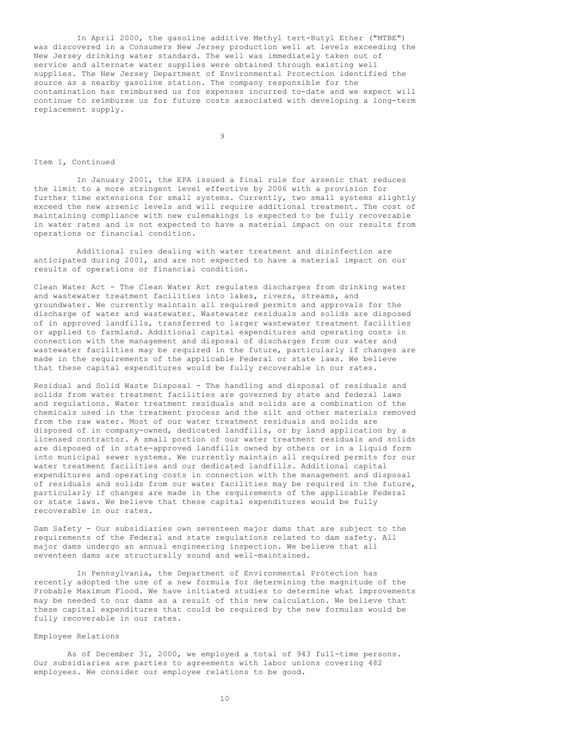In April 2000, the gasoline additive Methyl tert-Butyl Ether ("MTBE") was discovered in a Consumers New Jersey production well at levels exceeding the New Jersey drinking water standard. The well was immediately taken out of service and alternate water supplies were obtained through existing well supplies. The New Jersey Department of Environmental Protection identified the source as a nearby gasoline station. The company responsible for the contamination has reimbursed us for expenses incurred to-date and we expect will continue to reimburse us for future costs associated with developing a long-term replacement supply.

9

#### Item 1, Continued

In January 2001, the EPA issued a final rule for arsenic that reduces the limit to a more stringent level effective by 2006 with a provision for further time extensions for small systems. Currently, two small systems slightly exceed the new arsenic levels and will require additional treatment. The cost of maintaining compliance with new rulemakings is expected to be fully recoverable in water rates and is not expected to have a material impact on our results from operations or financial condition.

Additional rules dealing with water treatment and disinfection are anticipated during 2001, and are not expected to have a material impact on our results of operations or financial condition.

Clean Water Act - The Clean Water Act regulates discharges from drinking water and wastewater treatment facilities into lakes, rivers, streams, and groundwater. We currently maintain all required permits and approvals for the discharge of water and wastewater. Wastewater residuals and solids are disposed of in approved landfills, transferred to larger wastewater treatment facilities or applied to farmland. Additional capital expenditures and operating costs in connection with the management and disposal of discharges from our water and wastewater facilities may be required in the future, particularly if changes are made in the requirements of the applicable Federal or state laws. We believe that these capital expenditures would be fully recoverable in our rates.

Residual and Solid Waste Disposal - The handling and disposal of residuals and solids from water treatment facilities are governed by state and federal laws and regulations. Water treatment residuals and solids are a combination of the chemicals used in the treatment process and the silt and other materials removed from the raw water. Most of our water treatment residuals and solids are disposed of in company-owned, dedicated landfills, or by land application by a licensed contractor. A small portion of our water treatment residuals and solids are disposed of in state-approved landfills owned by others or in a liquid form into municipal sewer systems. We currently maintain all required permits for our water treatment facilities and our dedicated landfills. Additional capital expenditures and operating costs in connection with the management and disposal of residuals and solids from our water facilities may be required in the future, particularly if changes are made in the requirements of the applicable Federal or state laws. We believe that these capital expenditures would be fully recoverable in our rates.

Dam Safety - Our subsidiaries own seventeen major dams that are subject to the requirements of the Federal and state regulations related to dam safety. All major dams undergo an annual engineering inspection. We believe that all seventeen dams are structurally sound and well-maintained.

In Pennsylvania, the Department of Environmental Protection has recently adopted the use of a new formula for determining the magnitude of the Probable Maximum Flood. We have initiated studies to determine what improvements may be needed to our dams as a result of this new calculation. We believe that these capital expenditures that could be required by the new formulas would be fully recoverable in our rates.

# Employee Relations

As of December 31, 2000, we employed a total of 943 full-time persons. Our subsidiaries are parties to agreements with labor unions covering 482 employees. We consider our employee relations to be good.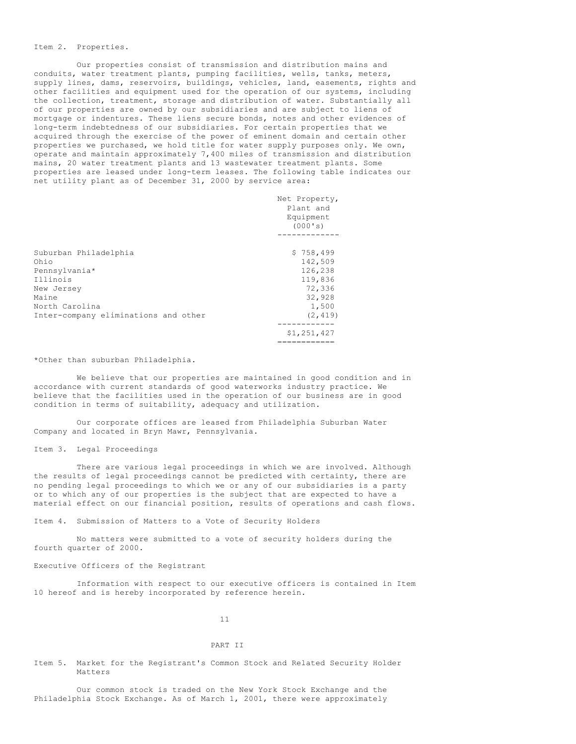### Item 2. Properties.

Our properties consist of transmission and distribution mains and conduits, water treatment plants, pumping facilities, wells, tanks, meters, supply lines, dams, reservoirs, buildings, vehicles, land, easements, rights and other facilities and equipment used for the operation of our systems, including the collection, treatment, storage and distribution of water. Substantially all of our properties are owned by our subsidiaries and are subject to liens of mortgage or indentures. These liens secure bonds, notes and other evidences of long-term indebtedness of our subsidiaries. For certain properties that we acquired through the exercise of the power of eminent domain and certain other properties we purchased, we hold title for water supply purposes only. We own, operate and maintain approximately 7,400 miles of transmission and distribution mains, 20 water treatment plants and 13 wastewater treatment plants. Some properties are leased under long-term leases. The following table indicates our net utility plant as of December 31, 2000 by service area:

|                                      | Net Property,<br>Plant and<br>Equipment<br>(000's) |
|--------------------------------------|----------------------------------------------------|
| Suburban Philadelphia                | \$758,499                                          |
| Ohio                                 | 142,509                                            |
| Pennsylvania*                        | 126,238                                            |
| Illinois                             | 119,836                                            |
| New Jersey                           | 72,336                                             |
| Maine                                | 32,928                                             |
| North Carolina                       | 1,500                                              |
| Inter-company eliminations and other | (2, 419)                                           |
|                                      | \$1,251,427                                        |
|                                      |                                                    |

\*Other than suburban Philadelphia.

We believe that our properties are maintained in good condition and in accordance with current standards of good waterworks industry practice. We believe that the facilities used in the operation of our business are in good condition in terms of suitability, adequacy and utilization.

Our corporate offices are leased from Philadelphia Suburban Water Company and located in Bryn Mawr, Pennsylvania.

Item 3. Legal Proceedings

There are various legal proceedings in which we are involved. Although the results of legal proceedings cannot be predicted with certainty, there are no pending legal proceedings to which we or any of our subsidiaries is a party or to which any of our properties is the subject that are expected to have a material effect on our financial position, results of operations and cash flows.

Item 4. Submission of Matters to a Vote of Security Holders

No matters were submitted to a vote of security holders during the fourth quarter of 2000.

Executive Officers of the Registrant

Information with respect to our executive officers is contained in Item 10 hereof and is hereby incorporated by reference herein.

11

# PART II

Item 5. Market for the Registrant's Common Stock and Related Security Holder Matters

Our common stock is traded on the New York Stock Exchange and the Philadelphia Stock Exchange. As of March 1, 2001, there were approximately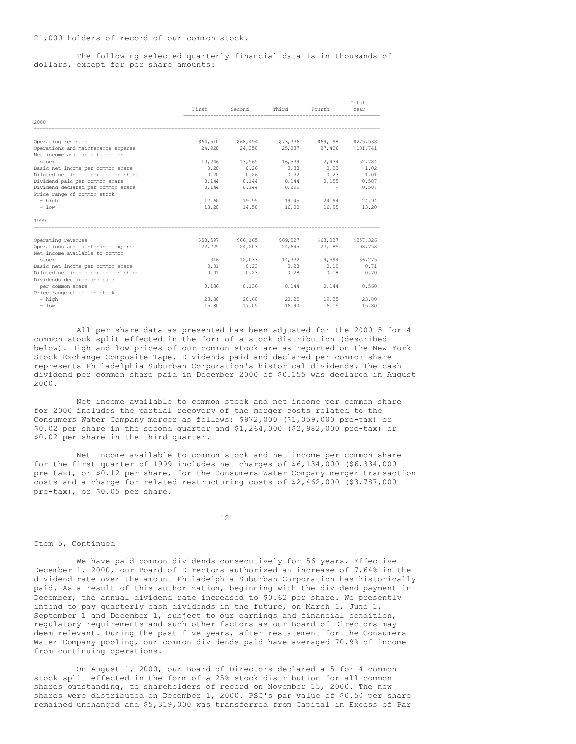The following selected quarterly financial data is in thousands of dollars, except for per share amounts:

|                                     | First  | Second          | Third                                         | Fourth                | Total<br>Year |
|-------------------------------------|--------|-----------------|-----------------------------------------------|-----------------------|---------------|
| 2000                                |        |                 |                                               |                       |               |
| Operating revenues                  |        |                 | \$64,510 \$68,494 \$73,336 \$69,198 \$275,538 |                       |               |
| Operations and maintenance expense  |        |                 | 24,928 24,350 25,037 27,426 101,741           |                       |               |
| Net income available to common      |        |                 |                                               |                       |               |
| stock                               | 10,246 |                 | 13,565 16,539 12,434                          |                       | 52,784        |
| Basic net income per common share   | 0.20   | 0.26            | 0.33                                          | 0.23                  | 1.02          |
| Diluted net income per common share |        |                 | $0.20$ $0.26$ $0.32$ $0.23$ $1.01$            |                       |               |
| Dividend paid per common share      |        | $0.144$ $0.144$ |                                               | $0.144$ $0.155$ 0.587 |               |
| Dividend declared per common share  |        | $0.144$ $0.144$ | 0.299                                         | $\sim$ $-$            | 0.587         |
| Price range of common stock         |        |                 |                                               |                       |               |
| $-$ high                            |        |                 | 17.60 19.95 19.45                             | 24.94                 | 24.94         |
| $-$ low                             |        |                 | 13.20 14.50 16.00                             | 16.95                 | 13.20         |
| 1999                                |        |                 |                                               |                       |               |
| Operating revenues                  |        |                 | \$58,597 \$66,165 \$69,527 \$63,037 \$257,326 |                       |               |
| Operations and maintenance expense  |        |                 | 22,725 24,203 24,645 27,185 98,758            |                       |               |
| Net income available to common      |        |                 |                                               |                       |               |
| stock                               | 316    |                 | 12,033 14,332 9,594 36,275                    |                       |               |
| Basic net income per common share   |        |                 | $0.01$ $0.23$ $0.28$ $0.19$                   |                       | 0.71          |
| Diluted net income per common share | 0.01   | 0.23            |                                               | $0.28$ 0.18           | 0.70          |
| Dividends declared and paid         |        |                 |                                               |                       |               |
| per common share                    | 0.136  | 0.136           | 0.144                                         | 0.144                 | 0.560         |
| Price range of common stock         |        |                 |                                               |                       |               |
| - high                              |        | 23.80 20.60     | 20.25                                         | 19.35                 | 23.80         |
| $-$ low                             | 15.80  | 17.05           | 16.90                                         | 16.15                 | 15.80         |

All per share data as presented has been adjusted for the 2000 5-for-4 common stock split effected in the form of a stock distribution (described below). High and low prices of our common stock are as reported on the New York Stock Exchange Composite Tape. Dividends paid and declared per common share represents Philadelphia Suburban Corporation's historical dividends. The cash dividend per common share paid in December 2000 of \$0.155 was declared in August 2000.

Net income available to common stock and net income per common share for 2000 includes the partial recovery of the merger costs related to the Consumers Water Company merger as follows: \$972,000 (\$1,059,000 pre-tax) or \$0.02 per share in the second quarter and \$1,264,000 (\$2,982,000 pre-tax) or \$0.02 per share in the third quarter.

Net income available to common stock and net income per common share for the first quarter of 1999 includes net charges of \$6,134,000 (\$6,334,000 pre-tax), or \$0.12 per share, for the Consumers Water Company merger transaction costs and a charge for related restructuring costs of \$2,462,000 (\$3,787,000 pre-tax), or \$0.05 per share.

12

### Item 5, Continued

We have paid common dividends consecutively for 56 years. Effective December 1, 2000, our Board of Directors authorized an increase of 7.64% in the dividend rate over the amount Philadelphia Suburban Corporation has historically paid. As a result of this authorization, beginning with the dividend payment in December, the annual dividend rate increased to \$0.62 per share. We presently intend to pay quarterly cash dividends in the future, on March 1, June 1, September 1 and December 1, subject to our earnings and financial condition, regulatory requirements and such other factors as our Board of Directors may deem relevant. During the past five years, after restatement for the Consumers Water Company pooling, our common dividends paid have averaged 70.9% of income from continuing operations.

On August 1, 2000, our Board of Directors declared a 5-for-4 common stock split effected in the form of a 25% stock distribution for all common shares outstanding, to shareholders of record on November 15, 2000. The new shares were distributed on December 1, 2000. PSC's par value of \$0.50 per share remained unchanged and \$5,319,000 was transferred from Capital in Excess of Par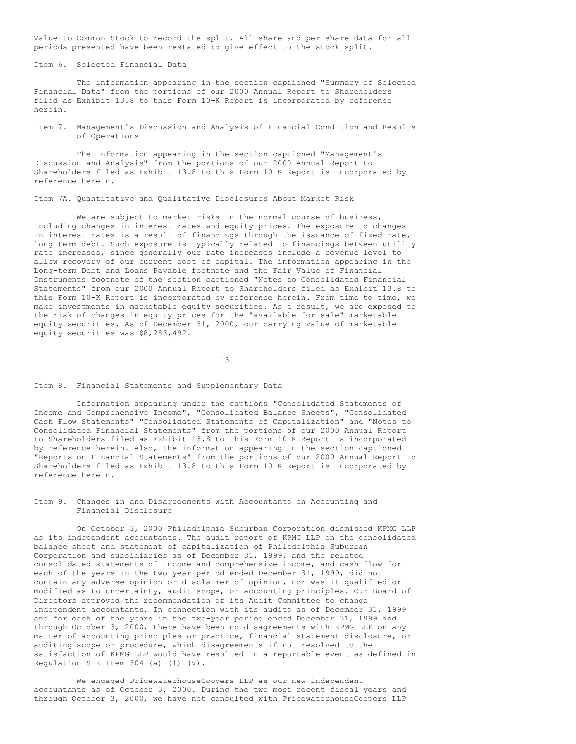Value to Common Stock to record the split. All share and per share data for all periods presented have been restated to give effect to the stock split.

Item 6. Selected Financial Data

The information appearing in the section captioned "Summary of Selected Financial Data" from the portions of our 2000 Annual Report to Shareholders filed as Exhibit 13.8 to this Form 10-K Report is incorporated by reference herein.

Item 7. Management's Discussion and Analysis of Financial Condition and Results of Operations

The information appearing in the section captioned "Management's Discussion and Analysis" from the portions of our 2000 Annual Report to Shareholders filed as Exhibit 13.8 to this Form 10-K Report is incorporated by reference herein.

Item 7A. Quantitative and Qualitative Disclosures About Market Risk

We are subject to market risks in the normal course of business, including changes in interest rates and equity prices. The exposure to changes in interest rates is a result of financings through the issuance of fixed-rate, long-term debt. Such exposure is typically related to financings between utility rate increases, since generally our rate increases include a revenue level to allow recovery of our current cost of capital. The information appearing in the Long-term Debt and Loans Payable footnote and the Fair Value of Financial Instruments footnote of the section captioned "Notes to Consolidated Financial Statements" from our 2000 Annual Report to Shareholders filed as Exhibit 13.8 to this Form 10-K Report is incorporated by reference herein. From time to time, we make investments in marketable equity securities. As a result, we are exposed to the risk of changes in equity prices for the "available-for-sale" marketable equity securities. As of December 31, 2000, our carrying value of marketable equity securities was \$8,283,492.

13

### Item 8. Financial Statements and Supplementary Data

Information appearing under the captions "Consolidated Statements of Income and Comprehensive Income", "Consolidated Balance Sheets", "Consolidated Cash Flow Statements" "Consolidated Statements of Capitalization" and "Notes to Consolidated Financial Statements" from the portions of our 2000 Annual Report to Shareholders filed as Exhibit 13.8 to this Form 10-K Report is incorporated by reference herein. Also, the information appearing in the section captioned "Reports on Financial Statements" from the portions of our 2000 Annual Report to Shareholders filed as Exhibit 13.8 to this Form 10-K Report is incorporated by reference herein.

Item 9. Changes in and Disagreements with Accountants on Accounting and Financial Disclosure

On October 3, 2000 Philadelphia Suburban Corporation dismissed KPMG LLP as its independent accountants. The audit report of KPMG LLP on the consolidated balance sheet and statement of capitalization of Philadelphia Suburban Corporation and subsidiaries as of December 31, 1999, and the related consolidated statements of income and comprehensive income, and cash flow for each of the years in the two-year period ended December 31, 1999, did not contain any adverse opinion or disclaimer of opinion, nor was it qualified or modified as to uncertainty, audit scope, or accounting principles. Our Board of Directors approved the recommendation of its Audit Committee to change independent accountants. In connection with its audits as of December 31, 1999 and for each of the years in the two-year period ended December 31, 1999 and through October 3, 2000, there have been no disagreements with KPMG LLP on any matter of accounting principles or practice, financial statement disclosure, or auditing scope or procedure, which disagreements if not resolved to the satisfaction of KPMG LLP would have resulted in a reportable event as defined in Regulation  $S-K$  Item 304 (a) (1) (v).

We engaged PricewaterhouseCoopers LLP as our new independent accountants as of October 3, 2000. During the two most recent fiscal years and through October 3, 2000, we have not consulted with PricewaterhouseCoopers LLP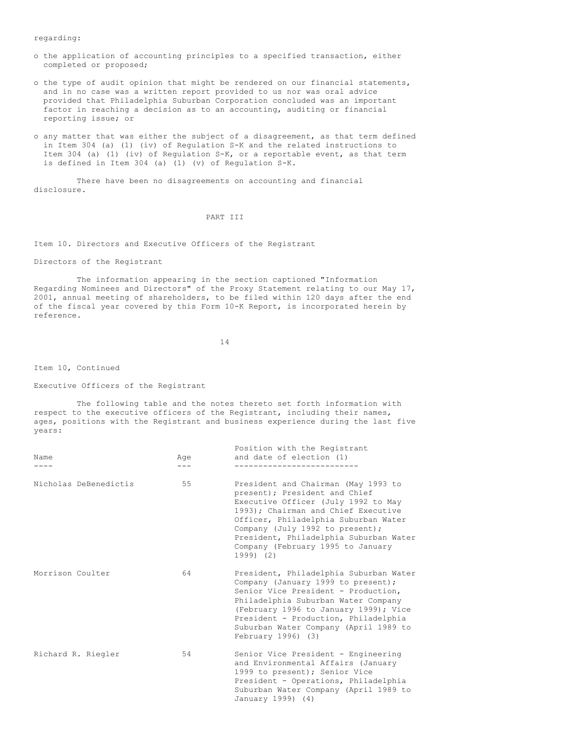regarding:

- o the application of accounting principles to a specified transaction, either completed or proposed;
- o the type of audit opinion that might be rendered on our financial statements, and in no case was a written report provided to us nor was oral advice provided that Philadelphia Suburban Corporation concluded was an important factor in reaching a decision as to an accounting, auditing or financial reporting issue; or
- o any matter that was either the subject of a disagreement, as that term defined in Item 304 (a) (1) (iv) of Regulation S-K and the related instructions to Item 304 (a) (1) (iv) of Regulation S-K, or a reportable event, as that term is defined in Item 304 (a) (1) (v) of Regulation S-K.

There have been no disagreements on accounting and financial disclosure.

PART III

Item 10. Directors and Executive Officers of the Registrant

Directors of the Registrant

The information appearing in the section captioned "Information Regarding Nominees and Directors" of the Proxy Statement relating to our May 17, 2001, annual meeting of shareholders, to be filed within 120 days after the end of the fiscal year covered by this Form 10-K Report, is incorporated herein by reference.

14

Item 10, Continued

Executive Officers of the Registrant

The following table and the notes thereto set forth information with respect to the executive officers of the Registrant, including their names, ages, positions with the Registrant and business experience during the last five years:

| Name<br>---           | Aqe | Position with the Registrant<br>and date of election (1)                                                                                                                                                                                                                                                                    |
|-----------------------|-----|-----------------------------------------------------------------------------------------------------------------------------------------------------------------------------------------------------------------------------------------------------------------------------------------------------------------------------|
| Nicholas DeBenedictis | 55  | President and Chairman (May 1993 to<br>present); President and Chief<br>Executive Officer (July 1992 to May<br>1993): Chairman and Chief Executive<br>Officer, Philadelphia Suburban Water<br>Company (July 1992 to present);<br>President, Philadelphia Suburban Water<br>Company (February 1995 to January<br>$1999)$ (2) |
| Morrison Coulter      | 64  | President, Philadelphia Suburban Water<br>Company (January 1999 to present);<br>Senior Vice President - Production,<br>Philadelphia Suburban Water Company<br>(February 1996 to January 1999); Vice<br>President - Production, Philadelphia<br>Suburban Water Company (April 1989 to<br>February 1996) (3)                  |
| Richard R. Riegler    | 54  | Senior Vice President - Engineering<br>and Environmental Affairs (January<br>1999 to present); Senior Vice<br>President - Operations, Philadelphia<br>Suburban Water Company (April 1989 to<br>January 1999) (4)                                                                                                            |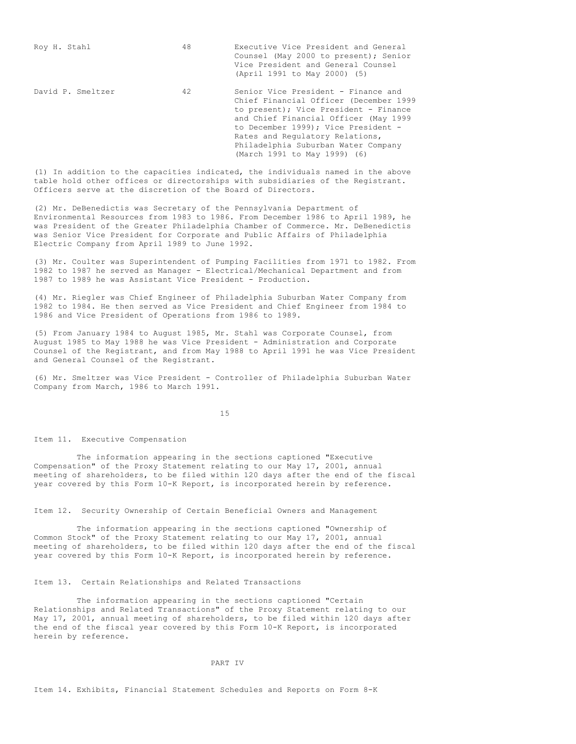| Roy H. Stahl      | 48 | Executive Vice President and General<br>Counsel (May 2000 to present); Senior<br>Vice President and General Counsel<br>(April 1991 to May 2000) (5)                                                                                                                                                              |
|-------------------|----|------------------------------------------------------------------------------------------------------------------------------------------------------------------------------------------------------------------------------------------------------------------------------------------------------------------|
| David P. Smeltzer | 42 | Senior Vice President - Finance and<br>Chief Financial Officer (December 1999<br>to present); Vice President - Finance<br>and Chief Financial Officer (May 1999<br>to December 1999): Vice President -<br>Rates and Requiatory Relations,<br>Philadelphia Suburban Water Company<br>(March 1991 to May 1999) (6) |

(1) In addition to the capacities indicated, the individuals named in the above table hold other offices or directorships with subsidiaries of the Registrant. Officers serve at the discretion of the Board of Directors.

(2) Mr. DeBenedictis was Secretary of the Pennsylvania Department of Environmental Resources from 1983 to 1986. From December 1986 to April 1989, he was President of the Greater Philadelphia Chamber of Commerce. Mr. DeBenedictis was Senior Vice President for Corporate and Public Affairs of Philadelphia Electric Company from April 1989 to June 1992.

(3) Mr. Coulter was Superintendent of Pumping Facilities from 1971 to 1982. From 1982 to 1987 he served as Manager - Electrical/Mechanical Department and from 1987 to 1989 he was Assistant Vice President - Production.

(4) Mr. Riegler was Chief Engineer of Philadelphia Suburban Water Company from 1982 to 1984. He then served as Vice President and Chief Engineer from 1984 to 1986 and Vice President of Operations from 1986 to 1989.

(5) From January 1984 to August 1985, Mr. Stahl was Corporate Counsel, from August 1985 to May 1988 he was Vice President - Administration and Corporate Counsel of the Registrant, and from May 1988 to April 1991 he was Vice President and General Counsel of the Registrant.

(6) Mr. Smeltzer was Vice President - Controller of Philadelphia Suburban Water Company from March, 1986 to March 1991.

15

Item 11. Executive Compensation

The information appearing in the sections captioned "Executive Compensation" of the Proxy Statement relating to our May 17, 2001, annual meeting of shareholders, to be filed within 120 days after the end of the fiscal year covered by this Form 10-K Report, is incorporated herein by reference.

Item 12. Security Ownership of Certain Beneficial Owners and Management

The information appearing in the sections captioned "Ownership of Common Stock" of the Proxy Statement relating to our May 17, 2001, annual meeting of shareholders, to be filed within 120 days after the end of the fiscal year covered by this Form 10-K Report, is incorporated herein by reference.

## Item 13. Certain Relationships and Related Transactions

The information appearing in the sections captioned "Certain Relationships and Related Transactions" of the Proxy Statement relating to our May 17, 2001, annual meeting of shareholders, to be filed within 120 days after the end of the fiscal year covered by this Form 10-K Report, is incorporated herein by reference.

## PART IV

Item 14. Exhibits, Financial Statement Schedules and Reports on Form 8-K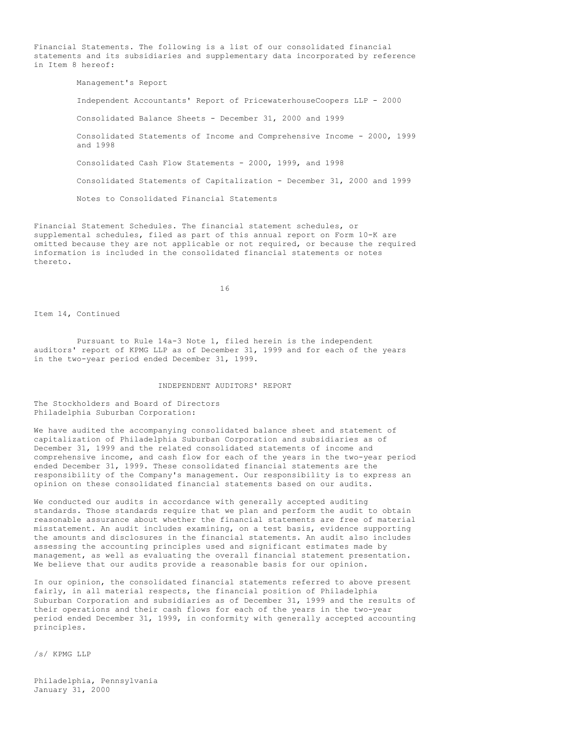Financial Statements. The following is a list of our consolidated financial statements and its subsidiaries and supplementary data incorporated by reference in Item 8 hereof:

> Management's Report Independent Accountants' Report of PricewaterhouseCoopers LLP - 2000 Consolidated Balance Sheets - December 31, 2000 and 1999 Consolidated Statements of Income and Comprehensive Income - 2000, 1999 and 1998 Consolidated Cash Flow Statements - 2000, 1999, and 1998 Consolidated Statements of Capitalization - December 31, 2000 and 1999 Notes to Consolidated Financial Statements

Financial Statement Schedules. The financial statement schedules, or supplemental schedules, filed as part of this annual report on Form 10-K are omitted because they are not applicable or not required, or because the required information is included in the consolidated financial statements or notes thereto.

16

Item 14, Continued

Pursuant to Rule 14a-3 Note 1, filed herein is the independent auditors' report of KPMG LLP as of December 31, 1999 and for each of the years in the two-year period ended December 31, 1999.

#### INDEPENDENT AUDITORS' REPORT

The Stockholders and Board of Directors Philadelphia Suburban Corporation:

We have audited the accompanying consolidated balance sheet and statement of capitalization of Philadelphia Suburban Corporation and subsidiaries as of December 31, 1999 and the related consolidated statements of income and comprehensive income, and cash flow for each of the years in the two-year period ended December 31, 1999. These consolidated financial statements are the responsibility of the Company's management. Our responsibility is to express an opinion on these consolidated financial statements based on our audits.

We conducted our audits in accordance with generally accepted auditing standards. Those standards require that we plan and perform the audit to obtain reasonable assurance about whether the financial statements are free of material misstatement. An audit includes examining, on a test basis, evidence supporting the amounts and disclosures in the financial statements. An audit also includes assessing the accounting principles used and significant estimates made by management, as well as evaluating the overall financial statement presentation. We believe that our audits provide a reasonable basis for our opinion.

In our opinion, the consolidated financial statements referred to above present fairly, in all material respects, the financial position of Philadelphia Suburban Corporation and subsidiaries as of December 31, 1999 and the results of their operations and their cash flows for each of the years in the two-year period ended December 31, 1999, in conformity with generally accepted accounting principles.

/s/ KPMG LLP

Philadelphia, Pennsylvania January 31, 2000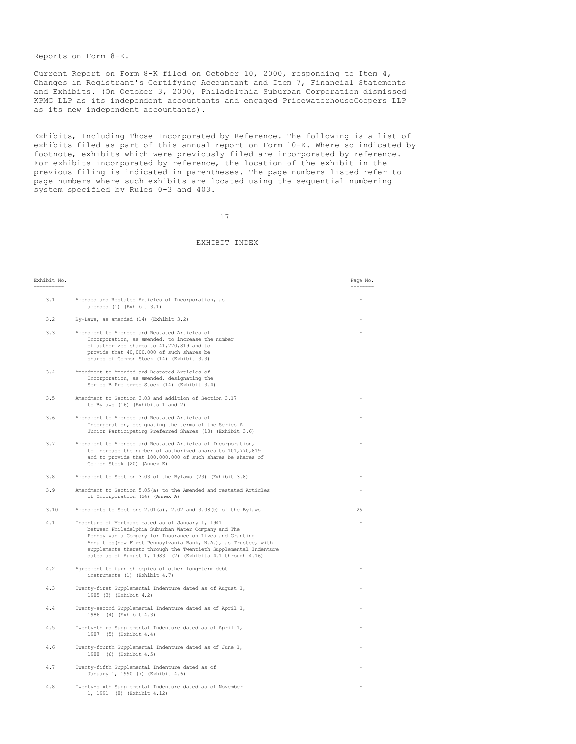Reports on Form 8-K.

Current Report on Form 8-K filed on October 10, 2000, responding to Item 4, Changes in Registrant's Certifying Accountant and Item 7, Financial Statements and Exhibits. (On October 3, 2000, Philadelphia Suburban Corporation dismissed KPMG LLP as its independent accountants and engaged PricewaterhouseCoopers LLP as its new independent accountants).

Exhibits, Including Those Incorporated by Reference. The following is a list of exhibits filed as part of this annual report on Form 10-K. Where so indicated by footnote, exhibits which were previously filed are incorporated by reference. For exhibits incorporated by reference, the location of the exhibit in the previous filing is indicated in parentheses. The page numbers listed refer to page numbers where such exhibits are located using the sequential numbering system specified by Rules 0-3 and 403.

17

# EXHIBIT INDEX

| Exhibit No. |                                                                                                                                                                                                                                                                                                                                                                           | Page No.<br>------ |
|-------------|---------------------------------------------------------------------------------------------------------------------------------------------------------------------------------------------------------------------------------------------------------------------------------------------------------------------------------------------------------------------------|--------------------|
| 3.1         | Amended and Restated Articles of Incorporation, as                                                                                                                                                                                                                                                                                                                        |                    |
|             | amended (1) (Exhibit 3.1)                                                                                                                                                                                                                                                                                                                                                 |                    |
| 3.2         | By-Laws, as amended (14) (Exhibit 3.2)                                                                                                                                                                                                                                                                                                                                    |                    |
| 3.3         | Amendment to Amended and Restated Articles of<br>Incorporation, as amended, to increase the number<br>of authorized shares to 41,770,819 and to<br>provide that 40,000,000 of such shares be<br>shares of Common Stock (14) (Exhibit 3.3)                                                                                                                                 |                    |
| 3.4         | Amendment to Amended and Restated Articles of<br>Incorporation, as amended, designating the<br>Series B Preferred Stock (14) (Exhibit 3.4)                                                                                                                                                                                                                                |                    |
| 3.5         | Amendment to Section 3.03 and addition of Section 3.17<br>to Bylaws (16) (Exhibits 1 and 2)                                                                                                                                                                                                                                                                               |                    |
| 3.6         | Amendment to Amended and Restated Articles of<br>Incorporation, designating the terms of the Series A<br>Junior Participating Preferred Shares (18) (Exhibit 3.6)                                                                                                                                                                                                         |                    |
| 3.7         | Amendment to Amended and Restated Articles of Incorporation,<br>to increase the number of authorized shares to 101,770,819<br>and to provide that 100,000,000 of such shares be shares of<br>Common Stock (20) (Annex E)                                                                                                                                                  |                    |
| 3.8         | Amendment to Section 3.03 of the Bylaws (23) (Exhibit 3.8)                                                                                                                                                                                                                                                                                                                |                    |
| 3.9         | Amendment to Section 5.05(a) to the Amended and restated Articles<br>of Incorporation (24) (Annex A)                                                                                                                                                                                                                                                                      |                    |
| 3.10        | Amendments to Sections 2.01(a), 2.02 and 3.08(b) of the Bylaws                                                                                                                                                                                                                                                                                                            | 26                 |
| 4.1         | Indenture of Mortgage dated as of January 1, 1941<br>between Philadelphia Suburban Water Company and The<br>Pennsylvania Company for Insurance on Lives and Granting<br>Annuities (now First Pennsylvania Bank, N.A.), as Trustee, with<br>supplements thereto through the Twentieth Supplemental Indenture<br>dated as of August 1, 1983 (2) (Exhibits 4.1 through 4.16) |                    |
| 4.2         | Agreement to furnish copies of other long-term debt<br>instruments (1) (Exhibit 4.7)                                                                                                                                                                                                                                                                                      |                    |
| 4.3         | Twenty-first Supplemental Indenture dated as of August 1,<br>1985 (3) (Exhibit 4.2)                                                                                                                                                                                                                                                                                       |                    |
| 4.4         | Twenty-second Supplemental Indenture dated as of April 1,<br>1986 (4) (Exhibit 4.3)                                                                                                                                                                                                                                                                                       |                    |
| 4.5         | Twenty-third Supplemental Indenture dated as of April 1,<br>1987 (5) (Exhibit 4.4)                                                                                                                                                                                                                                                                                        |                    |
| 4.6         | Twenty-fourth Supplemental Indenture dated as of June 1,<br>1988 (6) (Exhibit 4.5)                                                                                                                                                                                                                                                                                        |                    |
| 4.7         | Twenty-fifth Supplemental Indenture dated as of<br>January 1, 1990 (7) (Exhibit 4.6)                                                                                                                                                                                                                                                                                      |                    |
| 4.8         | Twenty-sixth Supplemental Indenture dated as of November<br>1, 1991 (8) (Exhibit 4.12)                                                                                                                                                                                                                                                                                    |                    |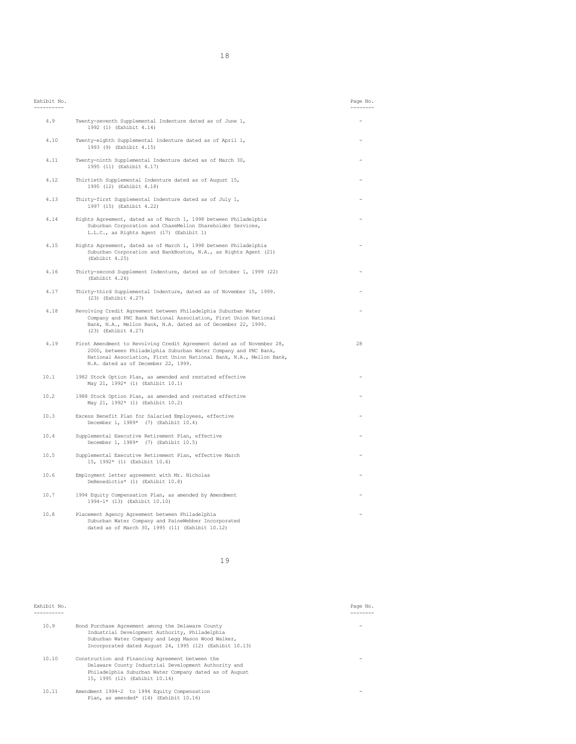| Exhibit No. |                                                                                                                                                                                                                                                         | Page No.<br>--------- |
|-------------|---------------------------------------------------------------------------------------------------------------------------------------------------------------------------------------------------------------------------------------------------------|-----------------------|
| 4.9         | Twenty-seventh Supplemental Indenture dated as of June 1,<br>1992 (1) (Exhibit 4.14)                                                                                                                                                                    |                       |
| 4.10        | Twenty-eighth Supplemental Indenture dated as of April 1,<br>1993 (9) (Exhibit 4.15)                                                                                                                                                                    |                       |
| 4.11        | Twenty-ninth Supplemental Indenture dated as of March 30,<br>1995 (11) (Exhibit 4.17)                                                                                                                                                                   |                       |
| 4.12        | Thirtieth Supplemental Indenture dated as of August 15,<br>1995 (12) (Exhibit 4.18)                                                                                                                                                                     |                       |
| 4.13        | Thirty-first Supplemental Indenture dated as of July 1,<br>1997 (15) (Exhibit 4.22)                                                                                                                                                                     |                       |
| 4.14        | Rights Agreement, dated as of March 1, 1998 between Philadelphia<br>Suburban Corporation and ChaseMellon Shareholder Services,<br>L.L.C., as Rights Agent (17) (Exhibit 1)                                                                              |                       |
| 4.15        | Rights Agreement, dated as of March 1, 1998 between Philadelphia<br>Suburban Corporation and BankBoston, N.A., as Rights Agent (21)<br>(Exhibit 4.25)                                                                                                   |                       |
| 4.16        | Thirty-second Supplement Indenture, dated as of October 1, 1999 (22)<br>(Exhibit 4.26)                                                                                                                                                                  |                       |
| 4.17        | Thirty-third Supplemental Indenture, dated as of November 15, 1999.<br>(23) (Exhibit 4.27)                                                                                                                                                              |                       |
| 4.18        | Revolving Credit Agreement between Philadelphia Suburban Water<br>Company and PNC Bank National Association, First Union National<br>Bank, N.A., Mellon Bank, N.A. dated as of December 22, 1999.<br>(23) (Exhibit 4.27)                                |                       |
| 4.19        | First Amendment to Revolving Credit Agreement dated as of November 28,<br>2000, between Philadelphia Suburban Water Company and PNC Bank,<br>National Association, First Union National Bank, N.A., Mellon Bank,<br>N.A. dated as of December 22, 1999. | 28                    |
| 10.1        | 1982 Stock Option Plan, as amended and restated effective<br>May 21, 1992* (1) (Exhibit 10.1)                                                                                                                                                           |                       |
| 10.2        | 1988 Stock Option Plan, as amended and restated effective<br>May 21, 1992* (1) (Exhibit 10.2)                                                                                                                                                           |                       |
| 10.3        | Excess Benefit Plan for Salaried Employees, effective<br>December 1, 1989* (7) (Exhibit 10.4)                                                                                                                                                           |                       |
| 10.4        | Supplemental Executive Retirement Plan, effective<br>December 1, 1989* (7) (Exhibit 10.5)                                                                                                                                                               |                       |
| 10.5        | Supplemental Executive Retirement Plan, effective March<br>15, 1992* (1) (Exhibit 10.6)                                                                                                                                                                 |                       |
| 10.6        | Employment letter agreement with Mr. Nicholas<br>DeBenedictis* (1) (Exhibit 10.8)                                                                                                                                                                       |                       |
| 10.7        | 1994 Equity Compensation Plan, as amended by Amendment<br>1994-1* (13) (Exhibit 10.10)                                                                                                                                                                  |                       |
| 10.8        | Placement Agency Agreement between Philadelphia<br>Suburban Water Company and PaineWebber Incorporated<br>dated as of March 30, 1995 (11) (Exhibit 10.12)                                                                                               |                       |

#### Exhibit No. Page No.

| 10.9  | Bond Purchase Agreement among the Delaware County<br>Industrial Development Authority, Philadelphia<br>Suburban Water Company and Legg Mason Wood Walker,<br>Incorporated dated August 24, 1995 (12) (Exhibit 10.13) |  |
|-------|----------------------------------------------------------------------------------------------------------------------------------------------------------------------------------------------------------------------|--|
| 10.10 | Construction and Financing Agreement between the<br>Delaware County Industrial Development Authority and<br>Philadelphia Suburban Water Company dated as of August<br>15, 1995 (12) (Exhibit 10.14)                  |  |
| 10.11 | Amendment 1994-2 to 1994 Equity Compensation<br>Plan, as amended* (14) (Exhibit 10.16)                                                                                                                               |  |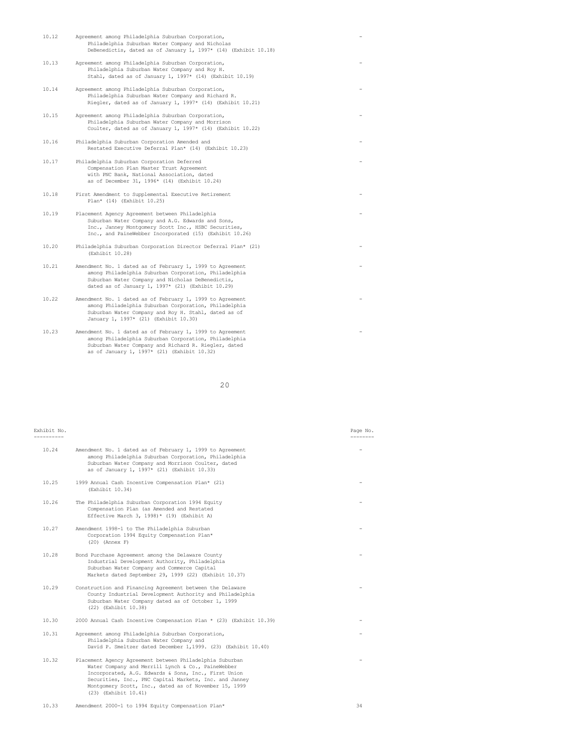| 10.12 | Agreement among Philadelphia Suburban Corporation,<br>Philadelphia Suburban Water Company and Nicholas<br>DeBenedictis, dated as of January 1, 1997* (14) (Exhibit 10.18)                                                      |  |
|-------|--------------------------------------------------------------------------------------------------------------------------------------------------------------------------------------------------------------------------------|--|
| 10.13 | Agreement among Philadelphia Suburban Corporation,<br>Philadelphia Suburban Water Company and Roy H.<br>Stahl, dated as of January 1, 1997* (14) (Exhibit 10.19)                                                               |  |
| 10.14 | Agreement among Philadelphia Suburban Corporation,<br>Philadelphia Suburban Water Company and Richard R.<br>Riegler, dated as of January 1, 1997* (14) (Exhibit 10.21)                                                         |  |
| 10.15 | Agreement among Philadelphia Suburban Corporation,<br>Philadelphia Suburban Water Company and Morrison<br>Coulter, dated as of January 1, 1997* (14) (Exhibit 10.22)                                                           |  |
| 10.16 | Philadelphia Suburban Corporation Amended and<br>Restated Executive Deferral Plan* (14) (Exhibit 10.23)                                                                                                                        |  |
| 10.17 | Philadelphia Suburban Corporation Deferred<br>Compensation Plan Master Trust Agreement<br>with PNC Bank, National Association, dated<br>as of December 31, 1996* (14) (Exhibit 10.24)                                          |  |
| 10.18 | First Amendment to Supplemental Executive Retirement<br>Plan* (14) (Exhibit 10.25)                                                                                                                                             |  |
| 10.19 | Placement Agency Agreement between Philadelphia<br>Suburban Water Company and A.G. Edwards and Sons,<br>Inc., Janney Montgomery Scott Inc., HSBC Securities,<br>Inc., and PaineWebber Incorporated (15) (Exhibit 10.26)        |  |
| 10.20 | Philadelphia Suburban Corporation Director Deferral Plan* (21)<br>(Exhibit 10.28)                                                                                                                                              |  |
| 10.21 | Amendment No. 1 dated as of February 1, 1999 to Agreement<br>among Philadelphia Suburban Corporation, Philadelphia<br>Suburban Water Company and Nicholas DeBenedictis,<br>dated as of January 1, $1997*$ (21) (Exhibit 10.29) |  |
| 10.22 | Amendment No. 1 dated as of February 1, 1999 to Agreement<br>among Philadelphia Suburban Corporation, Philadelphia<br>Suburban Water Company and Roy H. Stahl, dated as of<br>January 1, 1997* (21) (Exhibit 10.30)            |  |
| 10.23 | Amendment No. 1 dated as of February 1, 1999 to Agreement<br>among Philadelphia Suburban Corporation, Philadelphia<br>Suburban Water Company and Richard R. Riegler, dated<br>as of January 1, 1997* (21) (Exhibit 10.32)      |  |

| Exhibit No. |                                                                                                                                                                                                                                                                                                                   | Page No. |
|-------------|-------------------------------------------------------------------------------------------------------------------------------------------------------------------------------------------------------------------------------------------------------------------------------------------------------------------|----------|
| 10.24       | Amendment No. 1 dated as of February 1, 1999 to Agreement<br>among Philadelphia Suburban Corporation, Philadelphia<br>Suburban Water Company and Morrison Coulter, dated<br>as of January 1, 1997* (21) (Exhibit 10.33)                                                                                           |          |
| 10.25       | 1999 Annual Cash Incentive Compensation Plan* (21)<br>(Exhibit 10.34)                                                                                                                                                                                                                                             |          |
| 10.26       | The Philadelphia Suburban Corporation 1994 Equity<br>Compensation Plan (as Amended and Restated<br>Effective March 3, 1998)* (19) (Exhibit A)                                                                                                                                                                     |          |
| 10.27       | Amendment 1998-1 to The Philadelphia Suburban<br>Corporation 1994 Equity Compensation Plan*<br>$(20)$ (Annex F)                                                                                                                                                                                                   |          |
| 10.28       | Bond Purchase Agreement among the Delaware County<br>Industrial Development Authority, Philadelphia<br>Suburban Water Company and Commerce Capital<br>Markets dated September 29, 1999 (22) (Exhibit 10.37)                                                                                                       |          |
| 10.29       | Construction and Financing Agreement between the Delaware<br>County Industrial Development Authority and Philadelphia<br>Suburban Water Company dated as of October 1, 1999<br>(22) (Exhibit 10.38)                                                                                                               |          |
| 10.30       | 2000 Annual Cash Incentive Compensation Plan * (23) (Exhibit 10.39)                                                                                                                                                                                                                                               |          |
| 10.31       | Agreement among Philadelphia Suburban Corporation,<br>Philadelphia Suburban Water Company and<br>David P. Smeltzer dated December 1, 1999. (23) (Exhibit 10.40)                                                                                                                                                   |          |
| 10.32       | Placement Agency Agreement between Philadelphia Suburban<br>Water Company and Merrill Lynch & Co., PaineWebber<br>Incorporated, A.G. Edwards & Sons, Inc., First Union<br>Securities, Inc., PNC Capital Markets, Inc. and Janney<br>Montgomery Scott, Inc., dated as of November 15, 1999<br>(23) (Exhibit 10.41) |          |
| 10.33       | Amendment 2000-1 to 1994 Equity Compensation Plan*                                                                                                                                                                                                                                                                | 34       |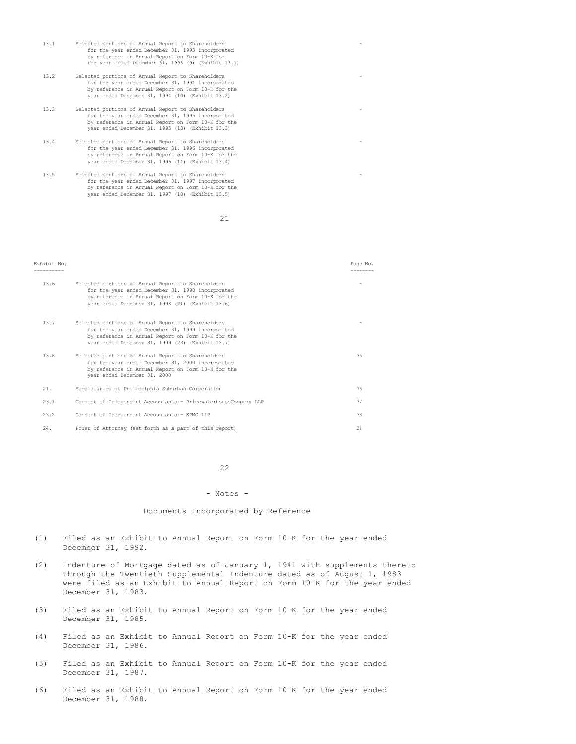| 13.1 | Selected portions of Annual Report to Shareholders<br>for the year ended December 31, 1993 incorporated<br>by reference in Annual Report on Form 10-K for<br>the year ended December 31, 1993 (9) (Exhibit 13.1)  |  |
|------|-------------------------------------------------------------------------------------------------------------------------------------------------------------------------------------------------------------------|--|
| 13.2 | Selected portions of Annual Report to Shareholders<br>for the year ended December 31, 1994 incorporated<br>by reference in Annual Report on Form 10-K for the<br>year ended December 31, 1994 (10) (Exhibit 13.2) |  |
| 13.3 | Selected portions of Annual Report to Shareholders<br>for the year ended December 31, 1995 incorporated<br>by reference in Annual Report on Form 10-K for the<br>year ended December 31, 1995 (13) (Exhibit 13.3) |  |
| 13.4 | Selected portions of Annual Report to Shareholders<br>for the year ended December 31, 1996 incorporated<br>by reference in Annual Report on Form 10-K for the<br>year ended December 31, 1996 (14) (Exhibit 13.4) |  |
| 13.5 | Selected portions of Annual Report to Shareholders<br>for the year ended December 31, 1997 incorporated<br>by reference in Annual Report on Form 10-K for the<br>year ended December 31, 1997 (18) (Exhibit 13.5) |  |

#### Exhibit No. Page No.

| 13.6 | Selected portions of Annual Report to Shareholders<br>for the year ended December 31, 1998 incorporated<br>by reference in Annual Report on Form 10-K for the<br>year ended December 31, 1998 (21) (Exhibit 13.6) |    |
|------|-------------------------------------------------------------------------------------------------------------------------------------------------------------------------------------------------------------------|----|
| 13.7 | Selected portions of Annual Report to Shareholders<br>for the year ended December 31, 1999 incorporated<br>by reference in Annual Report on Form 10-K for the<br>year ended December 31, 1999 (23) (Exhibit 13.7) |    |
| 13.8 | Selected portions of Annual Report to Shareholders<br>for the year ended December 31, 2000 incorporated<br>by reference in Annual Report on Form 10-K for the<br>year ended December 31, 2000                     | 35 |
| 21.  | Subsidiaries of Philadelphia Suburban Corporation                                                                                                                                                                 | 76 |
| 23.1 | Consent of Independent Accountants - PricewaterhouseCoopers LLP                                                                                                                                                   | 77 |
| 23.2 | Consent of Independent Accountants - KPMG LLP                                                                                                                                                                     | 78 |
| 24.  | Power of Attorney (set forth as a part of this report)                                                                                                                                                            | 24 |

# 22

#### - Notes -

# Documents Incorporated by Reference

- (1) Filed as an Exhibit to Annual Report on Form 10-K for the year ended December 31, 1992.
- (2) Indenture of Mortgage dated as of January 1, 1941 with supplements thereto through the Twentieth Supplemental Indenture dated as of August 1, 1983 were filed as an Exhibit to Annual Report on Form 10-K for the year ended December 31, 1983.
- (3) Filed as an Exhibit to Annual Report on Form 10-K for the year ended December 31, 1985.
- (4) Filed as an Exhibit to Annual Report on Form 10-K for the year ended December 31, 1986.
- (5) Filed as an Exhibit to Annual Report on Form 10-K for the year ended December 31, 1987.
- (6) Filed as an Exhibit to Annual Report on Form 10-K for the year ended December 31, 1988.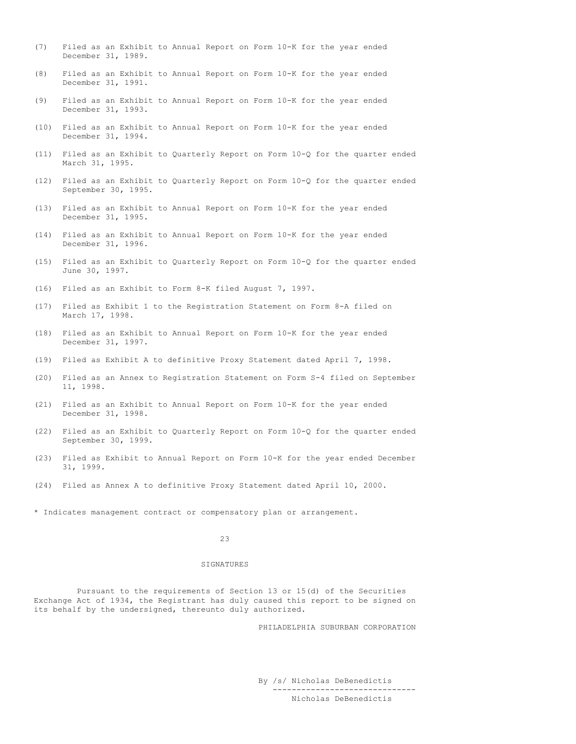- (7) Filed as an Exhibit to Annual Report on Form 10-K for the year ended December 31, 1989.
- (8) Filed as an Exhibit to Annual Report on Form 10-K for the year ended December 31, 1991.
- (9) Filed as an Exhibit to Annual Report on Form 10-K for the year ended December 31, 1993.
- (10) Filed as an Exhibit to Annual Report on Form 10-K for the year ended December 31, 1994.
- (11) Filed as an Exhibit to Quarterly Report on Form 10-Q for the quarter ended March 31, 1995.
- (12) Filed as an Exhibit to Quarterly Report on Form 10-Q for the quarter ended September 30, 1995.
- (13) Filed as an Exhibit to Annual Report on Form 10-K for the year ended December 31, 1995.
- (14) Filed as an Exhibit to Annual Report on Form 10-K for the year ended December 31, 1996.
- (15) Filed as an Exhibit to Quarterly Report on Form 10-Q for the quarter ended June 30, 1997.
- (16) Filed as an Exhibit to Form 8-K filed August 7, 1997.
- (17) Filed as Exhibit 1 to the Registration Statement on Form 8-A filed on March 17, 1998.
- (18) Filed as an Exhibit to Annual Report on Form 10-K for the year ended December 31, 1997.
- (19) Filed as Exhibit A to definitive Proxy Statement dated April 7, 1998.
- (20) Filed as an Annex to Registration Statement on Form S-4 filed on September 11, 1998.
- (21) Filed as an Exhibit to Annual Report on Form 10-K for the year ended December 31, 1998.
- (22) Filed as an Exhibit to Quarterly Report on Form 10-Q for the quarter ended September 30, 1999.
- (23) Filed as Exhibit to Annual Report on Form 10-K for the year ended December 31, 1999.
- (24) Filed as Annex A to definitive Proxy Statement dated April 10, 2000.
- \* Indicates management contract or compensatory plan or arrangement.

#### SIGNATURES

Pursuant to the requirements of Section 13 or 15(d) of the Securities Exchange Act of 1934, the Registrant has duly caused this report to be signed on its behalf by the undersigned, thereunto duly authorized.

PHILADELPHIA SUBURBAN CORPORATION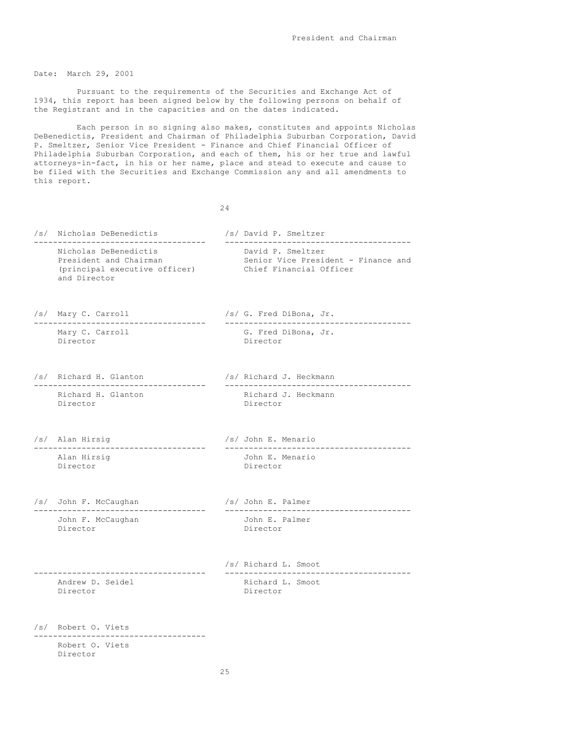Date: March 29, 2001

Pursuant to the requirements of the Securities and Exchange Act of 1934, this report has been signed below by the following persons on behalf of the Registrant and in the capacities and on the dates indicated.

Each person in so signing also makes, constitutes and appoints Nicholas DeBenedictis, President and Chairman of Philadelphia Suburban Corporation, David P. Smeltzer, Senior Vice President - Finance and Chief Financial Officer of Philadelphia Suburban Corporation, and each of them, his or her true and lawful attorneys-in-fact, in his or her name, place and stead to execute and cause to be filed with the Securities and Exchange Commission any and all amendments to this report.

24

/s/ Nicholas DeBenedictis /s/ David P. Smeltzer ------------------------------------ --------------------------------------- Nicholas DeBenedictis<br>President and Chairman Senior Vice President - Finance and (principal executive officer) Chief Financial Officer and Director /s/ Mary C. Carroll /s/ G. Fred DiBona, Jr. ------------------------------------ --------------------------------------- Mary C. Carroll G. Fred DiBona, Jr. Director Director /s/ Richard H. Glanton /s/ Richard J. Heckmann ------------------------------------ --------------------------------------- Richard J. Heckmann Director **Director** /s/ Alan Hirsig /s/ John E. Menario ------------------------------------ --------------------------------------- Alan Hirsig (1999) (John E. Menario )<br>Director Director /s/ John F. McCaughan /s/ John E. Palmer ------------------------------------ --------------------------------------- John F. McCaughan Director **Director** /s/ Richard L. Smoot ------------------------------------ --------------------------------------- Andrew D. Seidel Director **Director** /s/ Robert O. Viets ------------------------------------

Robert O. Viets Director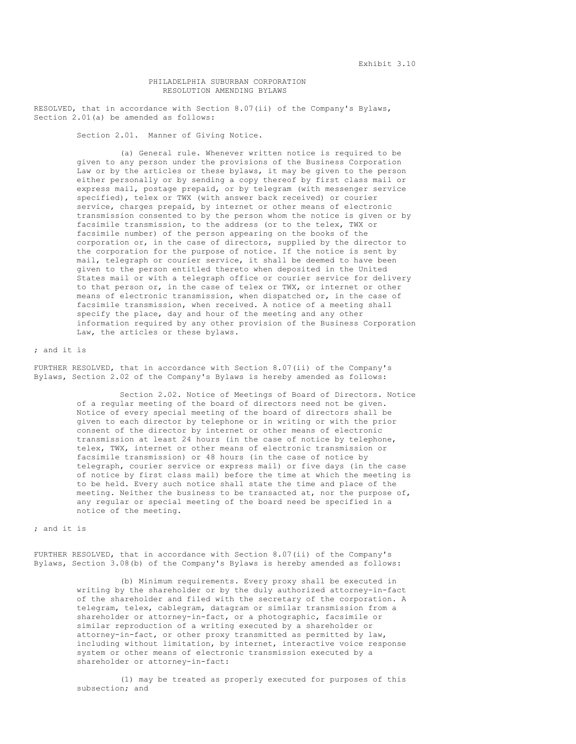## PHILADELPHIA SUBURBAN CORPORATION RESOLUTION AMENDING BYLAWS

RESOLVED, that in accordance with Section 8.07(ii) of the Company's Bylaws, Section 2.01(a) be amended as follows:

Section 2.01. Manner of Giving Notice.

(a) General rule. Whenever written notice is required to be given to any person under the provisions of the Business Corporation Law or by the articles or these bylaws, it may be given to the person either personally or by sending a copy thereof by first class mail or express mail, postage prepaid, or by telegram (with messenger service specified), telex or TWX (with answer back received) or courier service, charges prepaid, by internet or other means of electronic transmission consented to by the person whom the notice is given or by facsimile transmission, to the address (or to the telex, TWX or facsimile number) of the person appearing on the books of the corporation or, in the case of directors, supplied by the director to the corporation for the purpose of notice. If the notice is sent by mail, telegraph or courier service, it shall be deemed to have been given to the person entitled thereto when deposited in the United States mail or with a telegraph office or courier service for delivery to that person or, in the case of telex or TWX, or internet or other means of electronic transmission, when dispatched or, in the case of facsimile transmission, when received. A notice of a meeting shall specify the place, day and hour of the meeting and any other information required by any other provision of the Business Corporation Law, the articles or these bylaws.

### ; and it is

FURTHER RESOLVED, that in accordance with Section 8.07(ii) of the Company's Bylaws, Section 2.02 of the Company's Bylaws is hereby amended as follows:

> Section 2.02. Notice of Meetings of Board of Directors. Notice of a regular meeting of the board of directors need not be given. Notice of every special meeting of the board of directors shall be given to each director by telephone or in writing or with the prior consent of the director by internet or other means of electronic transmission at least 24 hours (in the case of notice by telephone, telex, TWX, internet or other means of electronic transmission or facsimile transmission) or 48 hours (in the case of notice by telegraph, courier service or express mail) or five days (in the case of notice by first class mail) before the time at which the meeting is to be held. Every such notice shall state the time and place of the meeting. Neither the business to be transacted at, nor the purpose of, any regular or special meeting of the board need be specified in a notice of the meeting.

## ; and it is

FURTHER RESOLVED, that in accordance with Section 8.07(ii) of the Company's Bylaws, Section 3.08(b) of the Company's Bylaws is hereby amended as follows:

> (b) Minimum requirements. Every proxy shall be executed in writing by the shareholder or by the duly authorized attorney-in-fact of the shareholder and filed with the secretary of the corporation. A telegram, telex, cablegram, datagram or similar transmission from a shareholder or attorney-in-fact, or a photographic, facsimile or similar reproduction of a writing executed by a shareholder or attorney-in-fact, or other proxy transmitted as permitted by law, including without limitation, by internet, interactive voice response system or other means of electronic transmission executed by a shareholder or attorney-in-fact:

> (1) may be treated as properly executed for purposes of this subsection; and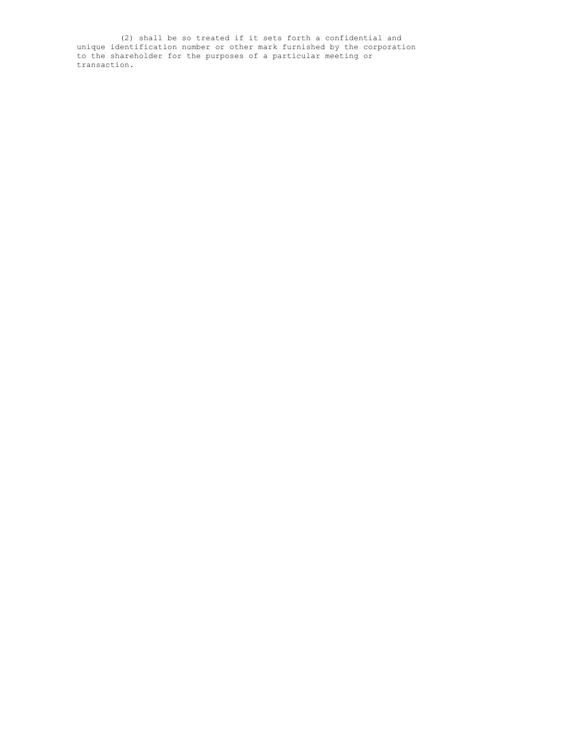(2) shall be so treated if it sets forth a confidential and unique identification number or other mark furnished by the corporation to the shareholder for the purposes of a particular meeting or transaction.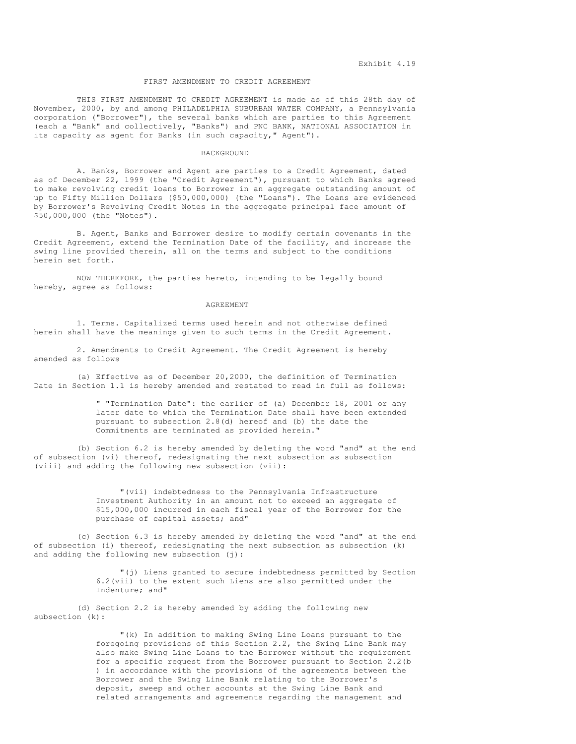### FIRST AMENDMENT TO CREDIT AGREEMENT

THIS FIRST AMENDMENT TO CREDIT AGREEMENT is made as of this 28th day of November, 2000, by and among PHILADELPHIA SUBURBAN WATER COMPANY, a Pennsylvania corporation ("Borrower"), the several banks which are parties to this Agreement (each a "Bank" and collectively, "Banks") and PNC BANK, NATIONAL ASSOCIATION in its capacity as agent for Banks (in such capacity," Agent").

#### BACKGROUND

A. Banks, Borrower and Agent are parties to a Credit Agreement, dated as of December 22, 1999 (the "Credit Agreement"), pursuant to which Banks agreed to make revolving credit loans to Borrower in an aggregate outstanding amount of up to Fifty Million Dollars (\$50,000,000) (the "Loans"). The Loans are evidenced by Borrower's Revolving Credit Notes in the aggregate principal face amount of \$50,000,000 (the "Notes").

B. Agent, Banks and Borrower desire to modify certain covenants in the Credit Agreement, extend the Termination Date of the facility, and increase the swing line provided therein, all on the terms and subject to the conditions herein set forth.

NOW THEREFORE, the parties hereto, intending to be legally bound hereby, agree as follows:

#### AGREEMENT

1. Terms. Capitalized terms used herein and not otherwise defined herein shall have the meanings given to such terms in the Credit Agreement.

2. Amendments to Credit Agreement. The Credit Agreement is hereby amended as follows

(a) Effective as of December 20,2000, the definition of Termination Date in Section 1.1 is hereby amended and restated to read in full as follows:

> " "Termination Date": the earlier of (a) December 18, 2001 or any later date to which the Termination Date shall have been extended pursuant to subsection 2.8(d) hereof and (b) the date the Commitments are terminated as provided herein."

(b) Section 6.2 is hereby amended by deleting the word "and" at the end of subsection (vi) thereof, redesignating the next subsection as subsection (viii) and adding the following new subsection (vii):

> "(vii) indebtedness to the Pennsylvania Infrastructure Investment Authority in an amount not to exceed an aggregate of \$15,000,000 incurred in each fiscal year of the Borrower for the purchase of capital assets; and"

(c) Section 6.3 is hereby amended by deleting the word "and" at the end of subsection (i) thereof, redesignating the next subsection as subsection (k) and adding the following new subsection (j):

> "(j) Liens granted to secure indebtedness permitted by Section 6.2(vii) to the extent such Liens are also permitted under the Indenture; and"

(d) Section 2.2 is hereby amended by adding the following new subsection (k):

> "(k) In addition to making Swing Line Loans pursuant to the foregoing provisions of this Section 2.2, the Swing Line Bank may also make Swing Line Loans to the Borrower without the requirement for a specific request from the Borrower pursuant to Section 2.2(b ) in accordance with the provisions of the agreements between the Borrower and the Swing Line Bank relating to the Borrower's deposit, sweep and other accounts at the Swing Line Bank and related arrangements and agreements regarding the management and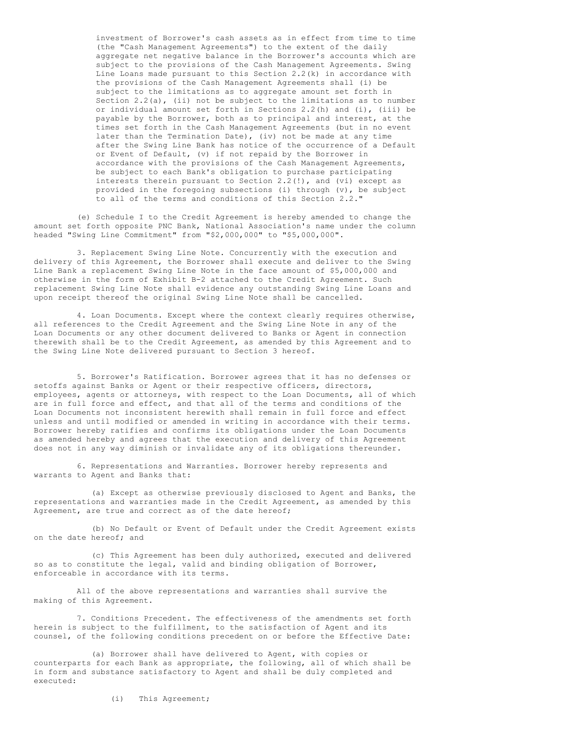investment of Borrower's cash assets as in effect from time to time (the "Cash Management Agreements") to the extent of the daily aggregate net negative balance in the Borrower's accounts which are subject to the provisions of the Cash Management Agreements. Swing Line Loans made pursuant to this Section 2.2(k) in accordance with the provisions of the Cash Management Agreements shall (i) be subject to the limitations as to aggregate amount set forth in Section  $2.2(a)$ , (ii) not be subject to the limitations as to number or individual amount set forth in Sections 2.2(h) and (i), (iii) be payable by the Borrower, both as to principal and interest, at the times set forth in the Cash Management Agreements (but in no event later than the Termination Date), (iv) not be made at any time after the Swing Line Bank has notice of the occurrence of a Default or Event of Default, (v) if not repaid by the Borrower in accordance with the provisions of the Cash Management Agreements, be subject to each Bank's obligation to purchase participating interests therein pursuant to Section 2.2(!), and (vi) except as provided in the foregoing subsections (i) through (v), be subject to all of the terms and conditions of this Section 2.2."

(e) Schedule I to the Credit Agreement is hereby amended to change the amount set forth opposite PNC Bank, National Association's name under the column headed "Swing Line Commitment" from "\$2,000,000" to "\$5,000,000".

3. Replacement Swing Line Note. Concurrently with the execution and delivery of this Agreement, the Borrower shall execute and deliver to the Swing Line Bank a replacement Swing Line Note in the face amount of \$5,000,000 and otherwise in the form of Exhibit B-2 attached to the Credit Agreement. Such replacement Swing Line Note shall evidence any outstanding Swing Line Loans and upon receipt thereof the original Swing Line Note shall be cancelled.

4. Loan Documents. Except where the context clearly requires otherwise, all references to the Credit Agreement and the Swing Line Note in any of the Loan Documents or any other document delivered to Banks or Agent in connection therewith shall be to the Credit Agreement, as amended by this Agreement and to the Swing Line Note delivered pursuant to Section 3 hereof.

5. Borrower's Ratification. Borrower agrees that it has no defenses or setoffs against Banks or Agent or their respective officers, directors, employees, agents or attorneys, with respect to the Loan Documents, all of which are in full force and effect, and that all of the terms and conditions of the Loan Documents not inconsistent herewith shall remain in full force and effect unless and until modified or amended in writing in accordance with their terms. Borrower hereby ratifies and confirms its obligations under the Loan Documents as amended hereby and agrees that the execution and delivery of this Agreement does not in any way diminish or invalidate any of its obligations thereunder.

6. Representations and Warranties. Borrower hereby represents and warrants to Agent and Banks that:

(a) Except as otherwise previously disclosed to Agent and Banks, the representations and warranties made in the Credit Agreement, as amended by this Agreement, are true and correct as of the date hereof;

(b) No Default or Event of Default under the Credit Agreement exists on the date hereof; and

(c) This Agreement has been duly authorized, executed and delivered so as to constitute the legal, valid and binding obligation of Borrower, enforceable in accordance with its terms.

All of the above representations and warranties shall survive the making of this Agreement.

7. Conditions Precedent. The effectiveness of the amendments set forth herein is subject to the fulfillment, to the satisfaction of Agent and its counsel, of the following conditions precedent on or before the Effective Date:

(a) Borrower shall have delivered to Agent, with copies or counterparts for each Bank as appropriate, the following, all of which shall be in form and substance satisfactory to Agent and shall be duly completed and executed:

(i) This Agreement;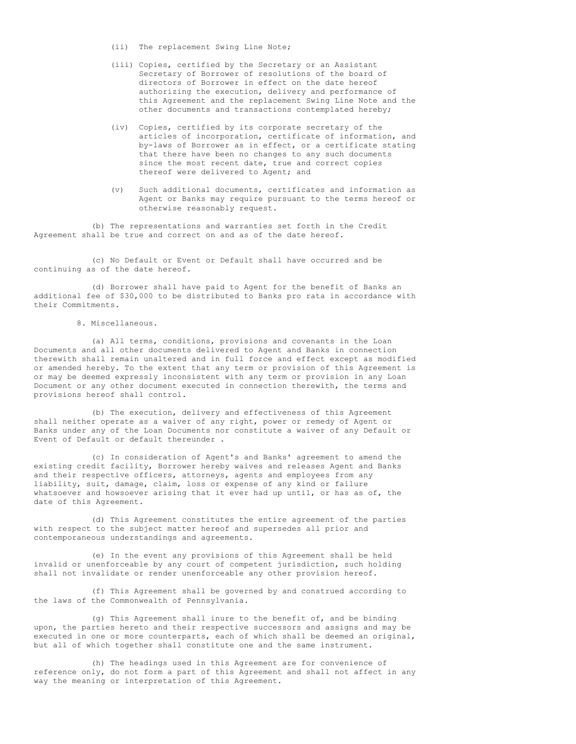- (ii) The replacement Swing Line Note;
- (iii) Copies, certified by the Secretary or an Assistant Secretary of Borrower of resolutions of the board of directors of Borrower in effect on the date hereof authorizing the execution, delivery and performance of this Agreement and the replacement Swing Line Note and the other documents and transactions contemplated hereby;
- (iv) Copies, certified by its corporate secretary of the articles of incorporation, certificate of information, and by-laws of Borrower as in effect, or a certificate stating that there have been no changes to any such documents since the most recent date, true and correct copies thereof were delivered to Agent; and
- (v) Such additional documents, certificates and information as Agent or Banks may require pursuant to the terms hereof or otherwise reasonably request.

(b) The representations and warranties set forth in the Credit Agreement shall be true and correct on and as of the date hereof.

(c) No Default or Event or Default shall have occurred and be continuing as of the date hereof.

(d) Borrower shall have paid to Agent for the benefit of Banks an additional fee of \$30,000 to be distributed to Banks pro rata in accordance with their Commitments.

## 8. Miscellaneous.

(a) All terms, conditions, provisions and covenants in the Loan Documents and all other documents delivered to Agent and Banks in connection therewith shall remain unaltered and in full force and effect except as modified or amended hereby. To the extent that any term or provision of this Agreement is or may be deemed expressly inconsistent with any term or provision in any Loan Document or any other document executed in connection therewith, the terms and provisions hereof shall control.

(b) The execution, delivery and effectiveness of this Agreement shall neither operate as a waiver of any right, power or remedy of Agent or Banks under any of the Loan Documents nor constitute a waiver of any Default or Event of Default or default thereunder .

(c) In consideration of Agent's and Banks' agreement to amend the existing credit facility, Borrower hereby waives and releases Agent and Banks and their respective officers, attorneys, agents and employees from any liability, suit, damage, claim, loss or expense of any kind or failure whatsoever and howsoever arising that it ever had up until, or has as of, the date of this Agreement.

(d) This Agreement constitutes the entire agreement of the parties with respect to the subject matter hereof and supersedes all prior and contemporaneous understandings and agreements.

(e) In the event any provisions of this Agreement shall be held invalid or unenforceable by any court of competent jurisdiction, such holding shall not invalidate or render unenforceable any other provision hereof.

(f) This Agreement shall be governed by and construed according to the laws of the Commonwealth of Pennsylvania.

(g) This Agreement shall inure to the benefit of, and be binding upon, the parties hereto and their respective successors and assigns and may be executed in one or more counterparts, each of which shall be deemed an original, but all of which together shall constitute one and the same instrument.

(h) The headings used in this Agreement are for convenience of reference only, do not form a part of this Agreement and shall not affect in any way the meaning or interpretation of this Agreement.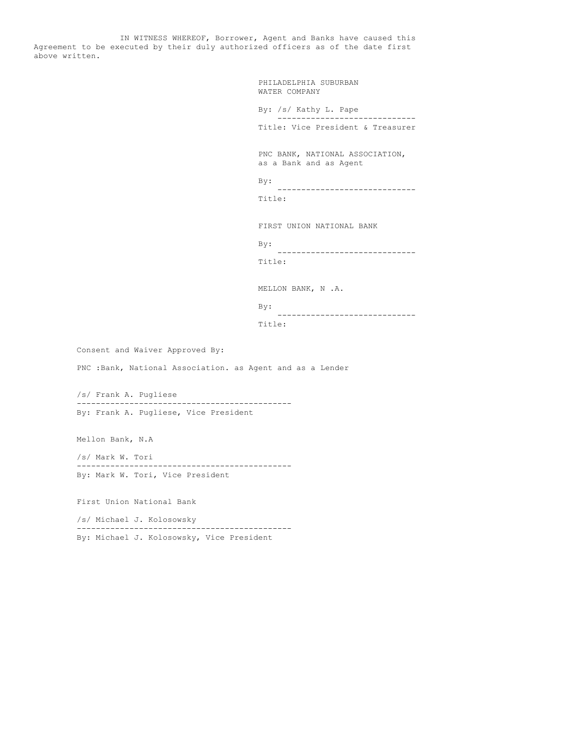IN WITNESS WHEREOF, Borrower, Agent and Banks have caused this Agreement to be executed by their duly authorized officers as of the date first above written.

> PHILADELPHIA SUBURBAN WATER COMPANY

By: /s/ Kathy L. Pape ----------------------------- Title: Vice President & Treasurer

PNC BANK, NATIONAL ASSOCIATION, as a Bank and as Agent

By:

----------------------------- Title:

FIRST UNION NATIONAL BANK

By: ----------------------------- Title:

-----------------------------

MELLON BANK, N .A.

```
By:
```
Title:

Consent and Waiver Approved By:

PNC :Bank, National Association. as Agent and as a Lender

/s/ Frank A. Pugliese --------------------------------------------- By: Frank A. Pugliese, Vice President

Mellon Bank, N.A

/s/ Mark W. Tori --------------------------------------------- By: Mark W. Tori, Vice President

First Union National Bank

/s/ Michael J. Kolosowsky --------------------------------------------- By: Michael J. Kolosowsky, Vice President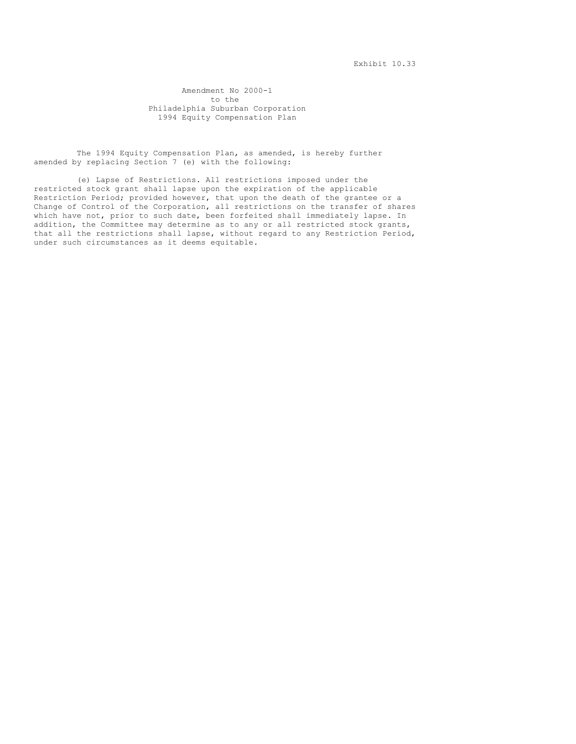Exhibit 10.33

Amendment No 2000-1 to the Philadelphia Suburban Corporation 1994 Equity Compensation Plan

The 1994 Equity Compensation Plan, as amended, is hereby further amended by replacing Section 7 (e) with the following:

(e) Lapse of Restrictions. All restrictions imposed under the restricted stock grant shall lapse upon the expiration of the applicable Restriction Period; provided however, that upon the death of the grantee or a Change of Control of the Corporation, all restrictions on the transfer of shares which have not, prior to such date, been forfeited shall immediately lapse. In addition, the Committee may determine as to any or all restricted stock grants, that all the restrictions shall lapse, without regard to any Restriction Period, under such circumstances as it deems equitable.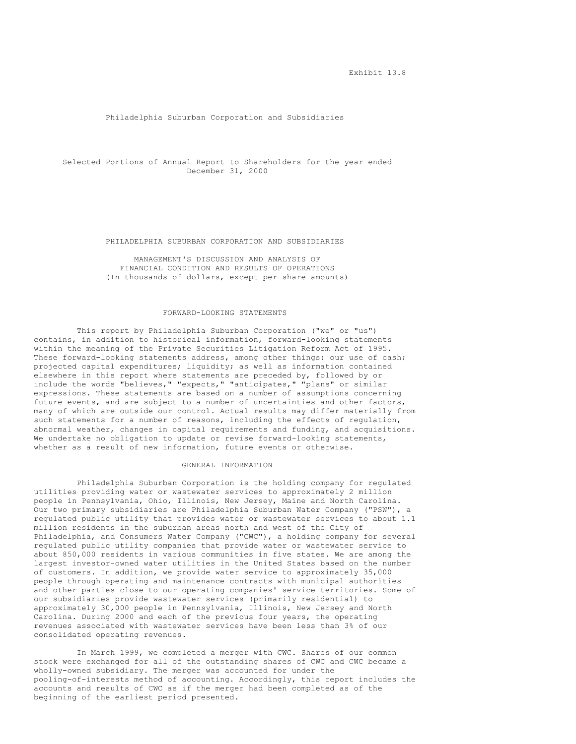## Philadelphia Suburban Corporation and Subsidiaries

Selected Portions of Annual Report to Shareholders for the year ended December 31, 2000

#### PHILADELPHIA SUBURBAN CORPORATION AND SUBSIDIARIES

MANAGEMENT'S DISCUSSION AND ANALYSIS OF FINANCIAL CONDITION AND RESULTS OF OPERATIONS (In thousands of dollars, except per share amounts)

## FORWARD-LOOKING STATEMENTS

This report by Philadelphia Suburban Corporation ("we" or "us") contains, in addition to historical information, forward-looking statements within the meaning of the Private Securities Litigation Reform Act of 1995. These forward-looking statements address, among other things: our use of cash; projected capital expenditures; liquidity; as well as information contained elsewhere in this report where statements are preceded by, followed by or include the words "believes," "expects," "anticipates," "plans" or similar expressions. These statements are based on a number of assumptions concerning future events, and are subject to a number of uncertainties and other factors, many of which are outside our control. Actual results may differ materially from such statements for a number of reasons, including the effects of regulation, abnormal weather, changes in capital requirements and funding, and acquisitions. We undertake no obligation to update or revise forward-looking statements, whether as a result of new information, future events or otherwise.

# GENERAL INFORMATION

Philadelphia Suburban Corporation is the holding company for regulated utilities providing water or wastewater services to approximately 2 million people in Pennsylvania, Ohio, Illinois, New Jersey, Maine and North Carolina. Our two primary subsidiaries are Philadelphia Suburban Water Company ("PSW"), a regulated public utility that provides water or wastewater services to about 1.1 million residents in the suburban areas north and west of the City of Philadelphia, and Consumers Water Company ("CWC"), a holding company for several regulated public utility companies that provide water or wastewater service to about 850,000 residents in various communities in five states. We are among the largest investor-owned water utilities in the United States based on the number of customers. In addition, we provide water service to approximately 35,000 people through operating and maintenance contracts with municipal authorities and other parties close to our operating companies' service territories. Some of our subsidiaries provide wastewater services (primarily residential) to approximately 30,000 people in Pennsylvania, Illinois, New Jersey and North Carolina. During 2000 and each of the previous four years, the operating revenues associated with wastewater services have been less than 3% of our consolidated operating revenues.

In March 1999, we completed a merger with CWC. Shares of our common stock were exchanged for all of the outstanding shares of CWC and CWC became a wholly-owned subsidiary. The merger was accounted for under the pooling-of-interests method of accounting. Accordingly, this report includes the accounts and results of CWC as if the merger had been completed as of the beginning of the earliest period presented.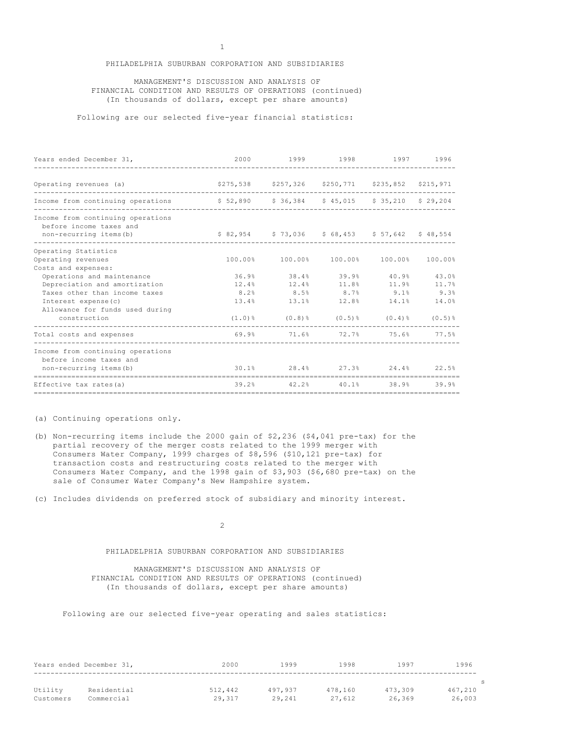# PHILADELPHIA SUBURBAN CORPORATION AND SUBSIDIARIES

## MANAGEMENT'S DISCUSSION AND ANALYSIS OF FINANCIAL CONDITION AND RESULTS OF OPERATIONS (continued) (In thousands of dollars, except per share amounts)

Following are our selected five-year financial statistics:

| Years ended December 31,                                                                                                                  |                                                                                             | 2000 1999 1998 1997 1996                               |  |       |
|-------------------------------------------------------------------------------------------------------------------------------------------|---------------------------------------------------------------------------------------------|--------------------------------------------------------|--|-------|
| Operating revenues (a) $$275,538$ $$257,326$ $$250,771$ $$235,852$ $$215,971$                                                             |                                                                                             |                                                        |  |       |
| Income from continuing operations \$52,890 \$36,384 \$45,015 \$35,210 \$29,204                                                            |                                                                                             |                                                        |  |       |
| Income from continuing operations<br>before income taxes and<br>non-recurring items (b) $$82,954$ $$73,036$ $$68,453$ $$57,642$ $$48,554$ |                                                                                             |                                                        |  |       |
| Operating Statistics                                                                                                                      |                                                                                             |                                                        |  |       |
| Operating revenues                                                                                                                        |                                                                                             | $100.00\%$ $100.00\%$ $100.00\%$ $100.00\%$ $100.00\%$ |  |       |
| Costs and expenses:                                                                                                                       |                                                                                             |                                                        |  |       |
| Operations and maintenance                                                                                                                |                                                                                             | $36.9\%$ $38.4\%$ $39.9\%$ $40.9\%$ $43.0\%$           |  |       |
| Depreciation and amortization                                                                                                             |                                                                                             | $12.4\%$ $12.4\%$ $11.8\%$ $11.9\%$                    |  | 11.7% |
| Taxes other than income taxes                                                                                                             |                                                                                             | $8.2\%$ 8.5% 8.7% 9.1% 9.3%                            |  |       |
| Interest expense(c)                                                                                                                       |                                                                                             | $13.4\%$ $13.1\%$ $12.8\%$ $14.1\%$ $14.0\%$           |  |       |
| Allowance for funds used during                                                                                                           |                                                                                             |                                                        |  |       |
| construction                                                                                                                              |                                                                                             | $(1.0)$ % $(0.8)$ % $(0.5)$ % $(0.4)$ % $(0.5)$ %      |  |       |
| Total costs and expenses                                                                                                                  | $69.9$ <sup>8</sup> 71.6 <sup>8</sup> 72.7 <sup>8</sup> 75.6 <sup>8</sup> 77.5 <sup>8</sup> |                                                        |  |       |
| Income from continuing operations<br>before income taxes and                                                                              |                                                                                             |                                                        |  |       |
| non-recurring items (b)                                                                                                                   | $30.1\%$ 28.4 % 27.3 % 24.4 % 22.5 %                                                        |                                                        |  |       |
| Effective tax rates (a) $39.2\%$ 42.2% $40.1\%$ 38.9% 39.9%                                                                               |                                                                                             |                                                        |  |       |

(a) Continuing operations only.

(b) Non-recurring items include the 2000 gain of \$2,236 (\$4,041 pre-tax) for the partial recovery of the merger costs related to the 1999 merger with Consumers Water Company, 1999 charges of \$8,596 (\$10,121 pre-tax) for transaction costs and restructuring costs related to the merger with Consumers Water Company, and the 1998 gain of \$3,903 (\$6,680 pre-tax) on the sale of Consumer Water Company's New Hampshire system.

(c) Includes dividends on preferred stock of subsidiary and minority interest.

2

# PHILADELPHIA SUBURBAN CORPORATION AND SUBSIDIARIES

MANAGEMENT'S DISCUSSION AND ANALYSIS OF FINANCIAL CONDITION AND RESULTS OF OPERATIONS (continued) (In thousands of dollars, except per share amounts)

Following are our selected five-year operating and sales statistics:

|           | Years ended December 31, | 2000    | 1999    | 1998    | 1997    | 1996    |
|-----------|--------------------------|---------|---------|---------|---------|---------|
|           |                          |         |         |         |         |         |
| Utility   | Residential              | 512,442 | 497.937 | 478,160 | 473,309 | 467,210 |
| Customers | Commercial               | 29,317  | 29,241  | 27.612  | 26,369  | 26,003  |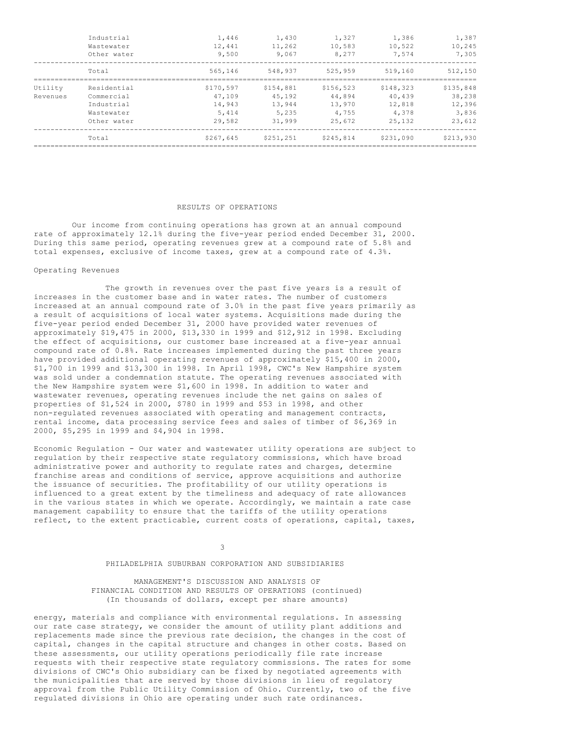|          | Industrial<br>Wastewater<br>Other water | 1,446<br>12,441<br>9,500 | 1,430<br>11,262<br>9,067 | 1,327<br>10,583<br>8,277 | 1,386<br>10,522<br>7.574 | 1,387<br>10,245<br>7,305 |
|----------|-----------------------------------------|--------------------------|--------------------------|--------------------------|--------------------------|--------------------------|
|          | Total                                   | 565,146                  | 548,937                  | 525,959                  | 519,160                  | 512,150                  |
| Utility  | Residential                             | \$170,597                | \$154,881                | \$156,523                | \$148,323                | \$135,848                |
| Revenues | Commercial                              | 47,109                   | 45,192                   | 44,894                   | 40,439                   | 38,238                   |
|          | Industrial                              | 14,943                   | 13,944                   | 13,970                   | 12,818                   | 12,396                   |
|          | Wastewater                              | 5,414                    | 5,235                    | 4,755                    | 4,378                    | 3,836                    |
|          | Other water                             | 29,582                   | 31,999                   | 25,672                   | 25,132                   | 23,612                   |
|          | Total                                   | \$267,645                | \$251,251                | \$245,814                | \$231,090                | \$213,930                |
|          |                                         |                          |                          |                          |                          |                          |

#### RESULTS OF OPERATIONS

Our income from continuing operations has grown at an annual compound rate of approximately 12.1% during the five-year period ended December 31, 2000. During this same period, operating revenues grew at a compound rate of 5.8% and total expenses, exclusive of income taxes, grew at a compound rate of 4.3%.

#### Operating Revenues

The growth in revenues over the past five years is a result of increases in the customer base and in water rates. The number of customers increased at an annual compound rate of 3.0% in the past five years primarily as a result of acquisitions of local water systems. Acquisitions made during the five-year period ended December 31, 2000 have provided water revenues of approximately \$19,475 in 2000, \$13,330 in 1999 and \$12,912 in 1998. Excluding the effect of acquisitions, our customer base increased at a five-year annual compound rate of 0.8%. Rate increases implemented during the past three years have provided additional operating revenues of approximately \$15,400 in 2000, \$1,700 in 1999 and \$13,300 in 1998. In April 1998, CWC's New Hampshire system was sold under a condemnation statute. The operating revenues associated with the New Hampshire system were \$1,600 in 1998. In addition to water and wastewater revenues, operating revenues include the net gains on sales of properties of \$1,524 in 2000, \$780 in 1999 and \$53 in 1998, and other non-regulated revenues associated with operating and management contracts, rental income, data processing service fees and sales of timber of \$6,369 in 2000, \$5,295 in 1999 and \$4,904 in 1998.

Economic Regulation - Our water and wastewater utility operations are subject to regulation by their respective state regulatory commissions, which have broad administrative power and authority to regulate rates and charges, determine franchise areas and conditions of service, approve acquisitions and authorize the issuance of securities. The profitability of our utility operations is influenced to a great extent by the timeliness and adequacy of rate allowances in the various states in which we operate. Accordingly, we maintain a rate case management capability to ensure that the tariffs of the utility operations reflect, to the extent practicable, current costs of operations, capital, taxes,

3

# PHILADELPHIA SUBURBAN CORPORATION AND SUBSIDIARIES

MANAGEMENT'S DISCUSSION AND ANALYSIS OF FINANCIAL CONDITION AND RESULTS OF OPERATIONS (continued) (In thousands of dollars, except per share amounts)

energy, materials and compliance with environmental regulations. In assessing our rate case strategy, we consider the amount of utility plant additions and replacements made since the previous rate decision, the changes in the cost of capital, changes in the capital structure and changes in other costs. Based on these assessments, our utility operations periodically file rate increase requests with their respective state regulatory commissions. The rates for some divisions of CWC's Ohio subsidiary can be fixed by negotiated agreements with the municipalities that are served by those divisions in lieu of regulatory approval from the Public Utility Commission of Ohio. Currently, two of the five regulated divisions in Ohio are operating under such rate ordinances.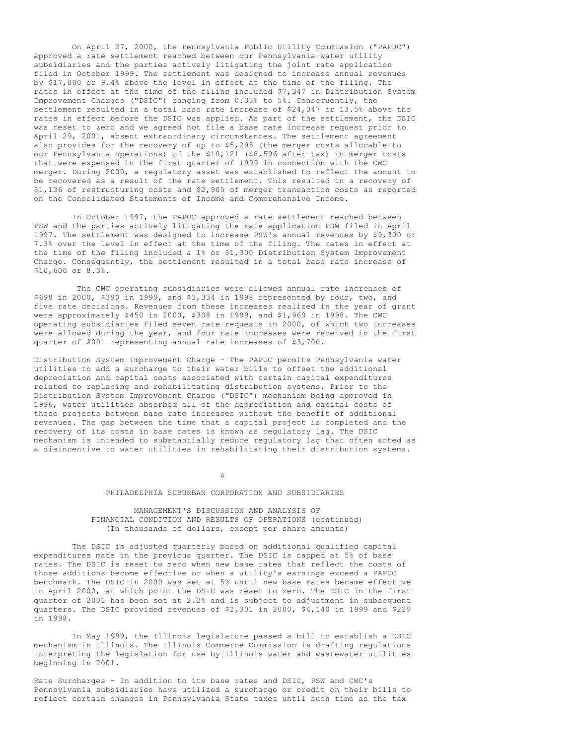On April 27, 2000, the Pennsylvania Public Utility Commission ("PAPUC") approved a rate settlement reached between our Pennsylvania water utility subsidiaries and the parties actively litigating the joint rate application filed in October 1999. The settlement was designed to increase annual revenues by \$17,000 or 9.4% above the level in effect at the time of the filing. The rates in effect at the time of the filing included \$7,347 in Distribution System Improvement Charges ("DSIC") ranging from 0.33% to 5%. Consequently, the settlement resulted in a total base rate increase of \$24,347 or 13.5% above the rates in effect before the DSIC was applied. As part of the settlement, the DSIC was reset to zero and we agreed not file a base rate increase request prior to April 29, 2001, absent extraordinary circumstances. The settlement agreement also provides for the recovery of up to \$5,295 (the merger costs allocable to our Pennsylvania operations) of the \$10,121 (\$8,596 after-tax) in merger costs that were expensed in the first quarter of 1999 in connection with the CWC merger. During 2000, a regulatory asset was established to reflect the amount to be recovered as a result of the rate settlement. This resulted in a recovery of \$1,136 of restructuring costs and \$2,905 of merger transaction costs as reported on the Consolidated Statements of Income and Comprehensive Income.

In October 1997, the PAPUC approved a rate settlement reached between PSW and the parties actively litigating the rate application PSW filed in April 1997. The settlement was designed to increase PSW's annual revenues by \$9,300 or 7.3% over the level in effect at the time of the filing. The rates in effect at the time of the filing included a 1% or \$1,300 Distribution System Improvement Charge. Consequently, the settlement resulted in a total base rate increase of \$10,600 or 8.3%.

The CWC operating subsidiaries were allowed annual rate increases of \$698 in 2000, \$390 in 1999, and \$3,334 in 1998 represented by four, two, and five rate decisions. Revenues from these increases realized in the year of grant were approximately \$450 in 2000, \$308 in 1999, and \$1,969 in 1998. The CWC operating subsidiaries filed seven rate requests in 2000, of which two increases were allowed during the year, and four rate increases were received in the first quarter of 2001 representing annual rate increases of \$3,700.

Distribution System Improvement Charge - The PAPUC permits Pennsylvania water utilities to add a surcharge to their water bills to offset the additional depreciation and capital costs associated with certain capital expenditures related to replacing and rehabilitating distribution systems. Prior to the Distribution System Improvement Charge ("DSIC") mechanism being approved in 1996, water utilities absorbed all of the depreciation and capital costs of these projects between base rate increases without the benefit of additional revenues. The gap between the time that a capital project is completed and the recovery of its costs in base rates is known as regulatory lag. The DSIC mechanism is intended to substantially reduce regulatory lag that often acted as a disincentive to water utilities in rehabilitating their distribution systems.

4

#### PHILADELPHIA SUBURBAN CORPORATION AND SUBSIDIARIES

## MANAGEMENT'S DISCUSSION AND ANALYSIS OF FINANCIAL CONDITION AND RESULTS OF OPERATIONS (continued) (In thousands of dollars, except per share amounts)

The DSIC is adjusted quarterly based on additional qualified capital expenditures made in the previous quarter. The DSIC is capped at 5% of base rates. The DSIC is reset to zero when new base rates that reflect the costs of those additions become effective or when a utility's earnings exceed a PAPUC benchmark. The DSIC in 2000 was set at 5% until new base rates became effective in April 2000, at which point the DSIC was reset to zero. The DSIC in the first quarter of 2001 has been set at 2.2% and is subject to adjustment in subsequent quarters. The DSIC provided revenues of \$2,301 in 2000, \$4,140 in 1999 and \$229 in 1998.

In May 1999, the Illinois legislature passed a bill to establish a DSIC mechanism in Illinois. The Illinois Commerce Commission is drafting regulations interpreting the legislation for use by Illinois water and wastewater utilities beginning in 2001.

Rate Surcharges - In addition to its base rates and DSIC, PSW and CWC's Pennsylvania subsidiaries have utilized a surcharge or credit on their bills to reflect certain changes in Pennsylvania State taxes until such time as the tax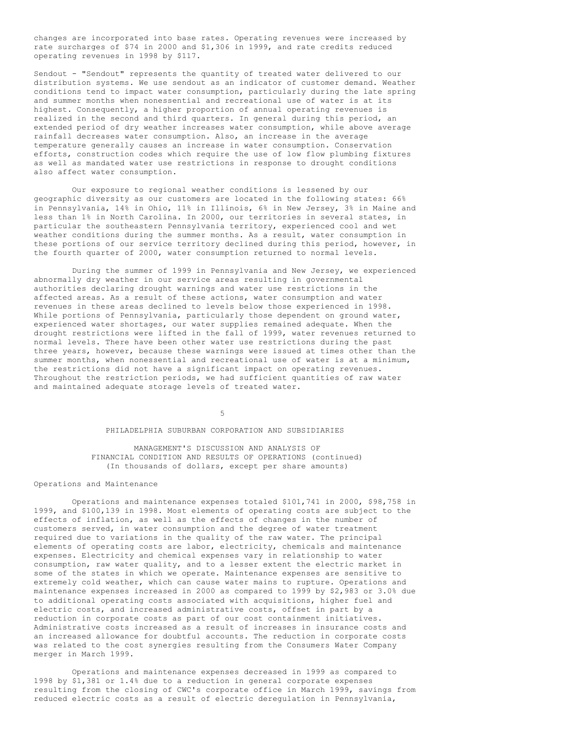changes are incorporated into base rates. Operating revenues were increased by rate surcharges of \$74 in 2000 and \$1,306 in 1999, and rate credits reduced operating revenues in 1998 by \$117.

Sendout - "Sendout" represents the quantity of treated water delivered to our distribution systems. We use sendout as an indicator of customer demand. Weather conditions tend to impact water consumption, particularly during the late spring and summer months when nonessential and recreational use of water is at its highest. Consequently, a higher proportion of annual operating revenues is realized in the second and third quarters. In general during this period, an extended period of dry weather increases water consumption, while above average rainfall decreases water consumption. Also, an increase in the average temperature generally causes an increase in water consumption. Conservation efforts, construction codes which require the use of low flow plumbing fixtures as well as mandated water use restrictions in response to drought conditions also affect water consumption.

Our exposure to regional weather conditions is lessened by our geographic diversity as our customers are located in the following states: 66% in Pennsylvania, 14% in Ohio, 11% in Illinois, 6% in New Jersey, 3% in Maine and less than 1% in North Carolina. In 2000, our territories in several states, in particular the southeastern Pennsylvania territory, experienced cool and wet weather conditions during the summer months. As a result, water consumption in these portions of our service territory declined during this period, however, in the fourth quarter of 2000, water consumption returned to normal levels.

During the summer of 1999 in Pennsylvania and New Jersey, we experienced abnormally dry weather in our service areas resulting in governmental authorities declaring drought warnings and water use restrictions in the affected areas. As a result of these actions, water consumption and water revenues in these areas declined to levels below those experienced in 1998. While portions of Pennsylvania, particularly those dependent on ground water, experienced water shortages, our water supplies remained adequate. When the drought restrictions were lifted in the fall of 1999, water revenues returned to normal levels. There have been other water use restrictions during the past three years, however, because these warnings were issued at times other than the summer months, when nonessential and recreational use of water is at a minimum, the restrictions did not have a significant impact on operating revenues. Throughout the restriction periods, we had sufficient quantities of raw water and maintained adequate storage levels of treated water.

5

## PHILADELPHIA SUBURBAN CORPORATION AND SUBSIDIARIES

MANAGEMENT'S DISCUSSION AND ANALYSIS OF FINANCIAL CONDITION AND RESULTS OF OPERATIONS (continued) (In thousands of dollars, except per share amounts)

# Operations and Maintenance

Operations and maintenance expenses totaled \$101,741 in 2000, \$98,758 in 1999, and \$100,139 in 1998. Most elements of operating costs are subject to the effects of inflation, as well as the effects of changes in the number of customers served, in water consumption and the degree of water treatment required due to variations in the quality of the raw water. The principal elements of operating costs are labor, electricity, chemicals and maintenance expenses. Electricity and chemical expenses vary in relationship to water consumption, raw water quality, and to a lesser extent the electric market in some of the states in which we operate. Maintenance expenses are sensitive to extremely cold weather, which can cause water mains to rupture. Operations and maintenance expenses increased in 2000 as compared to 1999 by \$2,983 or 3.0% due to additional operating costs associated with acquisitions, higher fuel and electric costs, and increased administrative costs, offset in part by a reduction in corporate costs as part of our cost containment initiatives. Administrative costs increased as a result of increases in insurance costs and an increased allowance for doubtful accounts. The reduction in corporate costs was related to the cost synergies resulting from the Consumers Water Company merger in March 1999.

Operations and maintenance expenses decreased in 1999 as compared to 1998 by \$1,381 or 1.4% due to a reduction in general corporate expenses resulting from the closing of CWC's corporate office in March 1999, savings from reduced electric costs as a result of electric deregulation in Pennsylvania,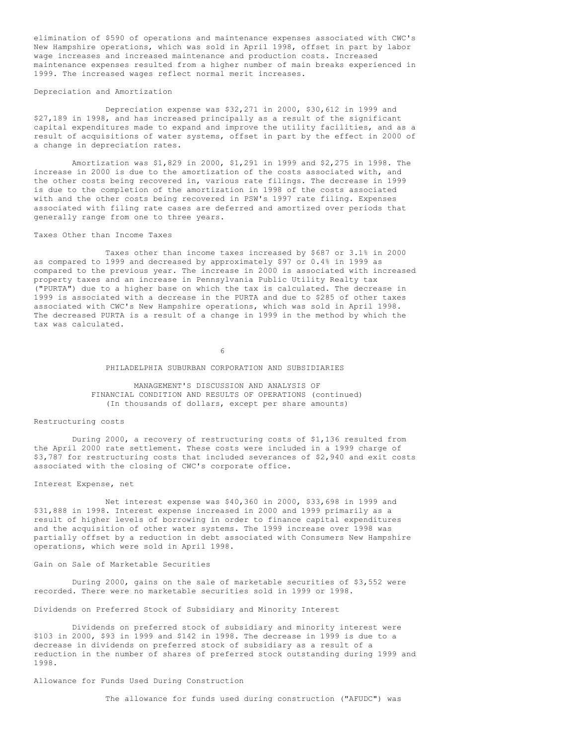elimination of \$590 of operations and maintenance expenses associated with CWC's New Hampshire operations, which was sold in April 1998, offset in part by labor wage increases and increased maintenance and production costs. Increased maintenance expenses resulted from a higher number of main breaks experienced in 1999. The increased wages reflect normal merit increases.

### Depreciation and Amortization

Depreciation expense was \$32,271 in 2000, \$30,612 in 1999 and \$27,189 in 1998, and has increased principally as a result of the significant capital expenditures made to expand and improve the utility facilities, and as a result of acquisitions of water systems, offset in part by the effect in 2000 of a change in depreciation rates.

Amortization was \$1,829 in 2000, \$1,291 in 1999 and \$2,275 in 1998. The increase in 2000 is due to the amortization of the costs associated with, and the other costs being recovered in, various rate filings. The decrease in 1999 is due to the completion of the amortization in 1998 of the costs associated with and the other costs being recovered in PSW's 1997 rate filing. Expenses associated with filing rate cases are deferred and amortized over periods that generally range from one to three years.

#### Taxes Other than Income Taxes

Taxes other than income taxes increased by \$687 or 3.1% in 2000 as compared to 1999 and decreased by approximately \$97 or 0.4% in 1999 as compared to the previous year. The increase in 2000 is associated with increased property taxes and an increase in Pennsylvania Public Utility Realty tax ("PURTA") due to a higher base on which the tax is calculated. The decrease in 1999 is associated with a decrease in the PURTA and due to \$285 of other taxes associated with CWC's New Hampshire operations, which was sold in April 1998. The decreased PURTA is a result of a change in 1999 in the method by which the tax was calculated.

6

## PHILADELPHIA SUBURBAN CORPORATION AND SUBSIDIARIES

MANAGEMENT'S DISCUSSION AND ANALYSIS OF FINANCIAL CONDITION AND RESULTS OF OPERATIONS (continued) (In thousands of dollars, except per share amounts)

#### Restructuring costs

During 2000, a recovery of restructuring costs of \$1,136 resulted from the April 2000 rate settlement. These costs were included in a 1999 charge of \$3,787 for restructuring costs that included severances of \$2,940 and exit costs associated with the closing of CWC's corporate office.

#### Interest Expense, net

Net interest expense was \$40,360 in 2000, \$33,698 in 1999 and \$31,888 in 1998. Interest expense increased in 2000 and 1999 primarily as a result of higher levels of borrowing in order to finance capital expenditures and the acquisition of other water systems. The 1999 increase over 1998 was partially offset by a reduction in debt associated with Consumers New Hampshire operations, which were sold in April 1998.

#### Gain on Sale of Marketable Securities

During 2000, gains on the sale of marketable securities of \$3,552 were recorded. There were no marketable securities sold in 1999 or 1998.

Dividends on Preferred Stock of Subsidiary and Minority Interest

Dividends on preferred stock of subsidiary and minority interest were \$103 in 2000, \$93 in 1999 and \$142 in 1998. The decrease in 1999 is due to a decrease in dividends on preferred stock of subsidiary as a result of a reduction in the number of shares of preferred stock outstanding during 1999 and 1998.

Allowance for Funds Used During Construction

The allowance for funds used during construction ("AFUDC") was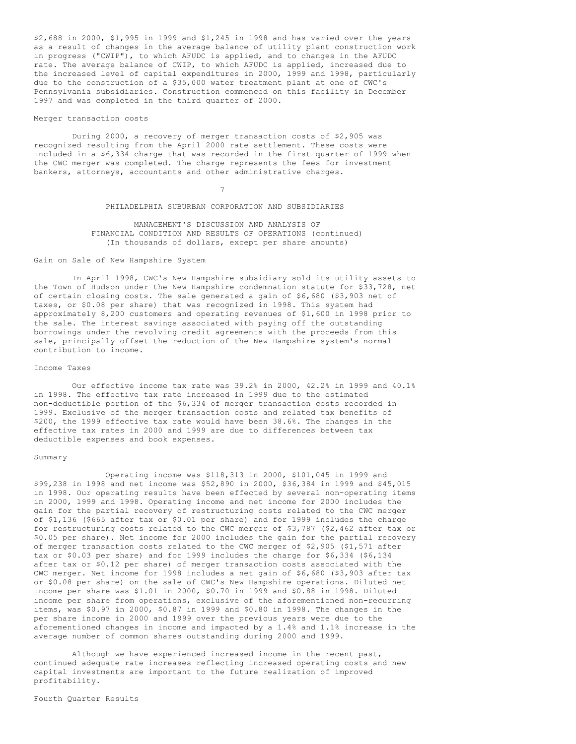\$2,688 in 2000, \$1,995 in 1999 and \$1,245 in 1998 and has varied over the years as a result of changes in the average balance of utility plant construction work in progress ("CWIP"), to which AFUDC is applied, and to changes in the AFUDC rate. The average balance of CWIP, to which AFUDC is applied, increased due to the increased level of capital expenditures in 2000, 1999 and 1998, particularly due to the construction of a \$35,000 water treatment plant at one of CWC's Pennsylvania subsidiaries. Construction commenced on this facility in December 1997 and was completed in the third quarter of 2000.

### Merger transaction costs

During 2000, a recovery of merger transaction costs of \$2,905 was recognized resulting from the April 2000 rate settlement. These costs were included in a \$6,334 charge that was recorded in the first quarter of 1999 when the CWC merger was completed. The charge represents the fees for investment bankers, attorneys, accountants and other administrative charges.

7

# PHILADELPHIA SUBURBAN CORPORATION AND SUBSIDIARIES

MANAGEMENT'S DISCUSSION AND ANALYSIS OF FINANCIAL CONDITION AND RESULTS OF OPERATIONS (continued) (In thousands of dollars, except per share amounts)

#### Gain on Sale of New Hampshire System

In April 1998, CWC's New Hampshire subsidiary sold its utility assets to the Town of Hudson under the New Hampshire condemnation statute for \$33,728, net of certain closing costs. The sale generated a gain of \$6,680 (\$3,903 net of taxes, or \$0.08 per share) that was recognized in 1998. This system had approximately 8,200 customers and operating revenues of \$1,600 in 1998 prior to the sale. The interest savings associated with paying off the outstanding borrowings under the revolving credit agreements with the proceeds from this sale, principally offset the reduction of the New Hampshire system's normal contribution to income.

#### Income Taxes

Our effective income tax rate was 39.2% in 2000, 42.2% in 1999 and 40.1% in 1998. The effective tax rate increased in 1999 due to the estimated non-deductible portion of the \$6,334 of merger transaction costs recorded in 1999. Exclusive of the merger transaction costs and related tax benefits of \$200, the 1999 effective tax rate would have been 38.6%. The changes in the effective tax rates in 2000 and 1999 are due to differences between tax deductible expenses and book expenses.

#### Summary

Operating income was \$118,313 in 2000, \$101,045 in 1999 and \$99,238 in 1998 and net income was \$52,890 in 2000, \$36,384 in 1999 and \$45,015 in 1998. Our operating results have been effected by several non-operating items in 2000, 1999 and 1998. Operating income and net income for 2000 includes the gain for the partial recovery of restructuring costs related to the CWC merger of \$1,136 (\$665 after tax or \$0.01 per share) and for 1999 includes the charge for restructuring costs related to the CWC merger of \$3,787 (\$2,462 after tax or \$0.05 per share). Net income for 2000 includes the gain for the partial recovery of merger transaction costs related to the CWC merger of \$2,905 (\$1,571 after tax or \$0.03 per share) and for 1999 includes the charge for \$6,334 (\$6,134 after tax or \$0.12 per share) of merger transaction costs associated with the CWC merger. Net income for 1998 includes a net gain of \$6,680 (\$3,903 after tax or \$0.08 per share) on the sale of CWC's New Hampshire operations. Diluted net income per share was \$1.01 in 2000, \$0.70 in 1999 and \$0.88 in 1998. Diluted income per share from operations, exclusive of the aforementioned non-recurring items, was \$0.97 in 2000, \$0.87 in 1999 and \$0.80 in 1998. The changes in the per share income in 2000 and 1999 over the previous years were due to the aforementioned changes in income and impacted by a 1.4% and 1.1% increase in the average number of common shares outstanding during 2000 and 1999.

Although we have experienced increased income in the recent past, continued adequate rate increases reflecting increased operating costs and new capital investments are important to the future realization of improved profitability.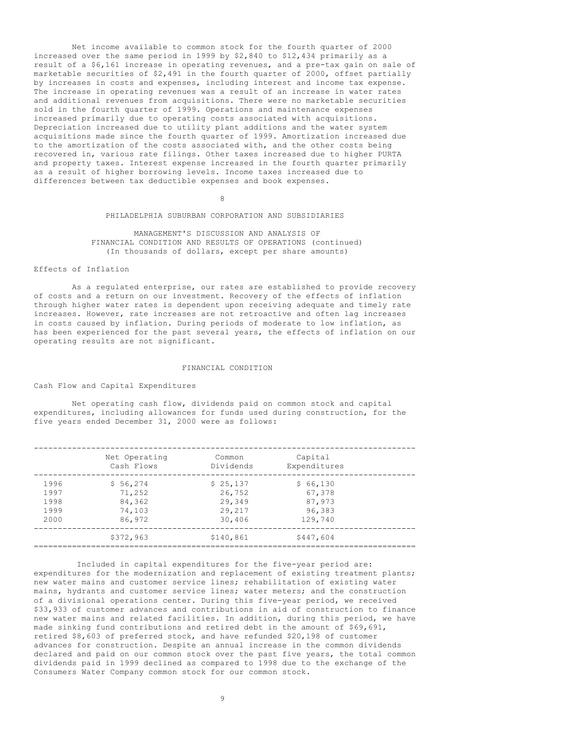Net income available to common stock for the fourth quarter of 2000 increased over the same period in 1999 by \$2,840 to \$12,434 primarily as a result of a \$6,161 increase in operating revenues, and a pre-tax gain on sale of marketable securities of \$2,491 in the fourth quarter of 2000, offset partially by increases in costs and expenses, including interest and income tax expense. The increase in operating revenues was a result of an increase in water rates and additional revenues from acquisitions. There were no marketable securities sold in the fourth quarter of 1999. Operations and maintenance expenses increased primarily due to operating costs associated with acquisitions. Depreciation increased due to utility plant additions and the water system acquisitions made since the fourth quarter of 1999. Amortization increased due to the amortization of the costs associated with, and the other costs being recovered in, various rate filings. Other taxes increased due to higher PURTA and property taxes. Interest expense increased in the fourth quarter primarily as a result of higher borrowing levels. Income taxes increased due to differences between tax deductible expenses and book expenses.

8

# PHILADELPHIA SUBURBAN CORPORATION AND SUBSIDIARIES

MANAGEMENT'S DISCUSSION AND ANALYSIS OF FINANCIAL CONDITION AND RESULTS OF OPERATIONS (continued) (In thousands of dollars, except per share amounts)

## Effects of Inflation

As a regulated enterprise, our rates are established to provide recovery of costs and a return on our investment. Recovery of the effects of inflation through higher water rates is dependent upon receiving adequate and timely rate increases. However, rate increases are not retroactive and often lag increases in costs caused by inflation. During periods of moderate to low inflation, as has been experienced for the past several years, the effects of inflation on our operating results are not significant.

### FINANCIAL CONDITION

### Cash Flow and Capital Expenditures

Net operating cash flow, dividends paid on common stock and capital expenditures, including allowances for funds used during construction, for the five years ended December 31, 2000 were as follows:

|      | Net Operating<br>Cash Flows | Common<br>Dividends | Capital<br>Expenditures |  |
|------|-----------------------------|---------------------|-------------------------|--|
| 1996 | \$56,274                    | \$25,137            | \$66,130                |  |
| 1997 | 71,252                      | 26,752              | 67,378                  |  |
| 1998 | 84,362                      | 29,349              | 87,973                  |  |
| 1999 | 74,103                      | 29,217              | 96,383                  |  |
| 2000 | 86,972                      | 30,406              | 129,740                 |  |
|      | \$372,963                   | \$140,861           | \$447,604               |  |
|      |                             |                     |                         |  |

Included in capital expenditures for the five-year period are: expenditures for the modernization and replacement of existing treatment plants; new water mains and customer service lines; rehabilitation of existing water mains, hydrants and customer service lines; water meters; and the construction of a divisional operations center. During this five-year period, we received \$33,933 of customer advances and contributions in aid of construction to finance new water mains and related facilities. In addition, during this period, we have made sinking fund contributions and retired debt in the amount of \$69,691, retired \$8,603 of preferred stock, and have refunded \$20,198 of customer advances for construction. Despite an annual increase in the common dividends declared and paid on our common stock over the past five years, the total common dividends paid in 1999 declined as compared to 1998 due to the exchange of the Consumers Water Company common stock for our common stock.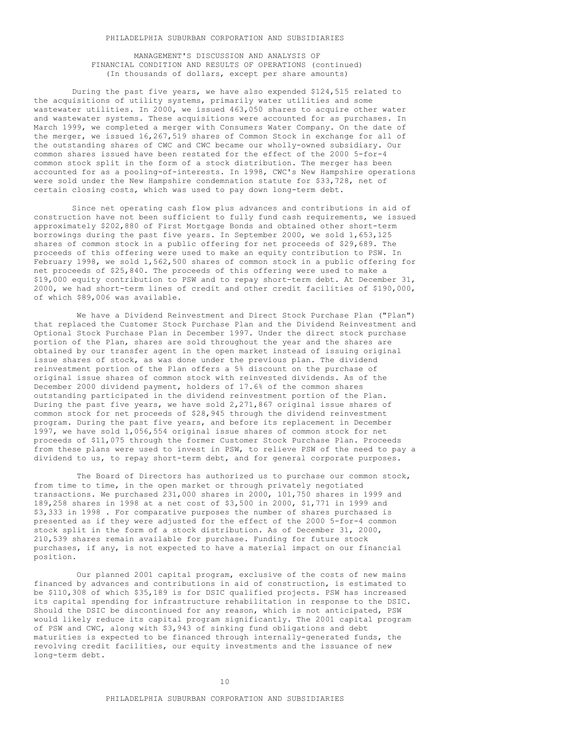MANAGEMENT'S DISCUSSION AND ANALYSIS OF FINANCIAL CONDITION AND RESULTS OF OPERATIONS (continued) (In thousands of dollars, except per share amounts)

During the past five years, we have also expended \$124,515 related to the acquisitions of utility systems, primarily water utilities and some wastewater utilities. In 2000, we issued 463,050 shares to acquire other water and wastewater systems. These acquisitions were accounted for as purchases. In March 1999, we completed a merger with Consumers Water Company. On the date of the merger, we issued 16,267,519 shares of Common Stock in exchange for all of the outstanding shares of CWC and CWC became our wholly-owned subsidiary. Our common shares issued have been restated for the effect of the 2000 5-for-4 common stock split in the form of a stock distribution. The merger has been accounted for as a pooling-of-interests. In 1998, CWC's New Hampshire operations were sold under the New Hampshire condemnation statute for \$33,728, net of certain closing costs, which was used to pay down long-term debt.

Since net operating cash flow plus advances and contributions in aid of construction have not been sufficient to fully fund cash requirements, we issued approximately \$202,880 of First Mortgage Bonds and obtained other short-term borrowings during the past five years. In September 2000, we sold 1,653,125 shares of common stock in a public offering for net proceeds of \$29,689. The proceeds of this offering were used to make an equity contribution to PSW. In February 1998, we sold 1,562,500 shares of common stock in a public offering for net proceeds of \$25,840. The proceeds of this offering were used to make a \$19,000 equity contribution to PSW and to repay short-term debt. At December 31, 2000, we had short-term lines of credit and other credit facilities of \$190,000, of which \$89,006 was available.

We have a Dividend Reinvestment and Direct Stock Purchase Plan ("Plan") that replaced the Customer Stock Purchase Plan and the Dividend Reinvestment and Optional Stock Purchase Plan in December 1997. Under the direct stock purchase portion of the Plan, shares are sold throughout the year and the shares are obtained by our transfer agent in the open market instead of issuing original issue shares of stock, as was done under the previous plan. The dividend reinvestment portion of the Plan offers a 5% discount on the purchase of original issue shares of common stock with reinvested dividends. As of the December 2000 dividend payment, holders of 17.6% of the common shares outstanding participated in the dividend reinvestment portion of the Plan. During the past five years, we have sold 2,271,867 original issue shares of common stock for net proceeds of \$28,945 through the dividend reinvestment program. During the past five years, and before its replacement in December 1997, we have sold 1,056,554 original issue shares of common stock for net proceeds of \$11,075 through the former Customer Stock Purchase Plan. Proceeds from these plans were used to invest in PSW, to relieve PSW of the need to pay a dividend to us, to repay short-term debt, and for general corporate purposes.

The Board of Directors has authorized us to purchase our common stock, from time to time, in the open market or through privately negotiated transactions. We purchased 231,000 shares in 2000, 101,750 shares in 1999 and 189,258 shares in 1998 at a net cost of \$3,500 in 2000, \$1,771 in 1999 and \$3,333 in 1998 . For comparative purposes the number of shares purchased is presented as if they were adjusted for the effect of the 2000 5-for-4 common stock split in the form of a stock distribution. As of December 31, 2000, 210,539 shares remain available for purchase. Funding for future stock purchases, if any, is not expected to have a material impact on our financial position.

Our planned 2001 capital program, exclusive of the costs of new mains financed by advances and contributions in aid of construction, is estimated to be \$110,308 of which \$35,189 is for DSIC qualified projects. PSW has increased its capital spending for infrastructure rehabilitation in response to the DSIC. Should the DSIC be discontinued for any reason, which is not anticipated, PSW would likely reduce its capital program significantly. The 2001 capital program of PSW and CWC, along with \$3,943 of sinking fund obligations and debt maturities is expected to be financed through internally-generated funds, the revolving credit facilities, our equity investments and the issuance of new long-term debt.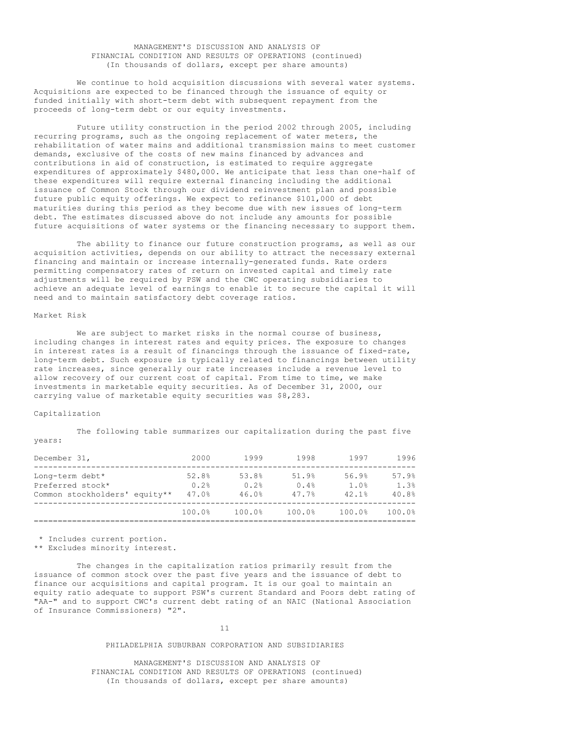## MANAGEMENT'S DISCUSSION AND ANALYSIS OF FINANCIAL CONDITION AND RESULTS OF OPERATIONS (continued) (In thousands of dollars, except per share amounts)

We continue to hold acquisition discussions with several water systems. Acquisitions are expected to be financed through the issuance of equity or funded initially with short-term debt with subsequent repayment from the proceeds of long-term debt or our equity investments.

Future utility construction in the period 2002 through 2005, including recurring programs, such as the ongoing replacement of water meters, the rehabilitation of water mains and additional transmission mains to meet customer demands, exclusive of the costs of new mains financed by advances and contributions in aid of construction, is estimated to require aggregate expenditures of approximately \$480,000. We anticipate that less than one-half of these expenditures will require external financing including the additional issuance of Common Stock through our dividend reinvestment plan and possible future public equity offerings. We expect to refinance \$101,000 of debt maturities during this period as they become due with new issues of long-term debt. The estimates discussed above do not include any amounts for possible future acquisitions of water systems or the financing necessary to support them.

The ability to finance our future construction programs, as well as our acquisition activities, depends on our ability to attract the necessary external financing and maintain or increase internally-generated funds. Rate orders permitting compensatory rates of return on invested capital and timely rate adjustments will be required by PSW and the CWC operating subsidiaries to achieve an adequate level of earnings to enable it to secure the capital it will need and to maintain satisfactory debt coverage ratios.

#### Market Risk

We are subject to market risks in the normal course of business, including changes in interest rates and equity prices. The exposure to changes in interest rates is a result of financings through the issuance of fixed-rate, long-term debt. Such exposure is typically related to financings between utility rate increases, since generally our rate increases include a revenue level to allow recovery of our current cost of capital. From time to time, we make investments in marketable equity securities. As of December 31, 2000, our carrying value of marketable equity securities was \$8,283.

#### Capitalization

The following table summarizes our capitalization during the past five years:

| December 31,                                                         | 2000                   | 1999                   | 1998                   | 1997                   | 1996                   |
|----------------------------------------------------------------------|------------------------|------------------------|------------------------|------------------------|------------------------|
| Long-term debt*<br>Preferred stock*<br>Common stockholders' equity** | 52.8%<br>0.2%<br>47.0% | 53.8%<br>0.2%<br>46.0% | 51.9%<br>0.4%<br>47.7% | 56.9%<br>1.0%<br>42.1% | 57.9%<br>1.3%<br>40.8% |
|                                                                      | 100.0%                 | 100.0%                 | 100.0%                 | 100.0%                 | 100.0%                 |

\* Includes current portion.

\*\* Excludes minority interest.

The changes in the capitalization ratios primarily result from the issuance of common stock over the past five years and the issuance of debt to finance our acquisitions and capital program. It is our goal to maintain an equity ratio adequate to support PSW's current Standard and Poors debt rating of "AA-" and to support CWC's current debt rating of an NAIC (National Association of Insurance Commissioners) "2".

#### 11

### PHILADELPHIA SUBURBAN CORPORATION AND SUBSIDIARIES

MANAGEMENT'S DISCUSSION AND ANALYSIS OF FINANCIAL CONDITION AND RESULTS OF OPERATIONS (continued) (In thousands of dollars, except per share amounts)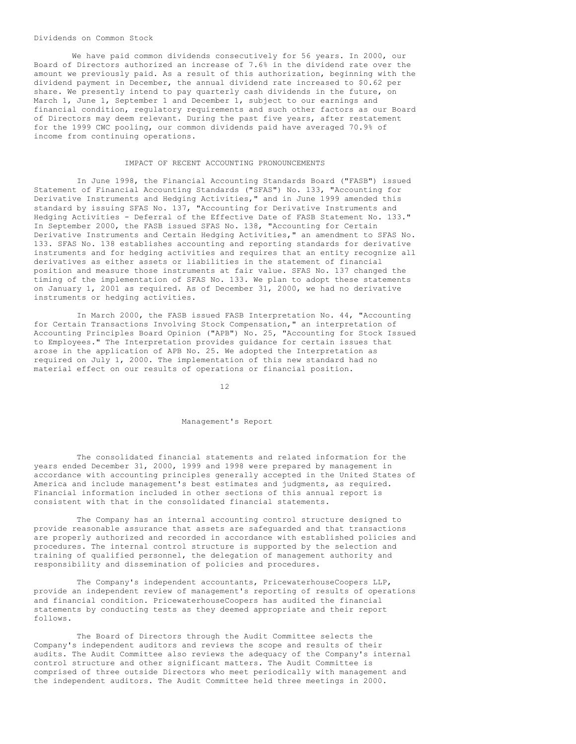### Dividends on Common Stock

We have paid common dividends consecutively for 56 years. In 2000, our Board of Directors authorized an increase of 7.6% in the dividend rate over the amount we previously paid. As a result of this authorization, beginning with the dividend payment in December, the annual dividend rate increased to \$0.62 per share. We presently intend to pay quarterly cash dividends in the future, on March 1, June 1, September 1 and December 1, subject to our earnings and financial condition, regulatory requirements and such other factors as our Board of Directors may deem relevant. During the past five years, after restatement for the 1999 CWC pooling, our common dividends paid have averaged 70.9% of income from continuing operations.

#### IMPACT OF RECENT ACCOUNTING PRONOUNCEMENTS

In June 1998, the Financial Accounting Standards Board ("FASB") issued Statement of Financial Accounting Standards ("SFAS") No. 133, "Accounting for Derivative Instruments and Hedging Activities," and in June 1999 amended this standard by issuing SFAS No. 137, "Accounting for Derivative Instruments and Hedging Activities - Deferral of the Effective Date of FASB Statement No. 133." In September 2000, the FASB issued SFAS No. 138, "Accounting for Certain Derivative Instruments and Certain Hedging Activities," an amendment to SFAS No. 133. SFAS No. 138 establishes accounting and reporting standards for derivative instruments and for hedging activities and requires that an entity recognize all derivatives as either assets or liabilities in the statement of financial position and measure those instruments at fair value. SFAS No. 137 changed the timing of the implementation of SFAS No. 133. We plan to adopt these statements on January 1, 2001 as required. As of December 31, 2000, we had no derivative instruments or hedging activities.

In March 2000, the FASB issued FASB Interpretation No. 44, "Accounting for Certain Transactions Involving Stock Compensation," an interpretation of Accounting Principles Board Opinion ("APB") No. 25, "Accounting for Stock Issued to Employees." The Interpretation provides guidance for certain issues that arose in the application of APB No. 25. We adopted the Interpretation as required on July 1, 2000. The implementation of this new standard had no material effect on our results of operations or financial position.

12

#### Management's Report

The consolidated financial statements and related information for the years ended December 31, 2000, 1999 and 1998 were prepared by management in accordance with accounting principles generally accepted in the United States of America and include management's best estimates and judgments, as required. Financial information included in other sections of this annual report is consistent with that in the consolidated financial statements.

The Company has an internal accounting control structure designed to provide reasonable assurance that assets are safeguarded and that transactions are properly authorized and recorded in accordance with established policies and procedures. The internal control structure is supported by the selection and training of qualified personnel, the delegation of management authority and responsibility and dissemination of policies and procedures.

The Company's independent accountants, PricewaterhouseCoopers LLP, provide an independent review of management's reporting of results of operations and financial condition. PricewaterhouseCoopers has audited the financial statements by conducting tests as they deemed appropriate and their report follows.

The Board of Directors through the Audit Committee selects the Company's independent auditors and reviews the scope and results of their audits. The Audit Committee also reviews the adequacy of the Company's internal control structure and other significant matters. The Audit Committee is comprised of three outside Directors who meet periodically with management and the independent auditors. The Audit Committee held three meetings in 2000.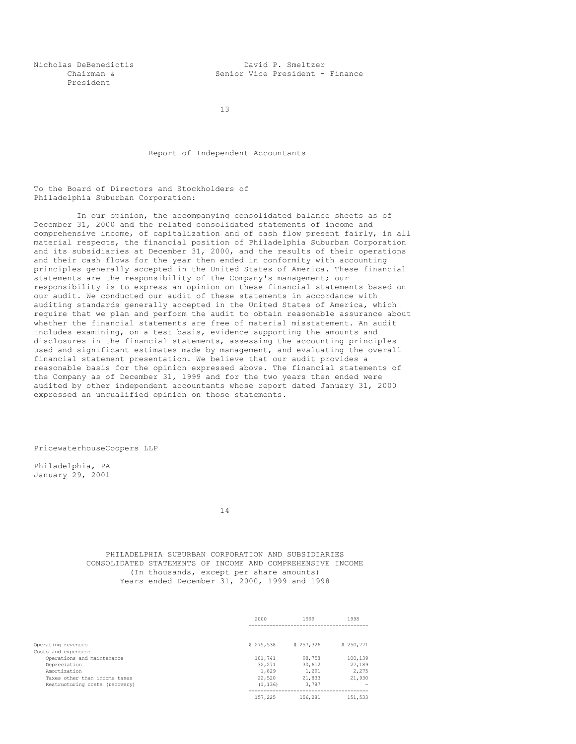President

Nicholas DeBenedictis David P. Smeltzer Chairman & Senior Vice President - Finance

13

Report of Independent Accountants

To the Board of Directors and Stockholders of Philadelphia Suburban Corporation:

In our opinion, the accompanying consolidated balance sheets as of December 31, 2000 and the related consolidated statements of income and comprehensive income, of capitalization and of cash flow present fairly, in all material respects, the financial position of Philadelphia Suburban Corporation and its subsidiaries at December 31, 2000, and the results of their operations and their cash flows for the year then ended in conformity with accounting principles generally accepted in the United States of America. These financial statements are the responsibility of the Company's management; our responsibility is to express an opinion on these financial statements based on our audit. We conducted our audit of these statements in accordance with auditing standards generally accepted in the United States of America, which require that we plan and perform the audit to obtain reasonable assurance about whether the financial statements are free of material misstatement. An audit includes examining, on a test basis, evidence supporting the amounts and disclosures in the financial statements, assessing the accounting principles used and significant estimates made by management, and evaluating the overall financial statement presentation. We believe that our audit provides a reasonable basis for the opinion expressed above. The financial statements of the Company as of December 31, 1999 and for the two years then ended were audited by other independent accountants whose report dated January 31, 2000 expressed an unqualified opinion on those statements.

PricewaterhouseCoopers LLP

Philadelphia, PA January 29, 2001

14

## PHILADELPHIA SUBURBAN CORPORATION AND SUBSIDIARIES CONSOLIDATED STATEMENTS OF INCOME AND COMPREHENSIVE INCOME (In thousands, except per share amounts) Years ended December 31, 2000, 1999 and 1998

|                                | 2000      | 1999      | 1998      |
|--------------------------------|-----------|-----------|-----------|
|                                |           |           |           |
| Operating revenues             | \$275,538 | \$257.326 | \$250.771 |
| Costs and expenses:            |           |           |           |
| Operations and maintenance     | 101,741   | 98,758    | 100,139   |
| Depreciation                   | 32,271    | 30,612    | 27,189    |
| Amortization                   | 1,829     | 1,291     | 2,275     |
| Taxes other than income taxes  | 22,520    | 21,833    | 21,930    |
| Restructuring costs (recovery) | (1.136)   | 3,787     |           |
|                                | 157.225   | 156,281   | 151,533   |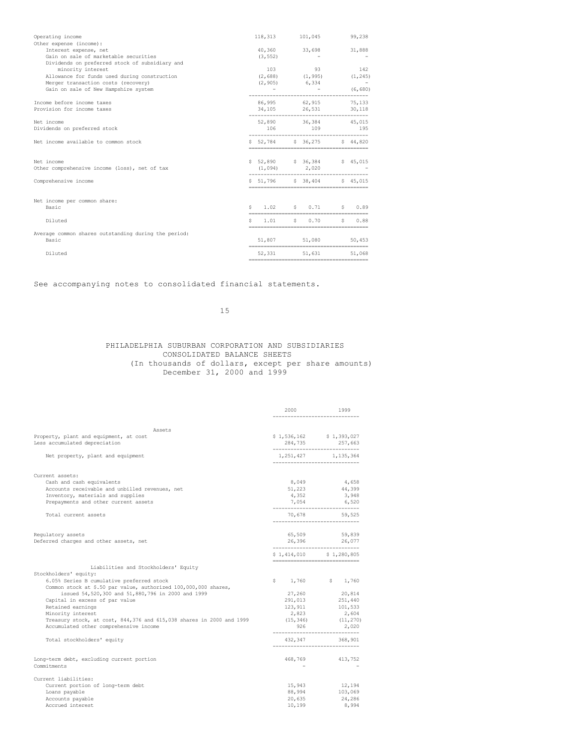| Operating income<br>Other expense (income):                                                                                                                |    | 118,313 101,045                                       |                                                           | 99,238                         |
|------------------------------------------------------------------------------------------------------------------------------------------------------------|----|-------------------------------------------------------|-----------------------------------------------------------|--------------------------------|
| Interest expense, net<br>Gain on sale of marketable securities                                                                                             |    | 40,360 33,698<br>(3, 552)                             |                                                           | 31,888                         |
| Dividends on preferred stock of subsidiary and<br>minority interest<br>Allowance for funds used during construction<br>Merger transaction costs (recovery) |    | $(2, 688)$ $(1, 995)$ $(1, 245)$<br>$(2, 905)$ 6, 334 | 103 93                                                    | 142<br>$\sim 100$ km s $^{-1}$ |
| Gain on sale of New Hampshire system                                                                                                                       |    |                                                       | $\mathcal{L}_{\text{max}}$ and $\mathcal{L}_{\text{max}}$ | (6, 680)                       |
| Income before income taxes<br>Provision for income taxes                                                                                                   |    | 86,995 62,915 75,133<br>34, 105 26, 531 30, 118       |                                                           |                                |
| Net income<br>Dividends on preferred stock                                                                                                                 |    | 52,890 36,384 45,015                                  | 106 109 195                                               |                                |
| Net income available to common stock                                                                                                                       |    | \$52,784 \$36,275 \$44,820                            |                                                           |                                |
| Net income<br>Other comprehensive income (loss), net of tax                                                                                                |    | \$52,890 \$36,384 \$45,015<br>$(1, 094)$ 2,020        |                                                           |                                |
| Comprehensive income                                                                                                                                       |    | \$51,796 \$38,404 \$45,015<br>________________        |                                                           |                                |
| Net income per common share:<br>Basic                                                                                                                      |    | $S = 1.02$ $S = 0.71$                                 |                                                           | \$0.89                         |
| Diluted                                                                                                                                                    | Ŝ. | 1.01                                                  | 50.70                                                     | \$0.88                         |
| Average common shares outstanding during the period:<br>Basic                                                                                              |    | 51,807 51,080                                         |                                                           | 50,453                         |
| Diluted                                                                                                                                                    |    | 52, 331 51, 631 51, 068                               |                                                           |                                |
|                                                                                                                                                            |    |                                                       |                                                           |                                |

# See accompanying notes to consolidated financial statements.

15

# PHILADELPHIA SUBURBAN CORPORATION AND SUBSIDIARIES CONSOLIDATED BALANCE SHEETS (In thousands of dollars, except per share amounts) December 31, 2000 and 1999

|                                                                                                                                                          | 2000                                     | 1999                                                                         |
|----------------------------------------------------------------------------------------------------------------------------------------------------------|------------------------------------------|------------------------------------------------------------------------------|
|                                                                                                                                                          |                                          |                                                                              |
| Assets<br>Property, plant and equipment, at cost<br>Less accumulated depreciation                                                                        |                                          | \$1,536,162 \$1,393,027<br>284,735 257,663<br>------------------------------ |
| Net property, plant and equipment                                                                                                                        | ---------------------                    | 1, 251, 427 1, 135, 364                                                      |
| Current assets:                                                                                                                                          |                                          |                                                                              |
| Cash and cash equivalents<br>Accounts receivable and unbilled revenues, net<br>Inventory, materials and supplies<br>Prepayments and other current assets | 8,049<br>4,352<br>7,054                  | 4,658<br>51,223 44,399<br>3,948<br>6,520                                     |
| Total current assets                                                                                                                                     | ______________________________<br>70,678 | 59,525<br>-----------------------------                                      |
| Requlatory assets<br>Deferred charges and other assets, net                                                                                              | 65,509                                   | 59,839<br>26,396 26,077<br>------------------------------                    |
|                                                                                                                                                          |                                          | \$1,414,010 \$1,280,805                                                      |
| Liabilities and Stockholders' Equity                                                                                                                     | _____________________________            |                                                                              |
| Stockholders' equity:                                                                                                                                    |                                          |                                                                              |
| 6.05% Series B cumulative preferred stock                                                                                                                |                                          | $$1,760$ $$1,760$                                                            |
| Common stock at \$.50 par value, authorized 100,000,000 shares,<br>issued 54,520,300 and 51,880,796 in 2000 and 1999                                     | 27,260                                   | 20,814                                                                       |
| Capital in excess of par value                                                                                                                           |                                          | 291,013 251,440                                                              |
| Retained earnings                                                                                                                                        |                                          |                                                                              |
| Minority interest                                                                                                                                        | 2,823                                    | 123, 911 101, 533<br>2,604                                                   |
| Treasury stock, at cost, 844,376 and 615,038 shares in 2000 and 1999                                                                                     |                                          | $(15, 346)$ $(11, 270)$                                                      |
| Accumulated other comprehensive income                                                                                                                   | 926                                      | 2,020                                                                        |
| Total stockholders' equity                                                                                                                               | _____________________________            | 432, 347 368, 901                                                            |
| Long-term debt, excluding current portion<br>Commitments                                                                                                 | 468,769                                  | 413,752                                                                      |
| Current liabilities:                                                                                                                                     |                                          |                                                                              |
| Current portion of long-term debt                                                                                                                        |                                          | 15,943 12,194                                                                |
| Loans payable                                                                                                                                            | 88,994                                   | 103,069                                                                      |
| Accounts payable                                                                                                                                         | 20,635                                   | 24,286                                                                       |
| Accrued interest                                                                                                                                         | 10,199                                   | 8,994                                                                        |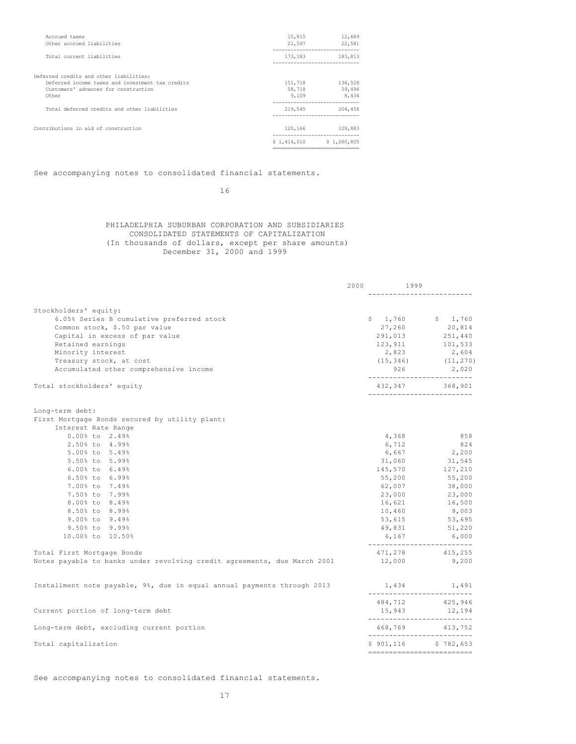| Accrued taxes                                    | 15,815  | 12,689                               |
|--------------------------------------------------|---------|--------------------------------------|
| Other accrued liabilities                        | 21,597  | 22,581                               |
| Total current liabilities                        |         | 173, 183 183, 813                    |
| Deferred credits and other liabilities:          |         |                                      |
| Deferred income taxes and investment tax credits | 151,718 | 136,528                              |
| Customers' advances for construction             | 58,718  | 59,494                               |
| Other                                            | 9,109   | 8,434<br>--------------------------- |
| Total deferred credits and other liabilities     | 219,545 | 204,456                              |
| Contributions in aid of construction             |         | 120,166 109,883                      |
|                                                  |         | $$1,414,010$ $$1,280,805$            |
|                                                  |         |                                      |

See accompanying notes to consolidated financial statements.

# 16

# PHILADELPHIA SUBURBAN CORPORATION AND SUBSIDIARIES CONSOLIDATED STATEMENTS OF CAPITALIZATION (In thousands of dollars, except per share amounts) December 31, 2000 and 1999

|                                                                          | 2000 | 1999   |                                                                  |
|--------------------------------------------------------------------------|------|--------|------------------------------------------------------------------|
|                                                                          |      |        |                                                                  |
| Stockholders' equity:                                                    |      |        |                                                                  |
| 6.05% Series B cumulative preferred stock                                |      |        | $$1,760$ $$1,760$                                                |
| Common stock, \$.50 par value                                            |      | 27,260 | 20,814                                                           |
| Capital in excess of par value                                           |      |        | $291,013$ $251,440$                                              |
| Retained earnings                                                        |      |        | 123, 911 101, 533                                                |
| Minority interest                                                        |      | 2,823  | 2,604                                                            |
| Treasury stock, at cost                                                  |      |        | $(15,346)$ $(11,270)$                                            |
| Accumulated other comprehensive income                                   |      |        | $926$ 2,020<br>--------------------------                        |
| Total stockholders' equity                                               |      |        | 432,347 368,901<br>___________________________                   |
| Long-term debt:                                                          |      |        |                                                                  |
| First Mortgage Bonds secured by utility plant:                           |      |        |                                                                  |
| Interest Rate Range                                                      |      |        |                                                                  |
| $0.00$ % to $2.49$ %                                                     |      | 4,368  | 858                                                              |
| 2.50% to 4.99%                                                           |      | 6,712  | 824                                                              |
| 5.00% to 5.49%                                                           |      | 6,667  | 2,200                                                            |
| 5.50% to 5.99%                                                           |      | 31,060 | 31, 545                                                          |
| 6.00% to 6.49%                                                           |      |        | 145,570 127,210                                                  |
| 6.50% to 6.99%                                                           |      | 55,200 | 55,200                                                           |
| 7.00% to 7.49%                                                           |      | 62,007 | 38,000                                                           |
| 7.50% to 7.99%                                                           |      |        | 23,000 23,000                                                    |
| 8.00% to 8.49%                                                           |      | 16,621 | 16,500                                                           |
| 8.50% to 8.99%                                                           |      | 10,460 | 9,003                                                            |
| 9.00% to 9.49%                                                           |      |        | 53,615 53,695                                                    |
| 9.50% to 9.99%                                                           |      |        | 49,831 51,220                                                    |
| 10.00% to 10.50%                                                         |      | 6,167  | 6,000                                                            |
| Total First Mortgage Bonds                                               |      |        | ___________________________<br>471,278 415,255                   |
| Notes payable to banks under revolving credit agreements, due March 2001 |      | 12,000 | 9,200                                                            |
| Installment note payable, 9%, due in equal annual payments through 2013  |      |        | $1,434$ $1,491$<br>--------------------------                    |
|                                                                          |      |        |                                                                  |
| Current portion of long-term debt                                        |      |        | 484,712 425,946<br>15,943 12,194<br>____________________________ |
| Long-term debt, excluding current portion                                |      |        | 468,769 413,752<br>--------------------------                    |
| Total capitalization                                                     |      |        | \$901,116 \$782,653                                              |
|                                                                          |      |        | -------------------------                                        |

See accompanying notes to consolidated financial statements.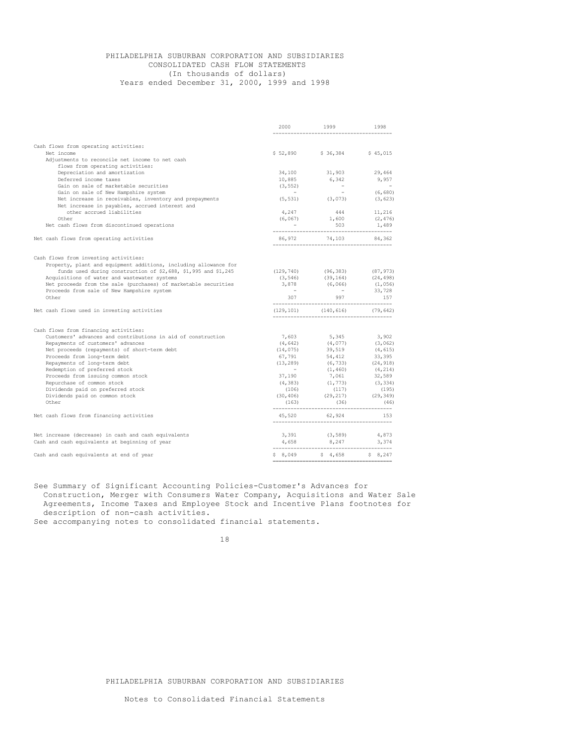# PHILADELPHIA SUBURBAN CORPORATION AND SUBSIDIARIES CONSOLIDATED CASH FLOW STATEMENTS (In thousands of dollars) Years ended December 31, 2000, 1999 and 1998

|                                                                                                           | 2000                 | 1999                                               | 1998                              |
|-----------------------------------------------------------------------------------------------------------|----------------------|----------------------------------------------------|-----------------------------------|
|                                                                                                           |                      |                                                    |                                   |
| Cash flows from operating activities:                                                                     |                      |                                                    |                                   |
| Net income                                                                                                |                      | \$52,890 \$36,384 \$45,015                         |                                   |
| Adjustments to reconcile net income to net cash                                                           |                      |                                                    |                                   |
| flows from operating activities:                                                                          |                      | 31,903                                             | 29,464                            |
| Depreciation and amortization<br>Deferred income taxes                                                    | 34,100               |                                                    |                                   |
| Gain on sale of marketable securities                                                                     | 10,885               | 6,342                                              | 9,957<br><b>Contract Contract</b> |
|                                                                                                           | (3, 552)             | $\sim 10^{-1}$                                     | (6,680)                           |
| Gain on sale of New Hampshire system<br>Net increase in receivables, inventory and prepayments            |                      | $(5, 531)$ $(3, 073)$                              | (3, 623)                          |
| Net increase in payables, accrued interest and                                                            |                      |                                                    |                                   |
| other accrued liabilities                                                                                 |                      | 444                                                | 11,216                            |
|                                                                                                           | 4,247                |                                                    |                                   |
| Other                                                                                                     | (6, 067)             | 1,600                                              | (2, 476)                          |
| Net cash flows from discontinued operations                                                               |                      | 503                                                | 1,489                             |
| Net cash flows from operating activities                                                                  | 86,972               | 74,103 84,362                                      |                                   |
| Cash flows from investing activities:<br>Property, plant and equipment additions, including allowance for |                      |                                                    |                                   |
| funds used during construction of \$2,688, \$1,995 and \$1,245                                            | (129, 740)           |                                                    |                                   |
| Acquisitions of water and wastewater systems                                                              | (3, 546)             | $(96, 383)$ $(87, 973)$<br>$(39, 164)$ $(24, 498)$ |                                   |
| Net proceeds from the sale (purchases) of marketable securities                                           | 3,878                | (6, 066)                                           | (1,056)                           |
| Proceeds from sale of New Hampshire system                                                                | $\sim 100$ m $^{-1}$ | <b>Contract Contract</b>                           |                                   |
| Other                                                                                                     |                      | 307 997                                            | 33,728<br>157                     |
| Net cash flows used in investing activities                                                               |                      | $(129, 101)$ $(140, 616)$ $(79, 642)$              |                                   |
|                                                                                                           |                      |                                                    |                                   |
| Cash flows from financing activities:                                                                     |                      |                                                    |                                   |
| Customers' advances and contributions in aid of construction                                              | 7,603                |                                                    | $3,902$<br>(3,062)                |
| Repayments of customers' advances                                                                         | (4, 642)             | $5,345$<br>(4,077)<br>39,519<br>54,412             |                                   |
| Net proceeds (repayments) of short-term debt                                                              | (14, 075)            |                                                    | (4, 615)<br>(4, 0.00)             |
| Proceeds from long-term debt                                                                              | 67,791<br>(13, 289)  |                                                    | (24, 918)                         |
| Repayments of long-term debt<br>Redemption of preferred stock                                             | <b>Contractor</b>    |                                                    |                                   |
| Proceeds from issuing common stock                                                                        | 37,190               | $(6, 733)$<br>(1,460)<br>7<br>7,061                | (4, 214)<br>32,589                |
| Repurchase of common stock                                                                                |                      |                                                    | (3, 334)                          |
| Dividends paid on preferred stock                                                                         | (106)                | $(4,383)$ $(1,773)$<br>(117)                       | (195)                             |
| Dividends paid on common stock                                                                            | (30, 406)            |                                                    |                                   |
| Other                                                                                                     | (163)                | $(29, 217)$ $(29, 349)$<br>$(36)$ $(46)$           |                                   |
| Net cash flows from financing activities                                                                  |                      | 45,520 62,924                                      | 1.53                              |
|                                                                                                           |                      |                                                    |                                   |
| Net increase (decrease) in cash and cash equivalents                                                      |                      | 3,391 (3,589) 4,873                                |                                   |
| Cash and cash equivalents at beginning of year                                                            |                      | $4,658$ $8,247$ $3,374$                            |                                   |
| Cash and cash equivalents at end of year                                                                  |                      | \$8,049 \$4,658 \$8,247                            |                                   |

See Summary of Significant Accounting Policies-Customer's Advances for Construction, Merger with Consumers Water Company, Acquisitions and Water Sale Agreements, Income Taxes and Employee Stock and Incentive Plans footnotes for description of non-cash activities.

See accompanying notes to consolidated financial statements.

PHILADELPHIA SUBURBAN CORPORATION AND SUBSIDIARIES

<sup>18</sup>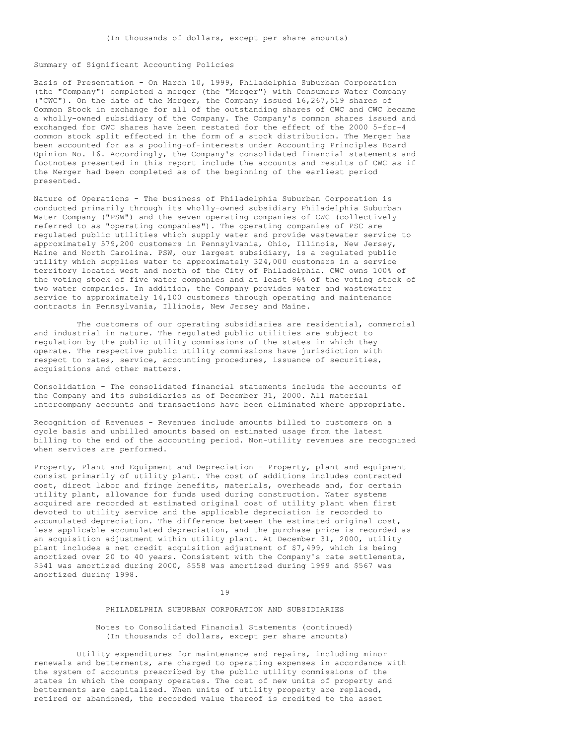## Summary of Significant Accounting Policies

Basis of Presentation - On March 10, 1999, Philadelphia Suburban Corporation (the "Company") completed a merger (the "Merger") with Consumers Water Company ("CWC"). On the date of the Merger, the Company issued 16,267,519 shares of Common Stock in exchange for all of the outstanding shares of CWC and CWC became a wholly-owned subsidiary of the Company. The Company's common shares issued and exchanged for CWC shares have been restated for the effect of the 2000 5-for-4 common stock split effected in the form of a stock distribution. The Merger has been accounted for as a pooling-of-interests under Accounting Principles Board Opinion No. 16. Accordingly, the Company's consolidated financial statements and footnotes presented in this report include the accounts and results of CWC as if the Merger had been completed as of the beginning of the earliest period presented.

Nature of Operations - The business of Philadelphia Suburban Corporation is conducted primarily through its wholly-owned subsidiary Philadelphia Suburban Water Company ("PSW") and the seven operating companies of CWC (collectively referred to as "operating companies"). The operating companies of PSC are regulated public utilities which supply water and provide wastewater service to approximately 579,200 customers in Pennsylvania, Ohio, Illinois, New Jersey, Maine and North Carolina. PSW, our largest subsidiary, is a regulated public utility which supplies water to approximately 324,000 customers in a service territory located west and north of the City of Philadelphia. CWC owns 100% of the voting stock of five water companies and at least 96% of the voting stock of two water companies. In addition, the Company provides water and wastewater service to approximately 14,100 customers through operating and maintenance contracts in Pennsylvania, Illinois, New Jersey and Maine.

The customers of our operating subsidiaries are residential, commercial and industrial in nature. The regulated public utilities are subject to regulation by the public utility commissions of the states in which they operate. The respective public utility commissions have jurisdiction with respect to rates, service, accounting procedures, issuance of securities, acquisitions and other matters.

Consolidation - The consolidated financial statements include the accounts of the Company and its subsidiaries as of December 31, 2000. All material intercompany accounts and transactions have been eliminated where appropriate.

Recognition of Revenues - Revenues include amounts billed to customers on a cycle basis and unbilled amounts based on estimated usage from the latest billing to the end of the accounting period. Non-utility revenues are recognized when services are performed.

Property, Plant and Equipment and Depreciation - Property, plant and equipment consist primarily of utility plant. The cost of additions includes contracted cost, direct labor and fringe benefits, materials, overheads and, for certain utility plant, allowance for funds used during construction. Water systems acquired are recorded at estimated original cost of utility plant when first devoted to utility service and the applicable depreciation is recorded to accumulated depreciation. The difference between the estimated original cost, less applicable accumulated depreciation, and the purchase price is recorded as an acquisition adjustment within utility plant. At December 31, 2000, utility plant includes a net credit acquisition adjustment of \$7,499, which is being amortized over 20 to 40 years. Consistent with the Company's rate settlements, \$541 was amortized during 2000, \$558 was amortized during 1999 and \$567 was amortized during 1998.

#### 19

# PHILADELPHIA SUBURBAN CORPORATION AND SUBSIDIARIES

Notes to Consolidated Financial Statements (continued) (In thousands of dollars, except per share amounts)

Utility expenditures for maintenance and repairs, including minor renewals and betterments, are charged to operating expenses in accordance with the system of accounts prescribed by the public utility commissions of the states in which the company operates. The cost of new units of property and betterments are capitalized. When units of utility property are replaced, retired or abandoned, the recorded value thereof is credited to the asset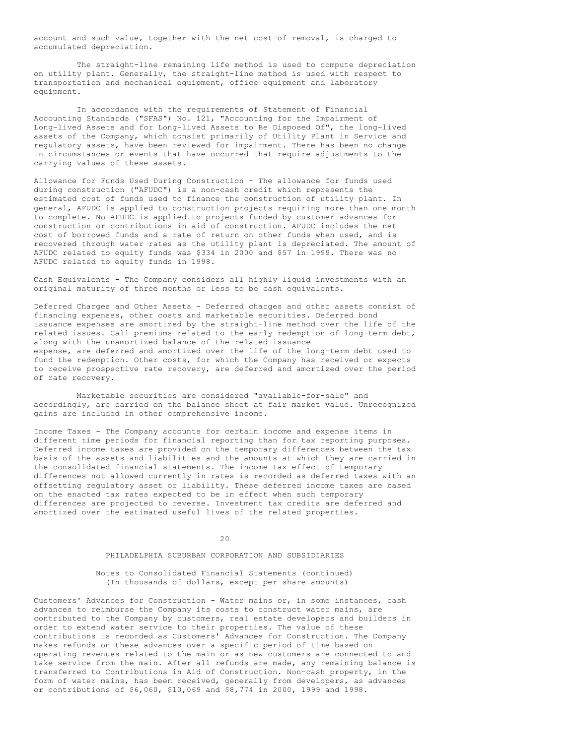account and such value, together with the net cost of removal, is charged to accumulated depreciation.

The straight-line remaining life method is used to compute depreciation on utility plant. Generally, the straight-line method is used with respect to transportation and mechanical equipment, office equipment and laboratory equipment.

In accordance with the requirements of Statement of Financial Accounting Standards ("SFAS") No. 121, "Accounting for the Impairment of Long-lived Assets and for Long-lived Assets to Be Disposed Of", the long-lived assets of the Company, which consist primarily of Utility Plant in Service and regulatory assets, have been reviewed for impairment. There has been no change in circumstances or events that have occurred that require adjustments to the carrying values of these assets.

Allowance for Funds Used During Construction - The allowance for funds used during construction ("AFUDC") is a non-cash credit which represents the estimated cost of funds used to finance the construction of utility plant. In general, AFUDC is applied to construction projects requiring more than one month to complete. No AFUDC is applied to projects funded by customer advances for construction or contributions in aid of construction. AFUDC includes the net cost of borrowed funds and a rate of return on other funds when used, and is recovered through water rates as the utility plant is depreciated. The amount of AFUDC related to equity funds was \$334 in 2000 and \$57 in 1999. There was no AFUDC related to equity funds in 1998.

Cash Equivalents - The Company considers all highly liquid investments with an original maturity of three months or less to be cash equivalents.

Deferred Charges and Other Assets - Deferred charges and other assets consist of financing expenses, other costs and marketable securities. Deferred bond issuance expenses are amortized by the straight-line method over the life of the related issues. Call premiums related to the early redemption of long-term debt, along with the unamortized balance of the related issuance expense, are deferred and amortized over the life of the long-term debt used to fund the redemption. Other costs, for which the Company has received or expects to receive prospective rate recovery, are deferred and amortized over the period of rate recovery.

Marketable securities are considered "available-for-sale" and accordingly, are carried on the balance sheet at fair market value. Unrecognized gains are included in other comprehensive income.

Income Taxes - The Company accounts for certain income and expense items in different time periods for financial reporting than for tax reporting purposes. Deferred income taxes are provided on the temporary differences between the tax basis of the assets and liabilities and the amounts at which they are carried in the consolidated financial statements. The income tax effect of temporary differences not allowed currently in rates is recorded as deferred taxes with an offsetting regulatory asset or liability. These deferred income taxes are based on the enacted tax rates expected to be in effect when such temporary differences are projected to reverse. Investment tax credits are deferred and amortized over the estimated useful lives of the related properties.

 $20$ 

### PHILADELPHIA SUBURBAN CORPORATION AND SUBSIDIARIES

## Notes to Consolidated Financial Statements (continued) (In thousands of dollars, except per share amounts)

Customers' Advances for Construction - Water mains or, in some instances, cash advances to reimburse the Company its costs to construct water mains, are contributed to the Company by customers, real estate developers and builders in order to extend water service to their properties. The value of these contributions is recorded as Customers' Advances for Construction. The Company makes refunds on these advances over a specific period of time based on operating revenues related to the main or as new customers are connected to and take service from the main. After all refunds are made, any remaining balance is transferred to Contributions in Aid of Construction. Non-cash property, in the form of water mains, has been received, generally from developers, as advances or contributions of \$6,060, \$10,069 and \$8,774 in 2000, 1999 and 1998.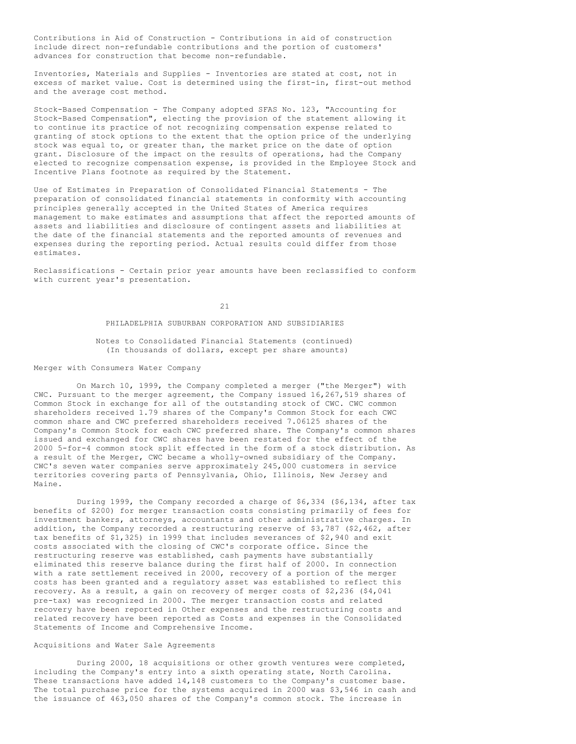Contributions in Aid of Construction - Contributions in aid of construction include direct non-refundable contributions and the portion of customers' advances for construction that become non-refundable.

Inventories, Materials and Supplies - Inventories are stated at cost, not in excess of market value. Cost is determined using the first-in, first-out method and the average cost method.

Stock-Based Compensation - The Company adopted SFAS No. 123, "Accounting for Stock-Based Compensation", electing the provision of the statement allowing it to continue its practice of not recognizing compensation expense related to granting of stock options to the extent that the option price of the underlying stock was equal to, or greater than, the market price on the date of option grant. Disclosure of the impact on the results of operations, had the Company elected to recognize compensation expense, is provided in the Employee Stock and Incentive Plans footnote as required by the Statement.

Use of Estimates in Preparation of Consolidated Financial Statements - The preparation of consolidated financial statements in conformity with accounting principles generally accepted in the United States of America requires management to make estimates and assumptions that affect the reported amounts of assets and liabilities and disclosure of contingent assets and liabilities at the date of the financial statements and the reported amounts of revenues and expenses during the reporting period. Actual results could differ from those estimates.

Reclassifications - Certain prior year amounts have been reclassified to conform with current year's presentation.

21

#### PHILADELPHIA SUBURBAN CORPORATION AND SUBSIDIARIES

# Notes to Consolidated Financial Statements (continued) (In thousands of dollars, except per share amounts)

### Merger with Consumers Water Company

On March 10, 1999, the Company completed a merger ("the Merger") with CWC. Pursuant to the merger agreement, the Company issued 16,267,519 shares of Common Stock in exchange for all of the outstanding stock of CWC. CWC common shareholders received 1.79 shares of the Company's Common Stock for each CWC common share and CWC preferred shareholders received 7.06125 shares of the Company's Common Stock for each CWC preferred share. The Company's common shares issued and exchanged for CWC shares have been restated for the effect of the 2000 5-for-4 common stock split effected in the form of a stock distribution. As a result of the Merger, CWC became a wholly-owned subsidiary of the Company. CWC's seven water companies serve approximately 245,000 customers in service territories covering parts of Pennsylvania, Ohio, Illinois, New Jersey and Maine.

During 1999, the Company recorded a charge of \$6,334 (\$6,134, after tax benefits of \$200) for merger transaction costs consisting primarily of fees for investment bankers, attorneys, accountants and other administrative charges. In addition, the Company recorded a restructuring reserve of \$3,787 (\$2,462, after tax benefits of \$1,325) in 1999 that includes severances of \$2,940 and exit costs associated with the closing of CWC's corporate office. Since the restructuring reserve was established, cash payments have substantially eliminated this reserve balance during the first half of 2000. In connection with a rate settlement received in 2000, recovery of a portion of the merger costs has been granted and a regulatory asset was established to reflect this recovery. As a result, a gain on recovery of merger costs of \$2,236 (\$4,041 pre-tax) was recognized in 2000. The merger transaction costs and related recovery have been reported in Other expenses and the restructuring costs and related recovery have been reported as Costs and expenses in the Consolidated Statements of Income and Comprehensive Income.

## Acquisitions and Water Sale Agreements

During 2000, 18 acquisitions or other growth ventures were completed, including the Company's entry into a sixth operating state, North Carolina. These transactions have added 14,148 customers to the Company's customer base. The total purchase price for the systems acquired in 2000 was \$3,546 in cash and the issuance of 463,050 shares of the Company's common stock. The increase in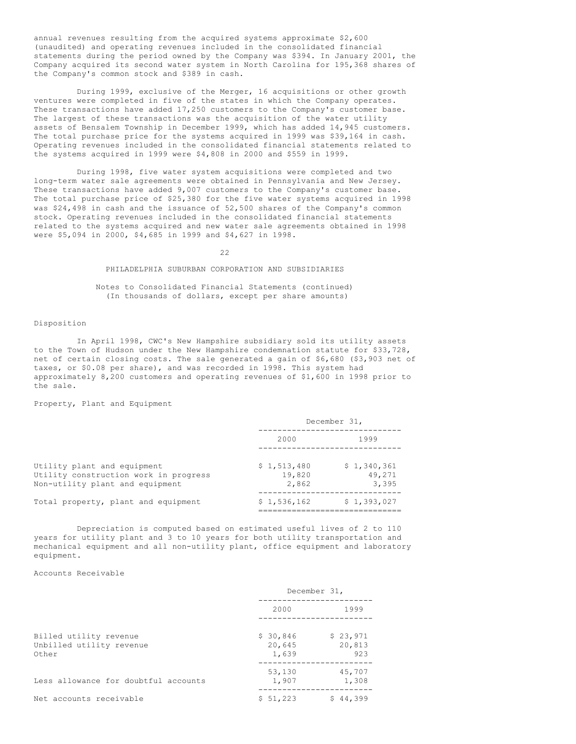annual revenues resulting from the acquired systems approximate \$2,600 (unaudited) and operating revenues included in the consolidated financial statements during the period owned by the Company was \$394. In January 2001, the Company acquired its second water system in North Carolina for 195,368 shares of the Company's common stock and \$389 in cash.

During 1999, exclusive of the Merger, 16 acquisitions or other growth ventures were completed in five of the states in which the Company operates. These transactions have added 17,250 customers to the Company's customer base. The largest of these transactions was the acquisition of the water utility assets of Bensalem Township in December 1999, which has added 14,945 customers. The total purchase price for the systems acquired in 1999 was \$39,164 in cash. Operating revenues included in the consolidated financial statements related to the systems acquired in 1999 were \$4,808 in 2000 and \$559 in 1999.

During 1998, five water system acquisitions were completed and two long-term water sale agreements were obtained in Pennsylvania and New Jersey. These transactions have added 9,007 customers to the Company's customer base. The total purchase price of \$25,380 for the five water systems acquired in 1998 was \$24,498 in cash and the issuance of 52,500 shares of the Company's common stock. Operating revenues included in the consolidated financial statements related to the systems acquired and new water sale agreements obtained in 1998 were \$5,094 in 2000, \$4,685 in 1999 and \$4,627 in 1998.

 $22$ 

# PHILADELPHIA SUBURBAN CORPORATION AND SUBSIDIARIES

Notes to Consolidated Financial Statements (continued) (In thousands of dollars, except per share amounts)

## Disposition

In April 1998, CWC's New Hampshire subsidiary sold its utility assets to the Town of Hudson under the New Hampshire condemnation statute for \$33,728, net of certain closing costs. The sale generated a gain of \$6,680 (\$3,903 net of taxes, or \$0.08 per share), and was recorded in 1998. This system had approximately 8,200 customers and operating revenues of \$1,600 in 1998 prior to the sale.

Property, Plant and Equipment

| December 31,                   |                                |
|--------------------------------|--------------------------------|
| 2000                           | 1999                           |
| \$1,513,480<br>19,820<br>2,862 | \$1,340,361<br>49,271<br>3,395 |
| \$1,536,162                    | \$1,393,027                    |
|                                |                                |

Depreciation is computed based on estimated useful lives of 2 to 110 years for utility plant and 3 to 10 years for both utility transportation and mechanical equipment and all non-utility plant, office equipment and laboratory equipment.

Accounts Receivable

|                                                             |                             | December 31,              |
|-------------------------------------------------------------|-----------------------------|---------------------------|
|                                                             | 2000                        | 1999                      |
| Billed utility revenue<br>Unbilled utility revenue<br>Other | \$30,846<br>20,645<br>1,639 | \$23,971<br>20,813<br>923 |
| Less allowance for doubtful accounts                        | 53,130<br>1,907             | 45,707<br>1,308           |
| Net accounts receivable                                     | \$51,223                    | \$44,399                  |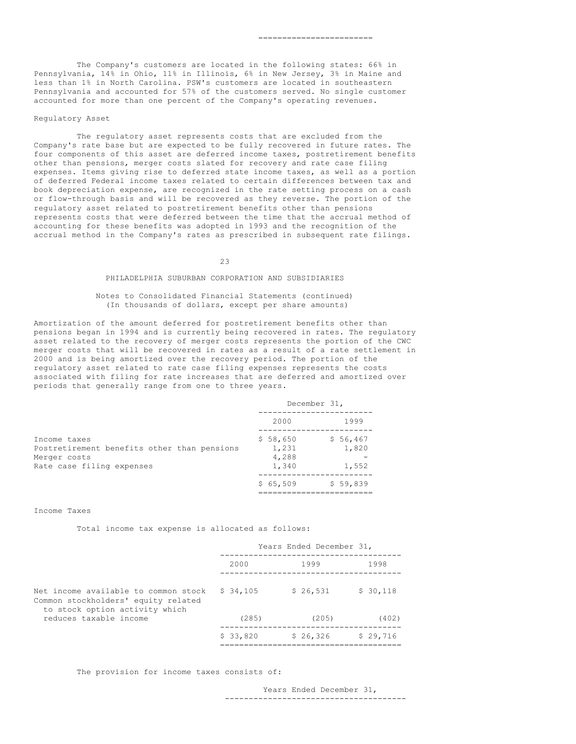The Company's customers are located in the following states: 66% in Pennsylvania, 14% in Ohio, 11% in Illinois, 6% in New Jersey, 3% in Maine and less than 1% in North Carolina. PSW's customers are located in southeastern Pennsylvania and accounted for 57% of the customers served. No single customer accounted for more than one percent of the Company's operating revenues.

#### Regulatory Asset

The regulatory asset represents costs that are excluded from the Company's rate base but are expected to be fully recovered in future rates. The four components of this asset are deferred income taxes, postretirement benefits other than pensions, merger costs slated for recovery and rate case filing expenses. Items giving rise to deferred state income taxes, as well as a portion of deferred Federal income taxes related to certain differences between tax and book depreciation expense, are recognized in the rate setting process on a cash or flow-through basis and will be recovered as they reverse. The portion of the regulatory asset related to postretirement benefits other than pensions represents costs that were deferred between the time that the accrual method of accounting for these benefits was adopted in 1993 and the recognition of the accrual method in the Company's rates as prescribed in subsequent rate filings.

23

# PHILADELPHIA SUBURBAN CORPORATION AND SUBSIDIARIES

## Notes to Consolidated Financial Statements (continued) (In thousands of dollars, except per share amounts)

Amortization of the amount deferred for postretirement benefits other than pensions began in 1994 and is currently being recovered in rates. The regulatory asset related to the recovery of merger costs represents the portion of the CWC merger costs that will be recovered in rates as a result of a rate settlement in 2000 and is being amortized over the recovery period. The portion of the regulatory asset related to rate case filing expenses represents the costs associated with filing for rate increases that are deferred and amortized over periods that generally range from one to three years.

|                                                                                                          |                                     | December 31,               |
|----------------------------------------------------------------------------------------------------------|-------------------------------------|----------------------------|
|                                                                                                          | 2000                                | 1999                       |
| Income taxes<br>Postretirement benefits other than pensions<br>Merger costs<br>Rate case filing expenses | \$58,650<br>1,231<br>4,288<br>1,340 | \$56,467<br>1,820<br>1,552 |
|                                                                                                          | \$65,509                            | \$59,839                   |

## Income Taxes

Total income tax expense is allocated as follows:

|                                                                                                               |          | Years Ended December 31, |          |
|---------------------------------------------------------------------------------------------------------------|----------|--------------------------|----------|
|                                                                                                               | 2000     | 1999                     | 1998     |
| Net income available to common stock<br>Common stockholders' equity related<br>to stock option activity which | \$34,105 | \$26,531                 | \$30,118 |
| reduces taxable income                                                                                        | (285)    | (205)                    | (402)    |
|                                                                                                               | \$33,820 | \$26,326                 | \$29,716 |

The provision for income taxes consists of:

Years Ended December 31, --------------------------------------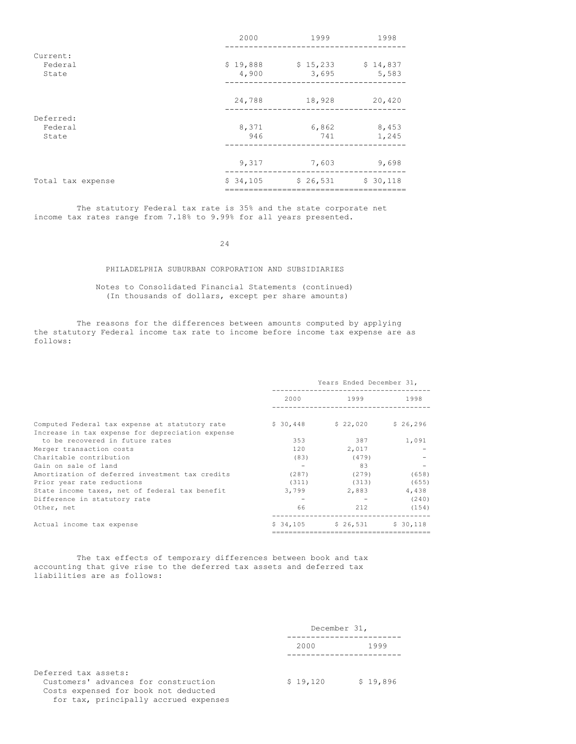|                               | 2000              | 1999              | 1998              |
|-------------------------------|-------------------|-------------------|-------------------|
| Current:<br>Federal<br>State  | \$19,888<br>4,900 | \$15,233<br>3,695 | \$14,837<br>5,583 |
|                               | 24,788            | 18,928            | 20,420            |
| Deferred:<br>Federal<br>State | 8,371<br>946      | 6,862<br>741      | 8,453<br>1,245    |
|                               | 9,317             | 7,603             | 9,698             |
| Total tax expense             | \$34,105          | \$26,531          | \$30,118          |
|                               |                   |                   |                   |

The statutory Federal tax rate is 35% and the state corporate net income tax rates range from 7.18% to 9.99% for all years presented.

24

# PHILADELPHIA SUBURBAN CORPORATION AND SUBSIDIARIES

# Notes to Consolidated Financial Statements (continued) (In thousands of dollars, except per share amounts)

The reasons for the differences between amounts computed by applying the statutory Federal income tax rate to income before income tax expense are as follows:

|                                                                                     | Years Ended December 31, |                               |       |
|-------------------------------------------------------------------------------------|--------------------------|-------------------------------|-------|
|                                                                                     |                          | 2.0.0.0 1999 1998             |       |
| Computed Federal tax expense at statutory rate                                      |                          | $$30,448$ $$22,020$ $$26,296$ |       |
| Increase in tax expense for depreciation expense<br>to be recovered in future rates | 353                      | 387                           | 1,091 |
| Merger transaction costs                                                            | $120 -$                  | 2,017                         |       |
| Charitable contribution                                                             | (83)                     | (479)                         |       |
| Gain on sale of land                                                                |                          | 83                            |       |
| Amortization of deferred investment tax credits                                     | (287)                    | (279)                         | (658) |
| Prior year rate reductions                                                          | (311)                    | (313)                         | (655) |
| State income taxes, net of federal tax benefit                                      | 3,799                    | 2,883                         | 4,438 |
| Difference in statutory rate                                                        |                          |                               | (240) |
| Other, net                                                                          | 66                       | 212                           | (154) |
| Actual income tax expense                                                           |                          | $$34,105$ $$26,531$ $$30,118$ |       |
|                                                                                     |                          |                               |       |

The tax effects of temporary differences between book and tax accounting that give rise to the deferred tax assets and deferred tax liabilities are as follows:

|                                                                                                                                               | December 31, |          |
|-----------------------------------------------------------------------------------------------------------------------------------------------|--------------|----------|
|                                                                                                                                               | 2000         | 1999     |
| Deferred tax assets:<br>Customers' advances for construction<br>Costs expensed for book not deducted<br>for tax, principally accrued expenses | \$19,120     | \$19,896 |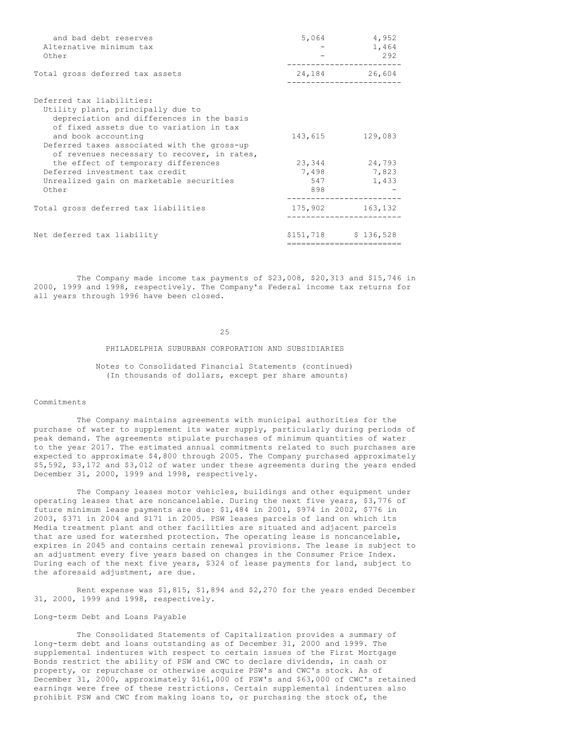| and bad debt reserves<br>Alternative minimum tax<br>Other                                                                                              | 5,064      | 4,952<br>1,464<br>292 |
|--------------------------------------------------------------------------------------------------------------------------------------------------------|------------|-----------------------|
| Total gross deferred tax assets                                                                                                                        | 24,184     | 26,604                |
| Deferred tax liabilities:<br>Utility plant, principally due to<br>depreciation and differences in the basis<br>of fixed assets due to variation in tax |            |                       |
| and book accounting<br>Deferred taxes associated with the gross-up<br>of revenues necessary to recover, in rates,                                      | 143,615    | 129,083               |
| the effect of temporary differences                                                                                                                    | 23,344     | 24,793                |
| Deferred investment tax credit                                                                                                                         | 7,498      | 7,823                 |
| Unrealized gain on marketable securities<br>Other                                                                                                      | 547<br>898 | 1,433                 |
| Total gross deferred tax liabilities                                                                                                                   | 175,902    | 163,132               |
| Net deferred tax liability                                                                                                                             |            | $$151,718$ $$136,528$ |
|                                                                                                                                                        |            |                       |

The Company made income tax payments of \$23,008, \$20,313 and \$15,746 in 2000, 1999 and 1998, respectively. The Company's Federal income tax returns for all years through 1996 have been closed.

# 25

## PHILADELPHIA SUBURBAN CORPORATION AND SUBSIDIARIES

Notes to Consolidated Financial Statements (continued) (In thousands of dollars, except per share amounts)

## Commitments

The Company maintains agreements with municipal authorities for the purchase of water to supplement its water supply, particularly during periods of peak demand. The agreements stipulate purchases of minimum quantities of water to the year 2017. The estimated annual commitments related to such purchases are expected to approximate \$4,800 through 2005. The Company purchased approximately \$5,592, \$3,172 and \$3,012 of water under these agreements during the years ended December 31, 2000, 1999 and 1998, respectively.

The Company leases motor vehicles, buildings and other equipment under operating leases that are noncancelable. During the next five years, \$3,776 of future minimum lease payments are due: \$1,484 in 2001, \$974 in 2002, \$776 in 2003, \$371 in 2004 and \$171 in 2005. PSW leases parcels of land on which its Media treatment plant and other facilities are situated and adjacent parcels that are used for watershed protection. The operating lease is noncancelable, expires in 2045 and contains certain renewal provisions. The lease is subject to an adjustment every five years based on changes in the Consumer Price Index. During each of the next five years, \$324 of lease payments for land, subject to the aforesaid adjustment, are due.

Rent expense was \$1,815, \$1,894 and \$2,270 for the years ended December 31, 2000, 1999 and 1998, respectively.

Long-term Debt and Loans Payable

The Consolidated Statements of Capitalization provides a summary of long-term debt and loans outstanding as of December 31, 2000 and 1999. The supplemental indentures with respect to certain issues of the First Mortgage Bonds restrict the ability of PSW and CWC to declare dividends, in cash or property, or repurchase or otherwise acquire PSW's and CWC's stock. As of December 31, 2000, approximately \$161,000 of PSW's and \$63,000 of CWC's retained earnings were free of these restrictions. Certain supplemental indentures also prohibit PSW and CWC from making loans to, or purchasing the stock of, the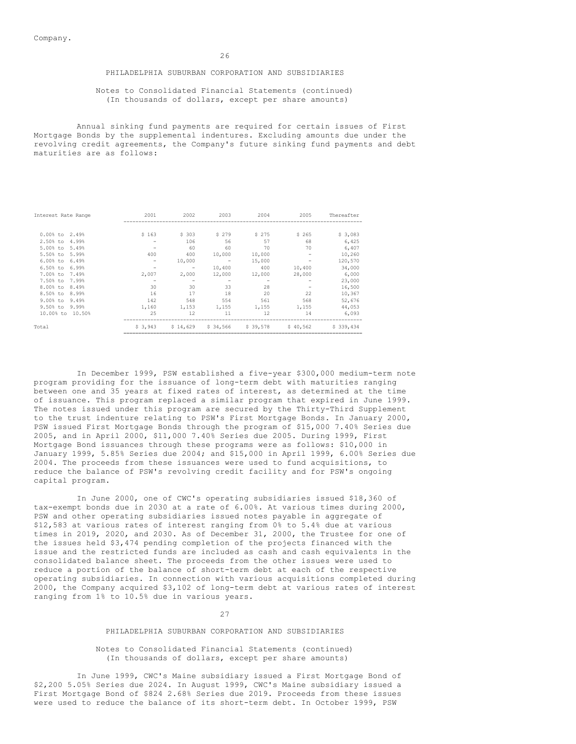## PHILADELPHIA SUBURBAN CORPORATION AND SUBSIDIARIES

### Notes to Consolidated Financial Statements (continued) (In thousands of dollars, except per share amounts)

Annual sinking fund payments are required for certain issues of First Mortgage Bonds by the supplemental indentures. Excluding amounts due under the revolving credit agreements, the Company's future sinking fund payments and debt maturities are as follows:

| Interest Rate Range | 2001                     | 2002     | 2003                     | 2004     | 2005     | Thereafter |
|---------------------|--------------------------|----------|--------------------------|----------|----------|------------|
|                     |                          |          |                          |          |          |            |
| $0.00%$ to<br>2.49% | \$163                    | \$303    | \$279                    | \$275    | \$265    | \$3,083    |
| 2.50% to<br>4.99%   | -                        | 106      | 56                       | 57       | 68       | 6,425      |
| $5.00%$ to<br>5.49% | $\overline{\phantom{0}}$ | 60       | 60                       | 70       | 70       | 6,407      |
| 5.50% to<br>5.99%   | 400                      | 400      | 10,000                   | 10,000   |          | 10,260     |
| $6.00%$ to<br>6.49% |                          | 10,000   | $\overline{\phantom{m}}$ | 15,000   |          | 120,570    |
| $6.50%$ to<br>6.99% |                          | -        | 10,400                   | 400      | 10,400   | 34,000     |
| 7.00% to<br>7.49%   | 2,007                    | 2,000    | 12,000                   | 12,000   | 28,000   | 6,000      |
| 7.50% to<br>7.99%   |                          |          |                          |          |          | 23,000     |
| 8.00% to<br>8.49%   | 30                       | 30       | 33                       | 28       |          | 16,500     |
| 8.50% to<br>8.99%   | 16                       | 17       | 18                       | 20       | 22       | 10,367     |
| $9.00%$ to<br>9.49% | 142                      | 548      | 554                      | 561      | 568      | 52,676     |
| $9.50%$ to<br>9.99% | 1,160                    | 1,153    | 1,155                    | 1,155    | 1,155    | 44,053     |
| 10.00% to 10.50%    | 25                       | 12       | 11                       | 12       | 14       | 6,093      |
| Total               | \$3,943                  | \$14,629 | \$34,566                 | \$39,578 | \$40,562 | \$339,434  |

In December 1999, PSW established a five-year \$300,000 medium-term note program providing for the issuance of long-term debt with maturities ranging between one and 35 years at fixed rates of interest, as determined at the time of issuance. This program replaced a similar program that expired in June 1999. The notes issued under this program are secured by the Thirty-Third Supplement to the trust indenture relating to PSW's First Mortgage Bonds. In January 2000, PSW issued First Mortgage Bonds through the program of \$15,000 7.40% Series due 2005, and in April 2000, \$11,000 7.40% Series due 2005. During 1999, First Mortgage Bond issuances through these programs were as follows: \$10,000 in January 1999, 5.85% Series due 2004; and \$15,000 in April 1999, 6.00% Series due 2004. The proceeds from these issuances were used to fund acquisitions, to reduce the balance of PSW's revolving credit facility and for PSW's ongoing capital program.

In June 2000, one of CWC's operating subsidiaries issued \$18,360 of tax-exempt bonds due in 2030 at a rate of 6.00%. At various times during 2000, PSW and other operating subsidiaries issued notes payable in aggregate of \$12,583 at various rates of interest ranging from 0% to 5.4% due at various times in 2019, 2020, and 2030. As of December 31, 2000, the Trustee for one of the issues held \$3,474 pending completion of the projects financed with the issue and the restricted funds are included as cash and cash equivalents in the consolidated balance sheet. The proceeds from the other issues were used to reduce a portion of the balance of short-term debt at each of the respective operating subsidiaries. In connection with various acquisitions completed during 2000, the Company acquired \$3,102 of long-term debt at various rates of interest ranging from 1% to 10.5% due in various years.

27

# PHILADELPHIA SUBURBAN CORPORATION AND SUBSIDIARIES

### Notes to Consolidated Financial Statements (continued) (In thousands of dollars, except per share amounts)

In June 1999, CWC's Maine subsidiary issued a First Mortgage Bond of \$2,200 5.05% Series due 2024. In August 1999, CWC's Maine subsidiary issued a First Mortgage Bond of \$824 2.68% Series due 2019. Proceeds from these issues were used to reduce the balance of its short-term debt. In October 1999, PSW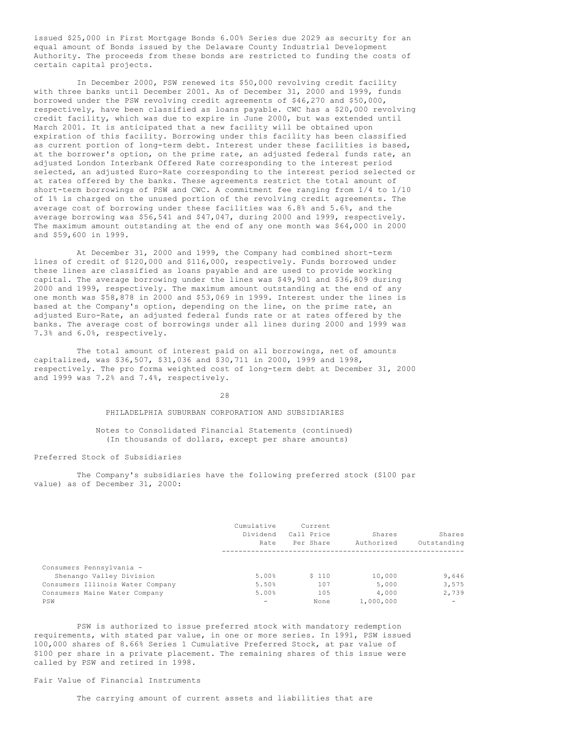issued \$25,000 in First Mortgage Bonds 6.00% Series due 2029 as security for an equal amount of Bonds issued by the Delaware County Industrial Development Authority. The proceeds from these bonds are restricted to funding the costs of certain capital projects.

In December 2000, PSW renewed its \$50,000 revolving credit facility with three banks until December 2001. As of December 31, 2000 and 1999, funds borrowed under the PSW revolving credit agreements of \$46,270 and \$50,000, respectively, have been classified as loans payable. CWC has a \$20,000 revolving credit facility, which was due to expire in June 2000, but was extended until March 2001. It is anticipated that a new facility will be obtained upon expiration of this facility. Borrowing under this facility has been classified as current portion of long-term debt. Interest under these facilities is based, at the borrower's option, on the prime rate, an adjusted federal funds rate, an adjusted London Interbank Offered Rate corresponding to the interest period selected, an adjusted Euro-Rate corresponding to the interest period selected or at rates offered by the banks. These agreements restrict the total amount of short-term borrowings of PSW and CWC. A commitment fee ranging from 1/4 to 1/10 of 1% is charged on the unused portion of the revolving credit agreements. The average cost of borrowing under these facilities was 6.8% and 5.6%, and the average borrowing was \$56,541 and \$47,047, during 2000 and 1999, respectively. The maximum amount outstanding at the end of any one month was \$64,000 in 2000 and \$59,600 in 1999.

At December 31, 2000 and 1999, the Company had combined short-term lines of credit of \$120,000 and \$116,000, respectively. Funds borrowed under these lines are classified as loans payable and are used to provide working capital. The average borrowing under the lines was \$49,901 and \$36,809 during 2000 and 1999, respectively. The maximum amount outstanding at the end of any one month was \$58,878 in 2000 and \$53,069 in 1999. Interest under the lines is based at the Company's option, depending on the line, on the prime rate, an adjusted Euro-Rate, an adjusted federal funds rate or at rates offered by the banks. The average cost of borrowings under all lines during 2000 and 1999 was 7.3% and 6.0%, respectively.

The total amount of interest paid on all borrowings, net of amounts capitalized, was \$36,507, \$31,036 and \$30,711 in 2000, 1999 and 1998, respectively. The pro forma weighted cost of long-term debt at December 31, 2000 and 1999 was 7.2% and 7.4%, respectively.

28

PHILADELPHIA SUBURBAN CORPORATION AND SUBSIDIARIES

Notes to Consolidated Financial Statements (continued) (In thousands of dollars, except per share amounts)

Preferred Stock of Subsidiaries

The Company's subsidiaries have the following preferred stock (\$100 par value) as of December 31, 2000:

|                                  | Cumulative      | Current    |            |                          |
|----------------------------------|-----------------|------------|------------|--------------------------|
|                                  | Dividend        | Call Price | Shares     | Shares                   |
|                                  | Rate            | Per Share  | Authorized | Outstanding              |
|                                  |                 |            |            |                          |
| Consumers Pennsylvania -         |                 |            |            |                          |
| Shenango Valley Division         | 5.00%           | \$110      | 10,000     | 9,646                    |
| Consumers Illinois Water Company | 5.50%           | 107        | 5,000      | 3,575                    |
| Consumers Maine Water Company    | 5.00%           | 105        | 4,000      | 2,739                    |
| PSW                              | $\qquad \qquad$ | None       | 1,000,000  | $\overline{\phantom{0}}$ |

PSW is authorized to issue preferred stock with mandatory redemption requirements, with stated par value, in one or more series. In 1991, PSW issued 100,000 shares of 8.66% Series 1 Cumulative Preferred Stock, at par value of \$100 per share in a private placement. The remaining shares of this issue were called by PSW and retired in 1998.

# Fair Value of Financial Instruments

The carrying amount of current assets and liabilities that are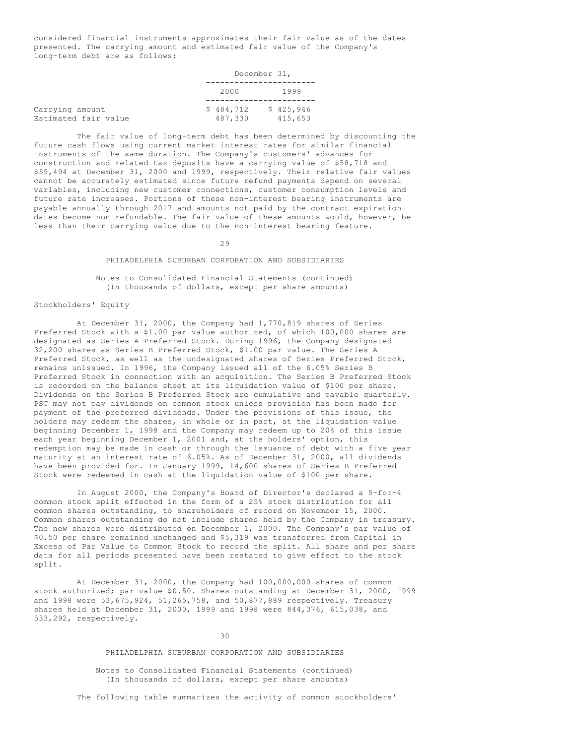considered financial instruments approximates their fair value as of the dates presented. The carrying amount and estimated fair value of the Company's long-term debt are as follows:

December 31,

|                                         |                      | December 31,         |
|-----------------------------------------|----------------------|----------------------|
|                                         | 2000                 | 1999                 |
| Carrying amount<br>Estimated fair value | \$484,712<br>487,330 | \$425,946<br>415,653 |

The fair value of long-term debt has been determined by discounting the future cash flows using current market interest rates for similar financial instruments of the same duration. The Company's customers' advances for construction and related tax deposits have a carrying value of \$58,718 and \$59,494 at December 31, 2000 and 1999, respectively. Their relative fair values cannot be accurately estimated since future refund payments depend on several variables, including new customer connections, customer consumption levels and future rate increases. Portions of these non-interest bearing instruments are payable annually through 2017 and amounts not paid by the contract expiration dates become non-refundable. The fair value of these amounts would, however, be less than their carrying value due to the non-interest bearing feature.

 $29$ 

#### PHILADELPHIA SUBURBAN CORPORATION AND SUBSIDIARIES

# Notes to Consolidated Financial Statements (continued) (In thousands of dollars, except per share amounts)

### Stockholders' Equity

At December 31, 2000, the Company had 1,770,819 shares of Series Preferred Stock with a \$1.00 par value authorized, of which 100,000 shares are designated as Series A Preferred Stock. During 1996, the Company designated 32,200 shares as Series B Preferred Stock, \$1.00 par value. The Series A Preferred Stock, as well as the undesignated shares of Series Preferred Stock, remains unissued. In 1996, the Company issued all of the 6.05% Series B Preferred Stock in connection with an acquisition. The Series B Preferred Stock is recorded on the balance sheet at its liquidation value of \$100 per share. Dividends on the Series B Preferred Stock are cumulative and payable quarterly. PSC may not pay dividends on common stock unless provision has been made for payment of the preferred dividends. Under the provisions of this issue, the holders may redeem the shares, in whole or in part, at the liquidation value beginning December 1, 1998 and the Company may redeem up to 20% of this issue each year beginning December 1, 2001 and, at the holders' option, this redemption may be made in cash or through the issuance of debt with a five year maturity at an interest rate of 6.05%. As of December 31, 2000, all dividends have been provided for. In January 1999, 14,600 shares of Series B Preferred Stock were redeemed in cash at the liquidation value of \$100 per share.

In August 2000, the Company's Board of Director's declared a 5-for-4 common stock split effected in the form of a 25% stock distribution for all common shares outstanding, to shareholders of record on November 15, 2000. Common shares outstanding do not include shares held by the Company in treasury. The new shares were distributed on December 1, 2000. The Company's par value of \$0.50 per share remained unchanged and \$5,319 was transferred from Capital in Excess of Par Value to Common Stock to record the split. All share and per share data for all periods presented have been restated to give effect to the stock split.

At December 31, 2000, the Company had 100,000,000 shares of common stock authorized; par value \$0.50. Shares outstanding at December 31, 2000, 1999 and 1998 were 53,675,924, 51,265,758, and 50,877,889 respectively. Treasury shares held at December 31, 2000, 1999 and 1998 were 844,376, 615,038, and 533,292, respectively.

30

#### PHILADELPHIA SUBURBAN CORPORATION AND SUBSIDIARIES

Notes to Consolidated Financial Statements (continued) (In thousands of dollars, except per share amounts)

The following table summarizes the activity of common stockholders'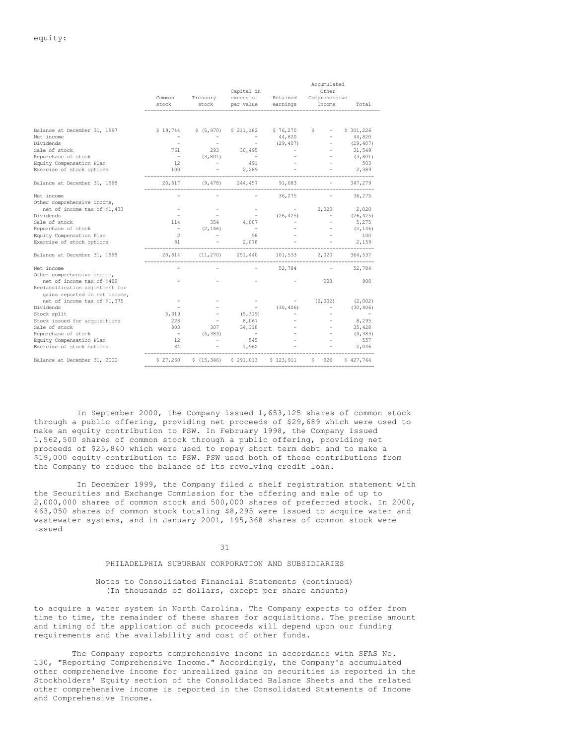|                                 | Common<br>stock          | Treasury<br>stock        | Capital in<br>excess of<br>par value | Retained<br>earnings | Accumulated<br>Other<br>Comprehensive<br>Income | Total                    |
|---------------------------------|--------------------------|--------------------------|--------------------------------------|----------------------|-------------------------------------------------|--------------------------|
|                                 |                          |                          |                                      |                      |                                                 |                          |
| Balance at December 31, 1997    | \$19,744                 | \$ (5, 970)              | \$211,182                            | \$76,270             | \$.                                             | \$301,226                |
| Net income                      |                          |                          |                                      | 44,820               |                                                 | 44,820                   |
| Dividends                       |                          |                          |                                      | (29, 407)            |                                                 | (29, 407)                |
| Sale of stock                   | 761                      | 293                      | 30,495                               |                      |                                                 | 31,549                   |
| Repurchase of stock             |                          | (3, 801)                 |                                      |                      |                                                 | (3, 801)                 |
| Equity Compensation Plan        | 12                       |                          | 491                                  |                      |                                                 | 503                      |
| Exercise of stock options       | 100                      |                          | 2,289                                |                      |                                                 | 2,389                    |
| Balance at December 31, 1998    | 20,617                   | (9, 478)                 | 244,457                              | 91,683               |                                                 | 347,279                  |
| Net income                      |                          |                          |                                      | 36,275               |                                                 | 36,275                   |
| Other comprehensive income,     |                          |                          |                                      |                      |                                                 |                          |
| net of income tax of \$1,433    |                          |                          |                                      |                      | 2,020                                           | 2,020                    |
| Dividends                       |                          |                          |                                      | (26, 425)            |                                                 | (26, 425)                |
| Sale of stock                   | 114                      | 354                      | 4,807                                |                      |                                                 | 5,275                    |
| Repurchase of stock             |                          | (2, 146)                 |                                      |                      |                                                 | (2, 146)                 |
| Equity Compensation Plan        | $\overline{2}$           | $\overline{\phantom{0}}$ | 98                                   |                      |                                                 | 100                      |
| Exercise of stock options       | 81                       |                          | 2,078                                |                      |                                                 | 2,159                    |
| Balance at December 31, 1999    | 20,814                   | (11, 270)                | 251,440                              | 101,533              | 2,020                                           | 364,537                  |
| Net income                      |                          |                          |                                      | 52,784               |                                                 | 52,784                   |
| Other comprehensive income,     |                          |                          |                                      |                      |                                                 |                          |
| net of income tax of \$489      |                          |                          |                                      |                      | 908                                             | 908                      |
| Reclassification adjustment for |                          |                          |                                      |                      |                                                 |                          |
| gains reported in net income,   |                          |                          |                                      |                      |                                                 |                          |
| net of income tax of \$1,375    |                          |                          |                                      |                      | (2,002)                                         | (2,002)                  |
| Dividends                       |                          |                          |                                      | (30, 406)            |                                                 | (30, 406)                |
| Stock split                     | 5,319                    |                          | (5, 319)                             |                      |                                                 | $\overline{\phantom{a}}$ |
| Stock issued for acquisitions   | 228                      |                          | 8,067                                |                      |                                                 | 8,295                    |
| Sale of stock                   | 803                      | 307                      | 34,318                               |                      |                                                 | 35,428                   |
| Repurchase of stock             | $\overline{\phantom{a}}$ | (4, 383)                 | $\sim$ $-$                           |                      |                                                 | (4, 383)                 |
| Equity Compensation Plan        | 12                       | $\equiv$                 | 545                                  |                      |                                                 | 557                      |
| Exercise of stock options       | 84                       |                          | 1,962                                |                      |                                                 | 2.046                    |
| Balance at December 31, 2000    | \$27,260                 | \$(15, 346)              | \$291,013                            | \$123,911            | 926<br>\$.                                      | \$427.764                |

In September 2000, the Company issued 1,653,125 shares of common stock through a public offering, providing net proceeds of \$29,689 which were used to make an equity contribution to PSW. In February 1998, the Company issued 1,562,500 shares of common stock through a public offering, providing net proceeds of \$25,840 which were used to repay short term debt and to make a \$19,000 equity contribution to PSW. PSW used both of these contributions from the Company to reduce the balance of its revolving credit loan.

In December 1999, the Company filed a shelf registration statement with the Securities and Exchange Commission for the offering and sale of up to 2,000,000 shares of common stock and 500,000 shares of preferred stock. In 2000, 463,050 shares of common stock totaling \$8,295 were issued to acquire water and wastewater systems, and in January 2001, 195,368 shares of common stock were issued

31

# PHILADELPHIA SUBURBAN CORPORATION AND SUBSIDIARIES

# Notes to Consolidated Financial Statements (continued) (In thousands of dollars, except per share amounts)

to acquire a water system in North Carolina. The Company expects to offer from time to time, the remainder of these shares for acquisitions. The precise amount and timing of the application of such proceeds will depend upon our funding requirements and the availability and cost of other funds.

The Company reports comprehensive income in accordance with SFAS No. 130, "Reporting Comprehensive Income." Accordingly, the Company's accumulated other comprehensive income for unrealized gains on securities is reported in the Stockholders' Equity section of the Consolidated Balance Sheets and the related other comprehensive income is reported in the Consolidated Statements of Income and Comprehensive Income.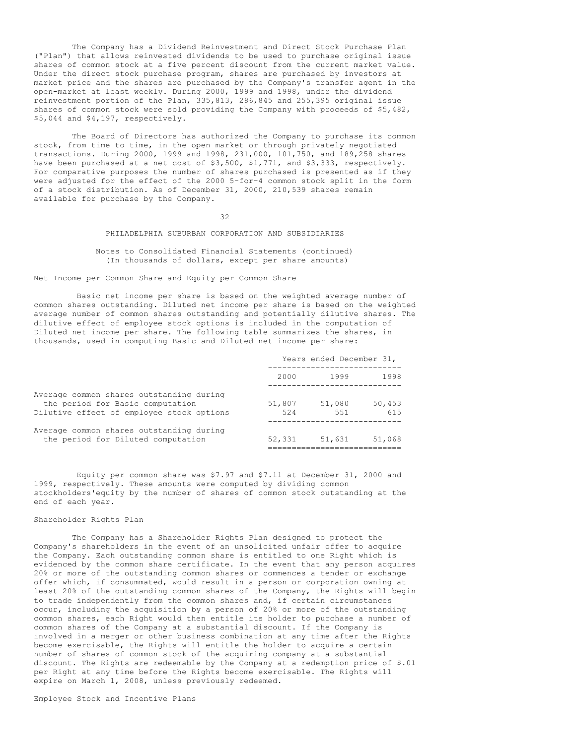The Company has a Dividend Reinvestment and Direct Stock Purchase Plan ("Plan") that allows reinvested dividends to be used to purchase original issue shares of common stock at a five percent discount from the current market value. Under the direct stock purchase program, shares are purchased by investors at market price and the shares are purchased by the Company's transfer agent in the open-market at least weekly. During 2000, 1999 and 1998, under the dividend reinvestment portion of the Plan, 335,813, 286,845 and 255,395 original issue shares of common stock were sold providing the Company with proceeds of \$5,482, \$5,044 and \$4,197, respectively.

The Board of Directors has authorized the Company to purchase its common stock, from time to time, in the open market or through privately negotiated transactions. During 2000, 1999 and 1998, 231,000, 101,750, and 189,258 shares have been purchased at a net cost of \$3,500, \$1,771, and \$3,333, respectively. For comparative purposes the number of shares purchased is presented as if they were adjusted for the effect of the 2000 5-for-4 common stock split in the form of a stock distribution. As of December 31, 2000, 210,539 shares remain available for purchase by the Company.

32

# PHILADELPHIA SUBURBAN CORPORATION AND SUBSIDIARIES

## Notes to Consolidated Financial Statements (continued) (In thousands of dollars, except per share amounts)

Net Income per Common Share and Equity per Common Share

Basic net income per share is based on the weighted average number of common shares outstanding. Diluted net income per share is based on the weighted average number of common shares outstanding and potentially dilutive shares. The dilutive effect of employee stock options is included in the computation of Diluted net income per share. The following table summarizes the shares, in thousands, used in computing Basic and Diluted net income per share:

|                                                                                                                           | Years ended December 31, |               |               |  |
|---------------------------------------------------------------------------------------------------------------------------|--------------------------|---------------|---------------|--|
|                                                                                                                           | 2000                     | 1999          | 1998          |  |
| Average common shares outstanding during<br>the period for Basic computation<br>Dilutive effect of employee stock options | 51,807<br>524            | 51,080<br>551 | 50,453<br>615 |  |
| Average common shares outstanding during<br>the period for Diluted computation                                            | 52,331                   | 51,631        | 51,068        |  |

Equity per common share was \$7.97 and \$7.11 at December 31, 2000 and 1999, respectively. These amounts were computed by dividing common stockholders'equity by the number of shares of common stock outstanding at the end of each year.

#### Shareholder Rights Plan

The Company has a Shareholder Rights Plan designed to protect the Company's shareholders in the event of an unsolicited unfair offer to acquire the Company. Each outstanding common share is entitled to one Right which is evidenced by the common share certificate. In the event that any person acquires 20% or more of the outstanding common shares or commences a tender or exchange offer which, if consummated, would result in a person or corporation owning at least 20% of the outstanding common shares of the Company, the Rights will begin to trade independently from the common shares and, if certain circumstances occur, including the acquisition by a person of 20% or more of the outstanding common shares, each Right would then entitle its holder to purchase a number of common shares of the Company at a substantial discount. If the Company is involved in a merger or other business combination at any time after the Rights become exercisable, the Rights will entitle the holder to acquire a certain number of shares of common stock of the acquiring company at a substantial discount. The Rights are redeemable by the Company at a redemption price of \$.01 per Right at any time before the Rights become exercisable. The Rights will expire on March 1, 2008, unless previously redeemed.

Employee Stock and Incentive Plans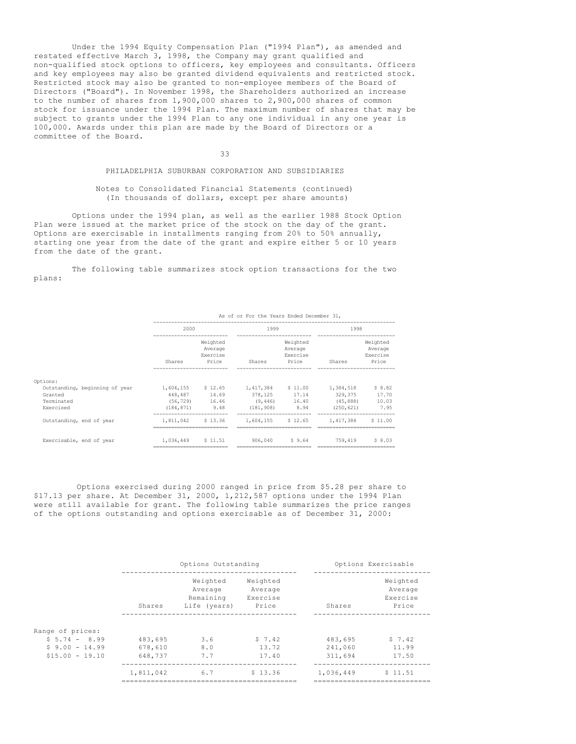Under the 1994 Equity Compensation Plan ("1994 Plan"), as amended and restated effective March 3, 1998, the Company may grant qualified and non-qualified stock options to officers, key employees and consultants. Officers and key employees may also be granted dividend equivalents and restricted stock. Restricted stock may also be granted to non-employee members of the Board of Directors ("Board"). In November 1998, the Shareholders authorized an increase to the number of shares from 1,900,000 shares to 2,900,000 shares of common stock for issuance under the 1994 Plan. The maximum number of shares that may be subject to grants under the 1994 Plan to any one individual in any one year is 100,000. Awards under this plan are made by the Board of Directors or a committee of the Board.

33

## PHILADELPHIA SUBURBAN CORPORATION AND SUBSIDIARIES

Notes to Consolidated Financial Statements (continued) (In thousands of dollars, except per share amounts)

Options under the 1994 plan, as well as the earlier 1988 Stock Option Plan were issued at the market price of the stock on the day of the grant. Options are exercisable in installments ranging from 20% to 50% annually, starting one year from the date of the grant and expire either 5 or 10 years from the date of the grant.

The following table summarizes stock option transactions for the two plans:

|                                | As of or For the Years Ended December 31, |                                 |                             |                                 |            |                                 |
|--------------------------------|-------------------------------------------|---------------------------------|-----------------------------|---------------------------------|------------|---------------------------------|
|                                | 2000                                      |                                 | 1999                        |                                 | 1998       |                                 |
|                                |                                           | Weighted<br>Average<br>Exercise |                             | Weighted<br>Average<br>Exercise |            | Weighted<br>Average<br>Exercise |
|                                | Shares                                    | Price                           | Shares                      | Price                           | Shares     | Price                           |
| Options:                       |                                           |                                 |                             |                                 |            |                                 |
| Outstanding, beginning of year |                                           |                                 | 1,604,155 \$12.65 1,417,384 | \$11.00                         | 1,384,518  | \$8.82                          |
| Granted                        | 448,487                                   | 14.69                           | 378,125                     | 17.14                           | 329,375    | 17.70                           |
| Terminated                     | (56, 729)                                 | 16.46                           | (9, 446)                    | 16.40                           | (45, 888)  | 10.03                           |
| Exercised                      | (184, 871)                                | 9.48                            | (181, 908)                  | 8.94                            | (250, 621) | 7.95                            |
| Outstanding, end of year       | 1,811,042                                 | \$13.36                         | 1,604,155                   | \$12.65                         | 1,417,384  | \$11.00                         |
| Exercisable, end of year       | 1,036,449                                 | \$11.51                         |                             | 906.040 \$9.64                  | 759,419    | \$8.03                          |

Options exercised during 2000 ranged in price from \$5.28 per share to \$17.13 per share. At December 31, 2000,  $1,212,587$  options under the 1994 Plan were still available for grant. The following table summarizes the price ranges of the options outstanding and options exercisable as of December 31, 2000:

|                                   |                    | Options Outstanding                              |                                          |                    | Options Exercisable                      |
|-----------------------------------|--------------------|--------------------------------------------------|------------------------------------------|--------------------|------------------------------------------|
|                                   | Shares             | Weighted<br>Average<br>Remaining<br>Life (years) | Weighted<br>Average<br>Exercise<br>Price | Shares             | Weighted<br>Average<br>Exercise<br>Price |
| Range of prices:                  |                    |                                                  |                                          |                    |                                          |
| $$5.74 - 8.99$<br>$$9.00 - 14.99$ | 483,695<br>678,610 | 3.6<br>8.0                                       | \$7.42<br>13.72                          | 483,695<br>241,060 | $5 \t 7.42$<br>11.99                     |
| $$15.00 - 19.10$                  | 648,737            | 7.7                                              | 17.40                                    | 311,694            | 17.50                                    |
|                                   | 1,811,042          | 6.7                                              | \$13.36                                  | 1,036,449          | \$11.51                                  |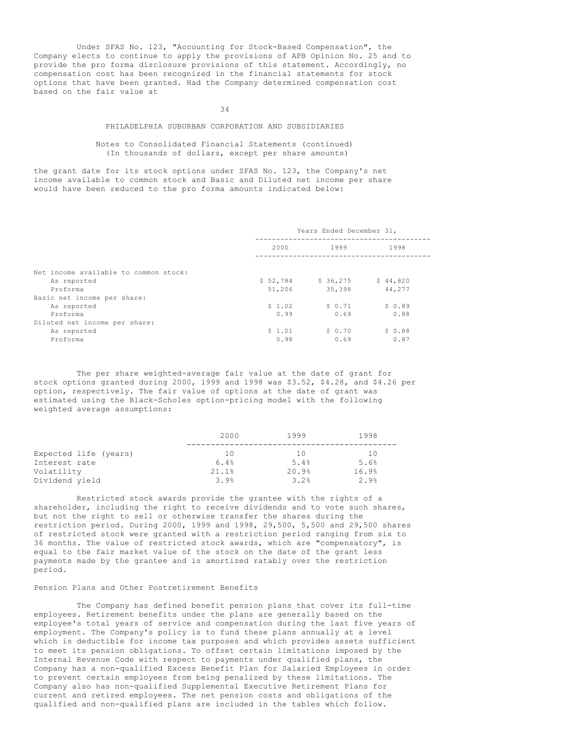Under SFAS No. 123, "Accounting for Stock-Based Compensation", the Company elects to continue to apply the provisions of APB Opinion No. 25 and to provide the pro forma disclosure provisions of this statement. Accordingly, no compensation cost has been recognized in the financial statements for stock options that have been granted. Had the Company determined compensation cost based on the fair value at

34

## PHILADELPHIA SUBURBAN CORPORATION AND SUBSIDIARIES

## Notes to Consolidated Financial Statements (continued) (In thousands of dollars, except per share amounts)

the grant date for its stock options under SFAS No. 123, the Company's net income available to common stock and Basic and Diluted net income per share would have been reduced to the pro forma amounts indicated below:

|                                                          | Years Ended December 31, |                 |                |  |
|----------------------------------------------------------|--------------------------|-----------------|----------------|--|
|                                                          | 2000<br>1999<br>1998     |                 |                |  |
| Net income available to common stock:<br>As reported     | \$52,784                 | \$36,275        | \$44,820       |  |
| Proforma<br>Basic net income per share:                  | 51,206                   | 35,398          | 44,277         |  |
| As reported<br>Proforma                                  | \$1.02<br>0.99           | \$0.71<br>0.69  | \$0.89<br>0.88 |  |
| Diluted net income per share:<br>As reported<br>Proforma | \$1.01<br>0.98           | \$ 0.70<br>0.69 | \$0.88<br>0.87 |  |

The per share weighted-average fair value at the date of grant for stock options granted during 2000, 1999 and 1998 was \$3.52, \$4.28, and \$4.26 per option, respectively. The fair value of options at the date of grant was estimated using the Black-Scholes option-pricing model with the following weighted average assumptions:

|                       | 2000  | 1999  | 1998  |
|-----------------------|-------|-------|-------|
| Expected life (years) | 10    | 10    | 10    |
| Interest rate         | 6.4%  | 5.4%  | 5.6%  |
| Volatility            | 21.1% | 20.9% | 16.9% |
| Dividend yield        | 3.9%  | 3.2%  | 2.9%  |

Restricted stock awards provide the grantee with the rights of a shareholder, including the right to receive dividends and to vote such shares, but not the right to sell or otherwise transfer the shares during the restriction period. During 2000, 1999 and 1998, 29,500, 5,500 and 29,500 shares of restricted stock were granted with a restriction period ranging from six to 36 months. The value of restricted stock awards, which are "compensatory", is equal to the fair market value of the stock on the date of the grant less payments made by the grantee and is amortized ratably over the restriction period.

# Pension Plans and Other Postretirement Benefits

The Company has defined benefit pension plans that cover its full-time employees. Retirement benefits under the plans are generally based on the employee's total years of service and compensation during the last five years of employment. The Company's policy is to fund these plans annually at a level which is deductible for income tax purposes and which provides assets sufficient to meet its pension obligations. To offset certain limitations imposed by the Internal Revenue Code with respect to payments under qualified plans, the Company has a non-qualified Excess Benefit Plan for Salaried Employees in order to prevent certain employees from being penalized by these limitations. The Company also has non-qualified Supplemental Executive Retirement Plans for current and retired employees. The net pension costs and obligations of the qualified and non-qualified plans are included in the tables which follow.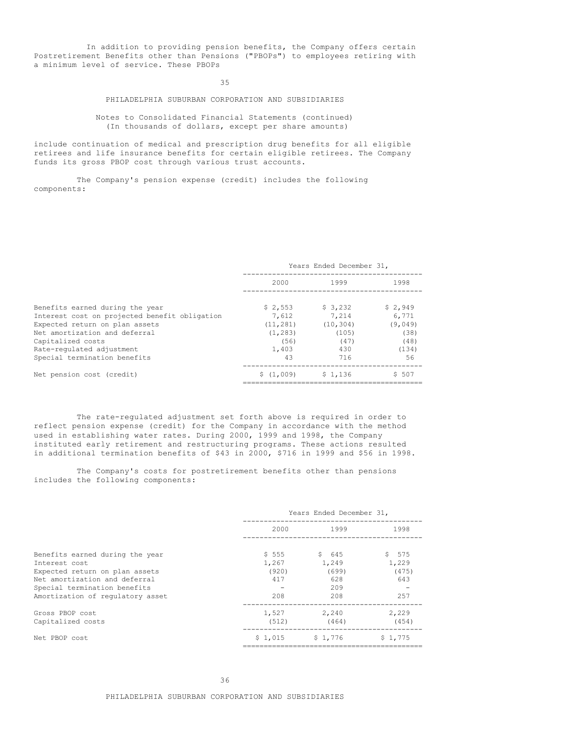In addition to providing pension benefits, the Company offers certain Postretirement Benefits other than Pensions ("PBOPs") to employees retiring with a minimum level of service. These PBOPs

35

# PHILADELPHIA SUBURBAN CORPORATION AND SUBSIDIARIES

Notes to Consolidated Financial Statements (continued) (In thousands of dollars, except per share amounts)

include continuation of medical and prescription drug benefits for all eligible retirees and life insurance benefits for certain eligible retirees. The Company funds its gross PBOP cost through various trust accounts.

The Company's pension expense (credit) includes the following components:

|                                               | Years Ended December 31, |           |         |  |
|-----------------------------------------------|--------------------------|-----------|---------|--|
|                                               | 2000                     | 1999      | 1998    |  |
| Benefits earned during the year               | \$2.553                  | \$3,232   | \$2,949 |  |
| Interest cost on projected benefit obligation | 7,612                    | 7.214     | 6.771   |  |
| Expected return on plan assets                | (11, 281)                | (10, 304) | (9,049) |  |
| Net amortization and deferral                 | (1, 283)                 | (105)     | (38)    |  |
| Capitalized costs                             | (56)                     | (47)      | (48)    |  |
| Rate-regulated adjustment                     | 1,403                    | 430       | (134)   |  |
| Special termination benefits                  | 43                       | 716       | 56      |  |
| Net pension cost (credit)                     | \$(1,009)                | \$1.136   | \$ 507  |  |
|                                               |                          |           |         |  |

The rate-regulated adjustment set forth above is required in order to reflect pension expense (credit) for the Company in accordance with the method used in establishing water rates. During 2000, 1999 and 1998, the Company instituted early retirement and restructuring programs. These actions resulted in additional termination benefits of \$43 in 2000, \$716 in 1999 and \$56 in 1998.

The Company's costs for postretirement benefits other than pensions includes the following components:

|                                                               | Years Ended December 31, |                |                |  |
|---------------------------------------------------------------|--------------------------|----------------|----------------|--|
|                                                               | 2000                     | 1999           | 1998           |  |
| Benefits earned during the year                               | \$555                    | \$645          | \$575          |  |
| Interest cost<br>Expected return on plan assets               | 1,267<br>(920)           | 1,249<br>(699) | 1,229<br>(475) |  |
| Net amortization and deferral<br>Special termination benefits | 417                      | 628<br>209     | 643            |  |
| Amortization of regulatory asset                              | 208                      | 208            | 257            |  |
| Gross PBOP cost<br>Capitalized costs                          | 1,527<br>(512)           | 2,240<br>(464) | 2,229<br>(454) |  |
| Net PBOP cost                                                 | \$1.015                  | \$1,776        | \$1.775        |  |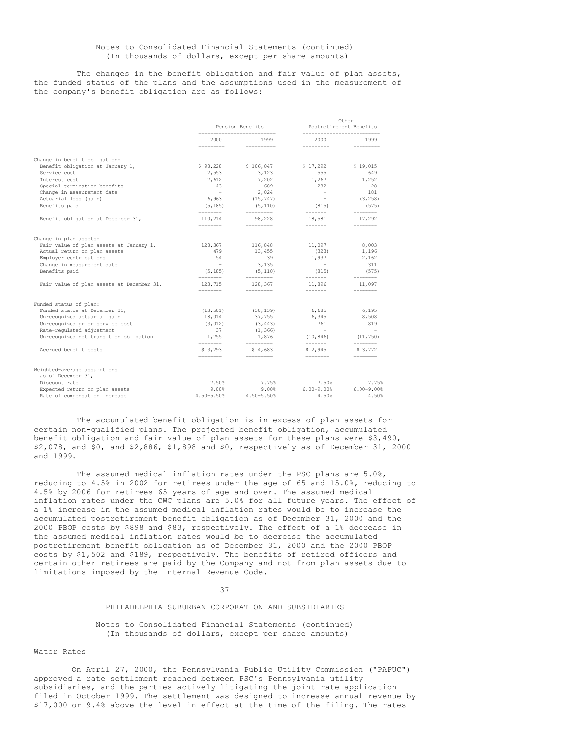## Notes to Consolidated Financial Statements (continued) (In thousands of dollars, except per share amounts)

The changes in the benefit obligation and fair value of plan assets, the funded status of the plans and the assumptions used in the measurement of the company's benefit obligation are as follows:

|                                           |                       | Pension Benefits              |                         | Other<br>Postretirement Benefits |  |
|-------------------------------------------|-----------------------|-------------------------------|-------------------------|----------------------------------|--|
|                                           | 2000<br>----------    | 1999<br><b>CONTRACTOR</b>     | 2000<br>---------       | 1999<br>---------                |  |
| Change in benefit obligation:             |                       |                               |                         |                                  |  |
| Benefit obligation at January 1,          | \$98,228              | \$106,047                     | \$17,292                | \$19,015                         |  |
| Service cost                              | 2,553                 | 3,123                         | 555                     | 649                              |  |
| Interest cost                             | 7,612                 | 7,202                         | 1,267                   | 1,252                            |  |
| Special termination benefits              | 43                    | 689                           | 282                     | 28                               |  |
| Change in measurement date                | $\sim$ 100 $\pm$      | 2,024                         | $\sim$ $-$              | 181                              |  |
| Actuarial loss (gain)                     | 6,963                 | (15, 747)                     | $\sim$ 100 $\pm$        | (3, 258)                         |  |
| Benefits paid                             | (5, 185)              | (5, 110)                      | (815)                   | (575)                            |  |
| Benefit obligation at December 31,        | ---------<br>110,214  | $- - - - - - - - -$<br>98,228 | -------<br>18,581       | --------<br>17,292               |  |
|                                           | ---------             | ----------                    | --------                |                                  |  |
| Change in plan assets:                    |                       |                               |                         |                                  |  |
| Fair value of plan assets at January 1,   | 128,367               | 116,848                       | 11,097                  | 8,003                            |  |
| Actual return on plan assets              | 479                   | 13,455                        | (323)                   | 1,196                            |  |
| Employer contributions                    | 54                    | 39                            | 1,937                   | 2,162                            |  |
| Change in measurement date                | $\sim$                | 3,135                         | $\sim$ $-$              | 311                              |  |
| Benefits paid                             | (5, 185)<br>--------- | (5, 110)<br>---------         | (815)<br>--------       | (575)<br>--------                |  |
| Fair value of plan assets at December 31, | 123,715<br>---------  | 128,367<br>---------          | 11,896<br>-------       | 11,097                           |  |
| Funded status of plan:                    |                       |                               |                         |                                  |  |
| Funded status at December 31,             | (13, 501)             | (30, 139)                     | 6,685                   | 6,195                            |  |
| Unrecognized actuarial gain               | 18,014                | 37,755                        | 6,345                   | 8,508                            |  |
| Unrecognized prior service cost           | (3, 012)              | (3, 443)                      | 761                     | 819                              |  |
| Rate-regulated adjustment                 | 37                    | (1, 366)                      | $\sim$ $-$              | $\sim$                           |  |
| Unrecognized net transition obligation    | 1,755                 | 1,876                         | $(10, 846)$ $(11, 750)$ |                                  |  |
| Accrued benefit costs                     | ---------<br>\$3,293  | ---------<br>\$4,683          | --------<br>\$2,945     | ---------<br>\$ 3,772            |  |
|                                           | ========              | =========                     |                         | $=$ ========                     |  |
| Weighted-average assumptions              |                       |                               |                         |                                  |  |
| as of December 31,                        |                       |                               |                         |                                  |  |
| Discount rate                             | 7.50%                 | 7.75%                         | 7.50%                   | 7.75%                            |  |
| Expected return on plan assets            | 9.00%                 | 9.00%                         | $6.00 - 9.00$           | $6.00 - 9.00$                    |  |
| Rate of compensation increase             | 4.50-5.50%            | $4.50 - 5.50$                 | 4.50%                   | 4.50%                            |  |

The accumulated benefit obligation is in excess of plan assets for certain non-qualified plans. The projected benefit obligation, accumulated benefit obligation and fair value of plan assets for these plans were \$3,490, \$2,078, and \$0, and \$2,886, \$1,898 and \$0, respectively as of December 31, 2000 and 1999.

The assumed medical inflation rates under the PSC plans are 5.0%, reducing to 4.5% in 2002 for retirees under the age of 65 and 15.0%, reducing to 4.5% by 2006 for retirees 65 years of age and over. The assumed medical inflation rates under the CWC plans are 5.0% for all future years. The effect of a 1% increase in the assumed medical inflation rates would be to increase the accumulated postretirement benefit obligation as of December 31, 2000 and the 2000 PBOP costs by \$898 and \$83, respectively. The effect of a 1% decrease in the assumed medical inflation rates would be to decrease the accumulated postretirement benefit obligation as of December 31, 2000 and the 2000 PBOP costs by \$1,502 and \$189, respectively. The benefits of retired officers and certain other retirees are paid by the Company and not from plan assets due to limitations imposed by the Internal Revenue Code.

#### 37

## PHILADELPHIA SUBURBAN CORPORATION AND SUBSIDIARIES

Notes to Consolidated Financial Statements (continued) (In thousands of dollars, except per share amounts)

#### Water Rates

On April 27, 2000, the Pennsylvania Public Utility Commission ("PAPUC") approved a rate settlement reached between PSC's Pennsylvania utility subsidiaries, and the parties actively litigating the joint rate application filed in October 1999. The settlement was designed to increase annual revenue by \$17,000 or 9.4% above the level in effect at the time of the filing. The rates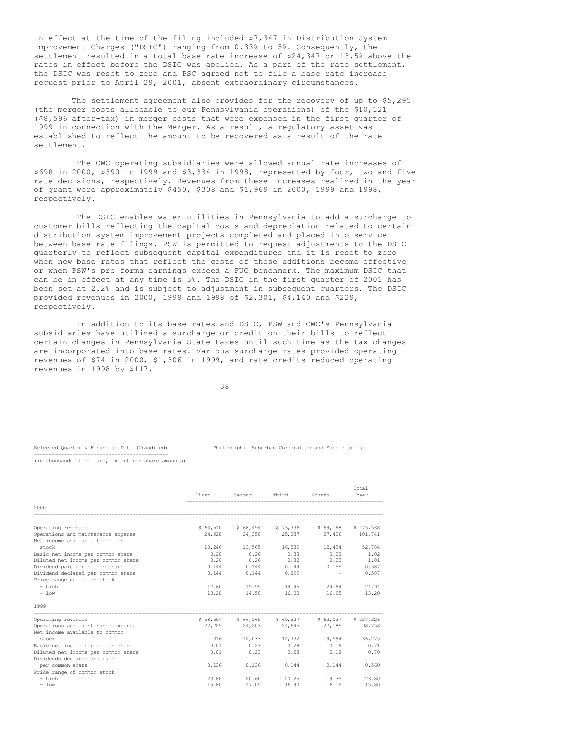in effect at the time of the filing included \$7,347 in Distribution System Improvement Charges ("DSIC") ranging from 0.33% to 5%. Consequently, the settlement resulted in a total base rate increase of \$24,347 or 13.5% above the rates in effect before the DSIC was applied. As a part of the rate settlement, the DSIC was reset to zero and PSC agreed not to file a base rate increase request prior to April 29, 2001, absent extraordinary circumstances.

The settlement agreement also provides for the recovery of up to \$5,295 (the merger costs allocable to our Pennsylvania operations) of the \$10,121 (\$8,596 after-tax) in merger costs that were expensed in the first quarter of 1999 in connection with the Merger. As a result, a regulatory asset was established to reflect the amount to be recovered as a result of the rate settlement.

The CWC operating subsidiaries were allowed annual rate increases of \$698 in 2000, \$390 in 1999 and \$3,334 in 1998, represented by four, two and five rate decisions, respectively. Revenues from these increases realized in the year of grant were approximately \$450, \$308 and \$1,969 in 2000, 1999 and 1998, respectively.

The DSIC enables water utilities in Pennsylvania to add a surcharge to customer bills reflecting the capital costs and depreciation related to certain distribution system improvement projects completed and placed into service between base rate filings. PSW is permitted to request adjustments to the DSIC quarterly to reflect subsequent capital expenditures and it is reset to zero when new base rates that reflect the costs of those additions become effective or when PSW's pro forma earnings exceed a PUC benchmark. The maximum DSIC that can be in effect at any time is 5%. The DSIC in the first quarter of 2001 has been set at 2.2% and is subject to adjustment in subsequent quarters. The DSIC provided revenues in 2000, 1999 and 1998 of \$2,301, \$4,140 and \$229, respectively.

In addition to its base rates and DSIC, PSW and CWC's Pennsylvania subsidiaries have utilized a surcharge or credit on their bills to reflect certain changes in Pennsylvania State taxes until such time as the tax changes are incorporated into base rates. Various surcharge rates provided operating revenues of \$74 in 2000, \$1,306 in 1999, and rate credits reduced operating revenues in 1998 by \$117.

38

#### Selected Quarterly Financial Data (Unaudited) Philadelphia Suburban Corporation and Subsidiaries

--------------------------------------------- (in thousands of dollars, except per share amounts)

|                                     |       |              |                         |                                               | Total  |
|-------------------------------------|-------|--------------|-------------------------|-----------------------------------------------|--------|
|                                     |       | First Second | Third Fourth            |                                               | Year   |
| 2000                                |       |              |                         |                                               |        |
| Operating revenues                  |       |              |                         | \$64,510 \$68,494 \$73,336 \$69,198 \$275,538 |        |
| Operations and maintenance expense  |       |              |                         | 24,928 24,350 25,037 27,426 101,741           |        |
| Net income available to common      |       |              |                         |                                               |        |
| stock                               |       |              |                         | 10,246 13,565 16,539 12,434                   | 52,784 |
| Basic net income per common share   |       |              |                         | $0.20$ $0.26$ $0.33$ $0.23$                   | 1.02   |
| Diluted net income per common share | 0.20  | 0.26         |                         | $0.32$ $0.23$ $1.01$                          |        |
| Dividend paid per common share      | 0.144 |              |                         | $0.144$ $0.144$ $0.155$ $0.587$               |        |
| Dividend declared per common share  |       |              | $0.144$ $0.144$ $0.299$ | the company of the company of                 | 0.587  |
| Price range of common stock         |       |              |                         |                                               |        |
| - high                              |       |              | 17.60 19.95 19.45       | 24.94                                         | 24.94  |
| $-$ low                             |       |              | 13.20 14.50 16.00       | 16.95                                         | 13.20  |
| 1999                                |       |              |                         |                                               |        |
| Operating revenues                  |       |              |                         | \$58,597 \$66,165 \$69,527 \$63,037 \$257,326 |        |
| Operations and maintenance expense  |       |              |                         | 22.725 24.203 24.645 27.185 98.758            |        |
| Net income available to common      |       |              |                         |                                               |        |
| stock                               |       |              |                         | 316 12,033 14,332 9,594 36,275                |        |
| Basic net income per common share   |       |              |                         | $0.01$ $0.23$ $0.28$ $0.19$ $0.71$            |        |
| Diluted net income per common share | 0.01  | 0.23         | 0.28                    | 0.18                                          | 0.70   |
| Dividends declared and paid         |       |              |                         |                                               |        |
| per common share                    | 0.136 | 0.136        | 0.144                   | 0.144                                         | 0.560  |
| Price range of common stock         |       |              |                         |                                               |        |
| $-$ high                            | 23.80 | 20.60        | 20.25                   | 19.35                                         | 23.80  |
| $-$ low                             | 15.80 | 17.05        | 16.90                   | 16.15                                         | 15.80  |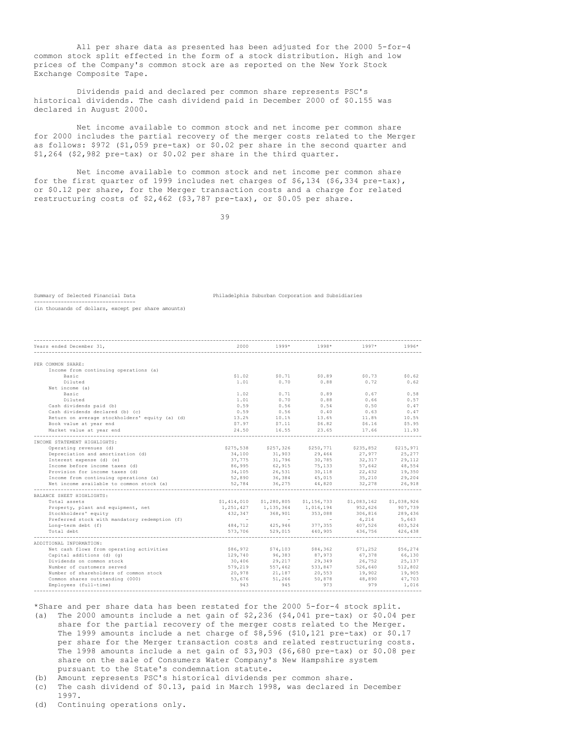All per share data as presented has been adjusted for the 2000 5-for-4 common stock split effected in the form of a stock distribution. High and low prices of the Company's common stock are as reported on the New York Stock Exchange Composite Tape.

Dividends paid and declared per common share represents PSC's historical dividends. The cash dividend paid in December 2000 of \$0.155 was declared in August 2000.

Net income available to common stock and net income per common share for 2000 includes the partial recovery of the merger costs related to the Merger as follows: \$972 (\$1,059 pre-tax) or \$0.02 per share in the second quarter and \$1,264 (\$2,982 pre-tax) or \$0.02 per share in the third quarter.

Net income available to common stock and net income per common share for the first quarter of 1999 includes net charges of  $$6,134$  ( $$6,334$  pre-tax), or \$0.12 per share, for the Merger transaction costs and a charge for related restructuring costs of \$2,462 (\$3,787 pre-tax), or \$0.05 per share.

39

----------------------------------

Summary of Selected Financial Data Philadelphia Suburban Corporation and Subsidiaries

(in thousands of dollars, except per share amounts)

| Years ended December 31,                       | 2000   | $1999*$            | 1998*                               | $1997*$                                                                                                                             | $1996*$ |
|------------------------------------------------|--------|--------------------|-------------------------------------|-------------------------------------------------------------------------------------------------------------------------------------|---------|
|                                                |        |                    |                                     |                                                                                                                                     |         |
|                                                |        |                    |                                     |                                                                                                                                     |         |
| PER COMMON SHARE:                              |        |                    |                                     |                                                                                                                                     |         |
| Income from continuing operations (a)          |        |                    |                                     |                                                                                                                                     |         |
| Basic                                          |        |                    |                                     | $$1.02$ $$0.71$ $$0.89$ $$0.73$ $$0.62$                                                                                             |         |
| Diluted                                        | 1.01   | 0.70               | 0.88                                | 0.72                                                                                                                                | 0.62    |
| Net income (a)                                 |        |                    |                                     |                                                                                                                                     |         |
| Basic                                          |        | $1.02$ 0.71 0.89   |                                     | 0.67                                                                                                                                | 0.58    |
| Diluted                                        | 1.01   |                    | $0.70$ 0.88                         | 0.66                                                                                                                                | 0.57    |
| Cash dividends paid (b)                        | 0.59   | 0.56               | 0.54                                | 0.50                                                                                                                                | 0.47    |
| Cash dividends declared (b) (c)                | 0.59   | 0.56               | 0.40                                | 0.63                                                                                                                                | 0.47    |
| Return on average stockholders' equity (a) (d) |        |                    |                                     | $13.2\%$ $10.1\%$ $13.6\%$ $11.8\%$ $10.5\%$                                                                                        |         |
| Book value at year end                         |        |                    |                                     | $$7.97$ $$7.11$ $$6.82$ $$6.16$ $$5.95$                                                                                             |         |
| Market value at year end                       | 24.50  |                    | 16.55 23.65                         | 17.66                                                                                                                               | 11.93   |
|                                                |        |                    |                                     |                                                                                                                                     |         |
| INCOME STATEMENT HIGHLIGHTS:                   |        |                    |                                     |                                                                                                                                     |         |
| Operating revenues (d)                         |        |                    |                                     | \$275,538 \$257,326 \$250,771 \$235,852 \$215,971                                                                                   |         |
| Depreciation and amortization (d)              | 34,100 | 31, 903<br>31, 796 | 29,464<br>30,785                    | $27,977$<br>$32,317$<br>$29,112$                                                                                                    |         |
| Interest expense (d) (e)                       | 37,775 |                    |                                     |                                                                                                                                     |         |
| Income before income taxes (d)                 |        |                    |                                     | 86,995 62,915 75,133 57,642 48,554                                                                                                  |         |
| Provision for income taxes (d)                 |        |                    |                                     | $34,105$ $26,531$ $30,118$ $22,432$ $19,350$                                                                                        |         |
| Income from continuing operations (a)          | 52,890 |                    | 36, 384 45, 015<br>36, 275 44, 820  | $-1 + 32$<br>35, 210                                                                                                                | 29,204  |
| Net income available to common stock (a)       | 52,784 |                    |                                     | 32, 278                                                                                                                             | 26,918  |
| BALANCE SHEET HIGHLIGHTS:                      |        |                    |                                     |                                                                                                                                     |         |
| Total assets                                   |        |                    |                                     | \$1,414,010 \$1,280,805 \$1,156,733 \$1,083,162 \$1,038,926                                                                         |         |
| Property, plant and equipment, net             |        |                    | 1, 251, 427 1, 135, 364 1, 016, 194 | 952,626 907,739                                                                                                                     |         |
| Stockholders' equity                           |        |                    |                                     | 432, 347 368, 901 353, 088 306, 816 289, 436                                                                                        |         |
| Preferred stock with mandatory redemption (f)  |        |                    |                                     |                                                                                                                                     |         |
|                                                |        |                    |                                     |                                                                                                                                     |         |
| Long-term debt (f)<br>Total debt               |        |                    |                                     | – – – – – – – – 4,214 – 5,643<br>184,712 – 425,946 – 377,355 – 407,526 – 403,524<br>136,756 – 529,015 – 440,905 – 436,756 – 426,438 |         |
|                                                |        |                    |                                     |                                                                                                                                     |         |
| ADDITIONAL INFORMATION:                        |        |                    |                                     |                                                                                                                                     |         |
| Net cash flows from operating activities       |        |                    |                                     | \$86,972 \$74,103 \$84,362 \$71,252 \$56,274                                                                                        |         |
| Capital additions (d) (g)                      |        |                    |                                     | 129,740 96,383 87,973 67,378 66,130                                                                                                 |         |
| Dividends on common stock                      |        |                    |                                     | 30,406 29,217 29,349 26,752                                                                                                         | 25,137  |
| Number of customers served                     |        |                    |                                     |                                                                                                                                     |         |
| Number of shareholders of common stock         |        |                    |                                     | 526,640 512,802<br>19,902 19,905                                                                                                    |         |
| Common shares outstanding (000)                |        |                    |                                     | 53,676 51,266 50,878 48,890 47,703                                                                                                  |         |
| Employees (full-time)                          | 943    | 945                | 973                                 | 979                                                                                                                                 | 1.016   |
|                                                |        |                    |                                     |                                                                                                                                     |         |
|                                                |        |                    |                                     |                                                                                                                                     |         |

\*Share and per share data has been restated for the 2000 5-for-4 stock split. (a) The 2000 amounts include a net gain of  $$2,236$  ( $$4,041$  pre-tax) or  $$0.04$  per share for the partial recovery of the merger costs related to the Merger. The 1999 amounts include a net charge of \$8,596 (\$10,121 pre-tax) or \$0.17 per share for the Merger transaction costs and related restructuring costs. The 1998 amounts include a net gain of \$3,903 (\$6,680 pre-tax) or \$0.08 per share on the sale of Consumers Water Company's New Hampshire system pursuant to the State's condemnation statute.

- (b) Amount represents PSC's historical dividends per common share.
- (c) The cash dividend of \$0.13, paid in March 1998, was declared in December 1997.
- (d) Continuing operations only.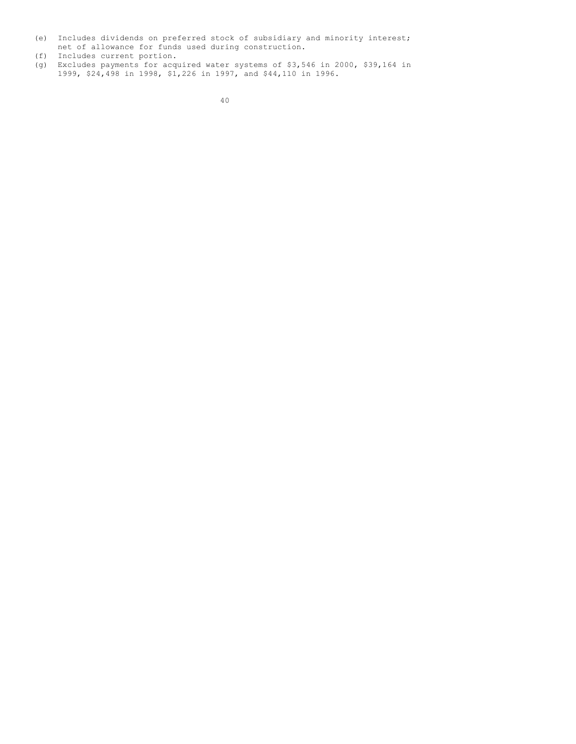- (e) Includes dividends on preferred stock of subsidiary and minority interest; net of allowance for funds used during construction.
- (f) Includes current portion.
- (g) Excludes payments for acquired water systems of \$3,546 in 2000, \$39,164 in 1999, \$24,498 in 1998, \$1,226 in 1997, and \$44,110 in 1996.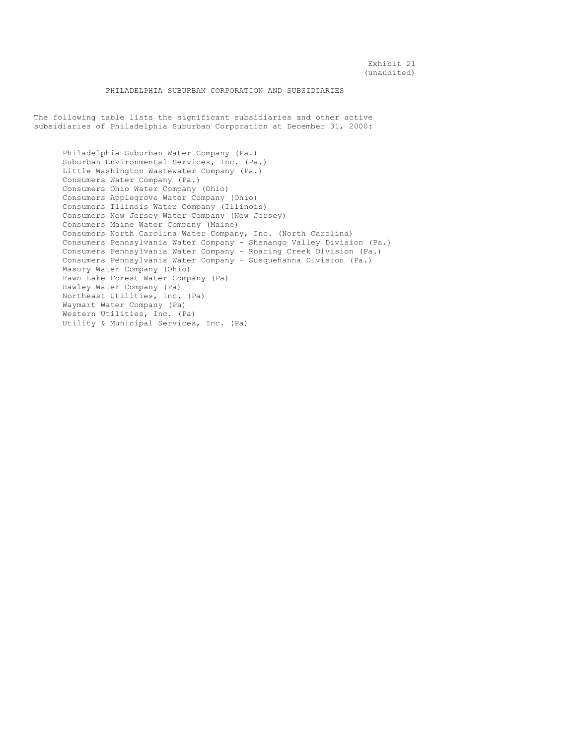# PHILADELPHIA SUBURBAN CORPORATION AND SUBSIDIARIES

The following table lists the significant subsidiaries and other active subsidiaries of Philadelphia Suburban Corporation at December 31, 2000:

Philadelphia Suburban Water Company (Pa.) Suburban Environmental Services, Inc. (Pa.) Little Washington Wastewater Company (Pa.) Consumers Water Company (Pa.) Consumers Ohio Water Company (Ohio) Consumers Applegrove Water Company (Ohio) Consumers Illinois Water Company (Illinois) Consumers New Jersey Water Company (New Jersey) Consumers Maine Water Company (Maine) Consumers North Carolina Water Company, Inc. (North Carolina) Consumers Pennsylvania Water Company - Shenango Valley Division (Pa.) Consumers Pennsylvania Water Company - Roaring Creek Division (Pa.) Consumers Pennsylvania Water Company - Susquehanna Division (Pa.) Masury Water Company (Ohio) Fawn Lake Forest Water Company (Pa) Hawley Water Company (Pa) Northeast Utilities, Inc. (Pa) Waymart Water Company (Pa) Western Utilities, Inc. (Pa) Utility & Municipal Services, Inc. (Pa)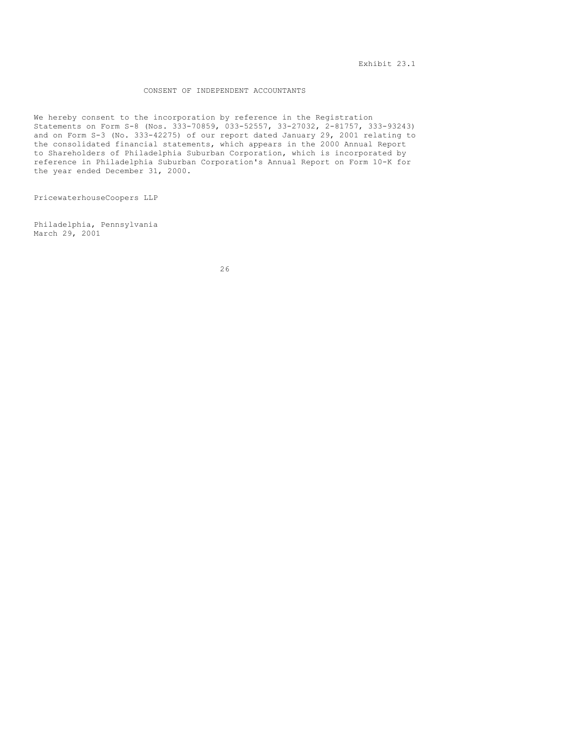# CONSENT OF INDEPENDENT ACCOUNTANTS

We hereby consent to the incorporation by reference in the Registration Statements on Form S-8 (Nos. 333-70859, 033-52557, 33-27032, 2-81757, 333-93243) and on Form S-3 (No. 333-42275) of our report dated January 29, 2001 relating to the consolidated financial statements, which appears in the 2000 Annual Report to Shareholders of Philadelphia Suburban Corporation, which is incorporated by reference in Philadelphia Suburban Corporation's Annual Report on Form 10-K for the year ended December 31, 2000.

PricewaterhouseCoopers LLP

Philadelphia, Pennsylvania March 29, 2001

26